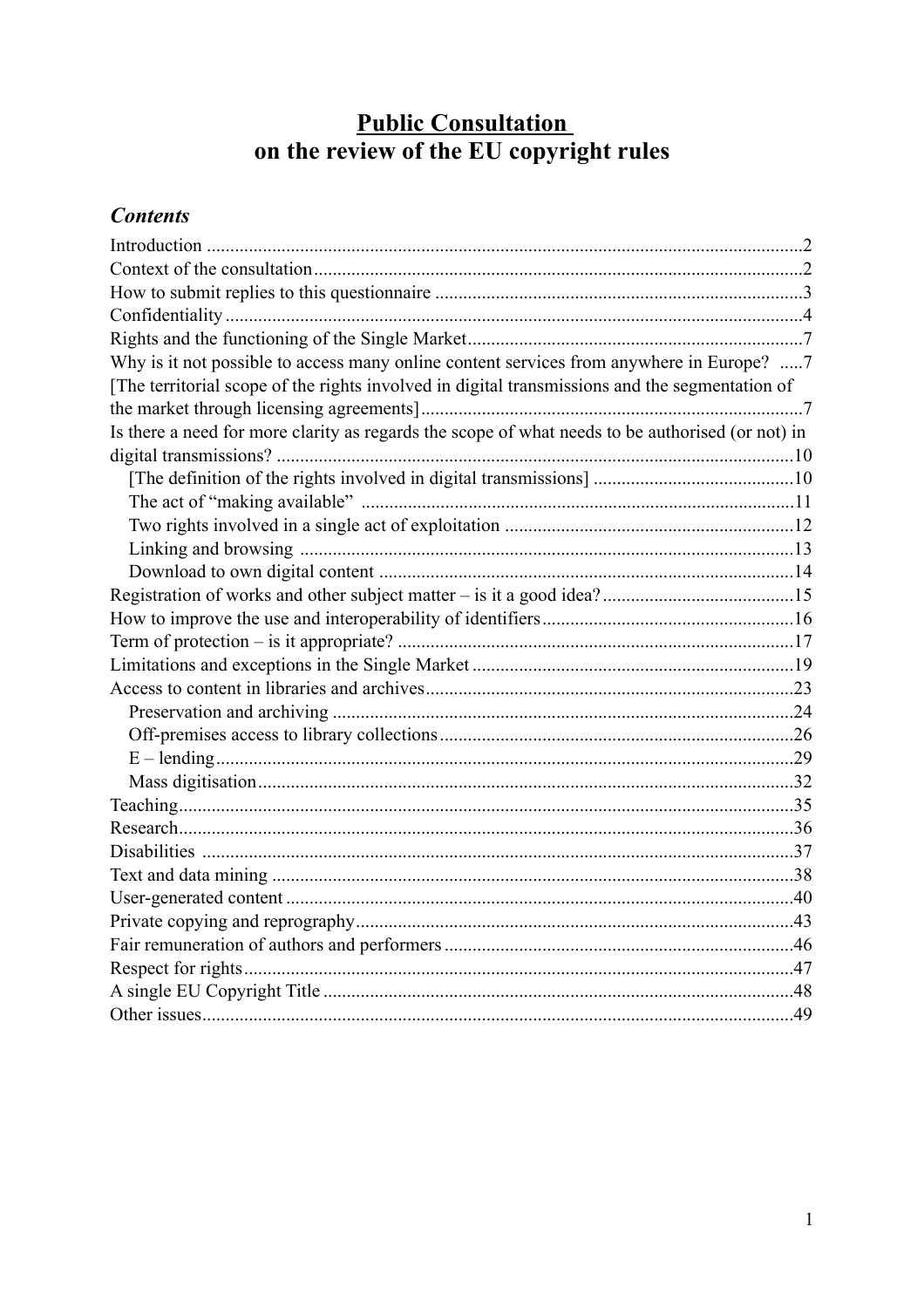# **Public Consultation**<br>on the review of the EU copyright rules

## **Contents**

| Why is it not possible to access many online content services from anywhere in Europe? 7         |  |
|--------------------------------------------------------------------------------------------------|--|
| [The territorial scope of the rights involved in digital transmissions and the segmentation of   |  |
|                                                                                                  |  |
| Is there a need for more clarity as regards the scope of what needs to be authorised (or not) in |  |
|                                                                                                  |  |
|                                                                                                  |  |
|                                                                                                  |  |
|                                                                                                  |  |
|                                                                                                  |  |
|                                                                                                  |  |
|                                                                                                  |  |
|                                                                                                  |  |
|                                                                                                  |  |
|                                                                                                  |  |
|                                                                                                  |  |
|                                                                                                  |  |
|                                                                                                  |  |
|                                                                                                  |  |
|                                                                                                  |  |
|                                                                                                  |  |
|                                                                                                  |  |
|                                                                                                  |  |
|                                                                                                  |  |
|                                                                                                  |  |
|                                                                                                  |  |
|                                                                                                  |  |
|                                                                                                  |  |
|                                                                                                  |  |
|                                                                                                  |  |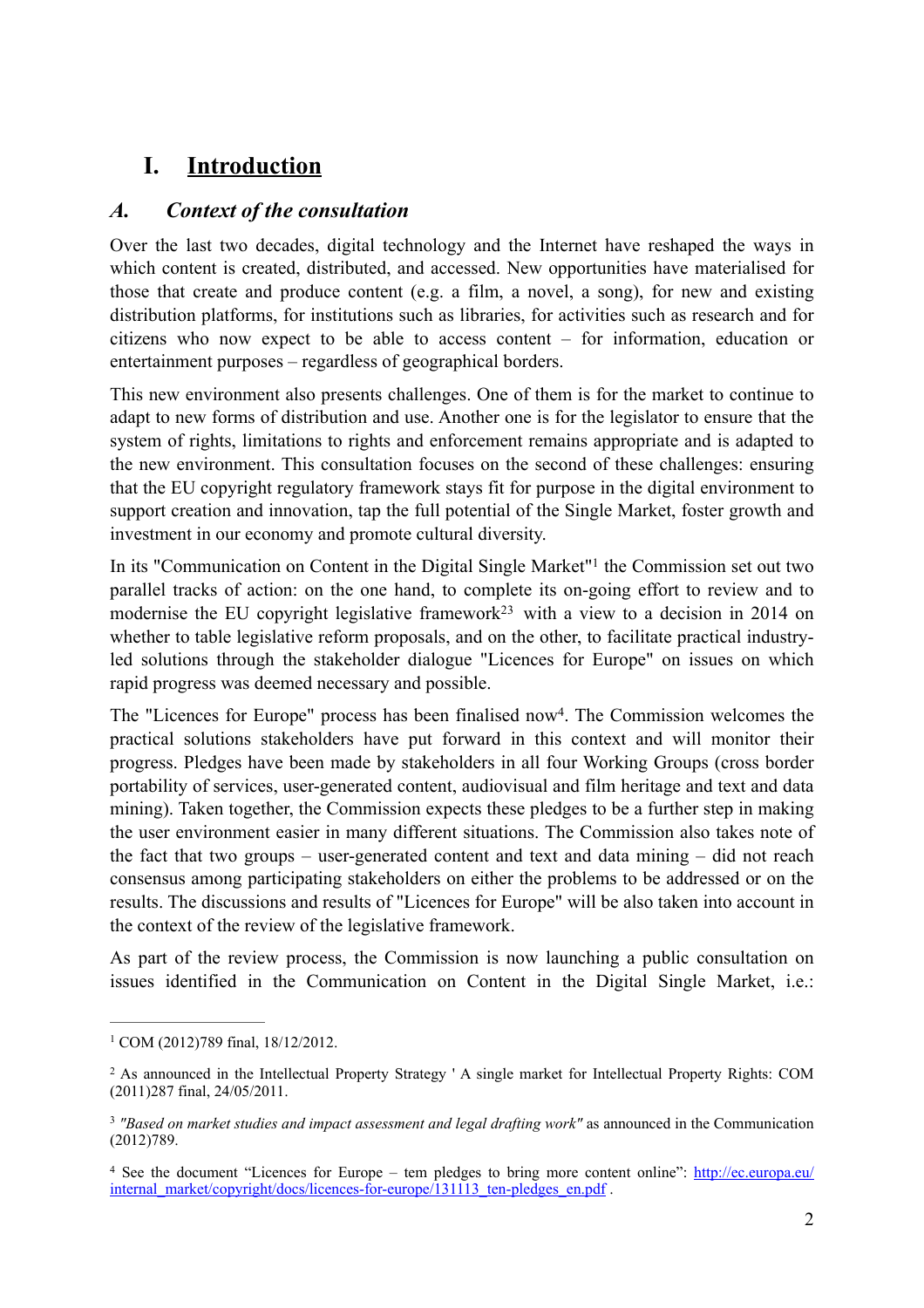## **I. Introduction**

#### *A. Context of the consultation*

Over the last two decades, digital technology and the Internet have reshaped the ways in which content is created, distributed, and accessed. New opportunities have materialised for those that create and produce content (e.g. a film, a novel, a song), for new and existing distribution platforms, for institutions such as libraries, for activities such as research and for citizens who now expect to be able to access content – for information, education or entertainment purposes – regardless of geographical borders.

This new environment also presents challenges. One of them is for the market to continue to adapt to new forms of distribution and use. Another one is for the legislator to ensure that the system of rights, limitations to rights and enforcement remains appropriate and is adapted to the new environment. This consultation focuses on the second of these challenges: ensuring that the EU copyright regulatory framework stays fit for purpose in the digital environment to support creation and innovation, tap the full potential of the Single Market, foster growth and investment in our economy and promote cultural diversity.

In its "Communication on Content in the Digital Single Market" $\frac{1}{1}$  the Commission set out two parallel tracks of action: on the one hand, to complete its on-going effort to review and to modernise the EU copyright legislative framework<sup>23</sup> with a view to a decision in 2014 on whether to table legislative reform proposals, and on the other, to facilitate practical industryled solutions through the stakeholder dialogue "Licences for Europe" on issues on which rapid progress was deemed necessary and possible.

The "Licences for Europe" process has been finalised now<sup>4</sup>. The Commission welcomes the practical solutions stakeholders have put forward in this context and will monitor their progress. Pledges have been made by stakeholders in all four Working Groups (cross border portability of services, user-generated content, audiovisual and film heritage and text and data mining). Taken together, the Commission expects these pledges to be a further step in making the user environment easier in many different situations. The Commission also takes note of the fact that two groups – user-generated content and text and data mining – did not reach consensus among participating stakeholders on either the problems to be addressed or on the results. The discussions and results of "Licences for Europe" will be also taken into account in the context of the review of the legislative framework.

As part of the review process, the Commission is now launching a public consultation on issues identified in the Communication on Content in the Digital Single Market, i.e.:

<sup>&</sup>lt;sup>1</sup> COM (2012)789 final, 18/12/2012.

<sup>&</sup>lt;sup>2</sup> As announced in the Intellectual Property Strategy ' A single market for Intellectual Property Rights: COM (2011)287 final, 24/05/2011.

<sup>&</sup>lt;sup>3</sup> "Based on market studies and impact assessment and legal drafting work" as announced in the Communication (2012)789.

See the document "Licences for Europe – tem pledges to bring more content online": http://ec.europa.eu/ <sup>4</sup> internal\_market/copyright/docs/licences-for-europe/131113\_ten-pledges\_en.pdf .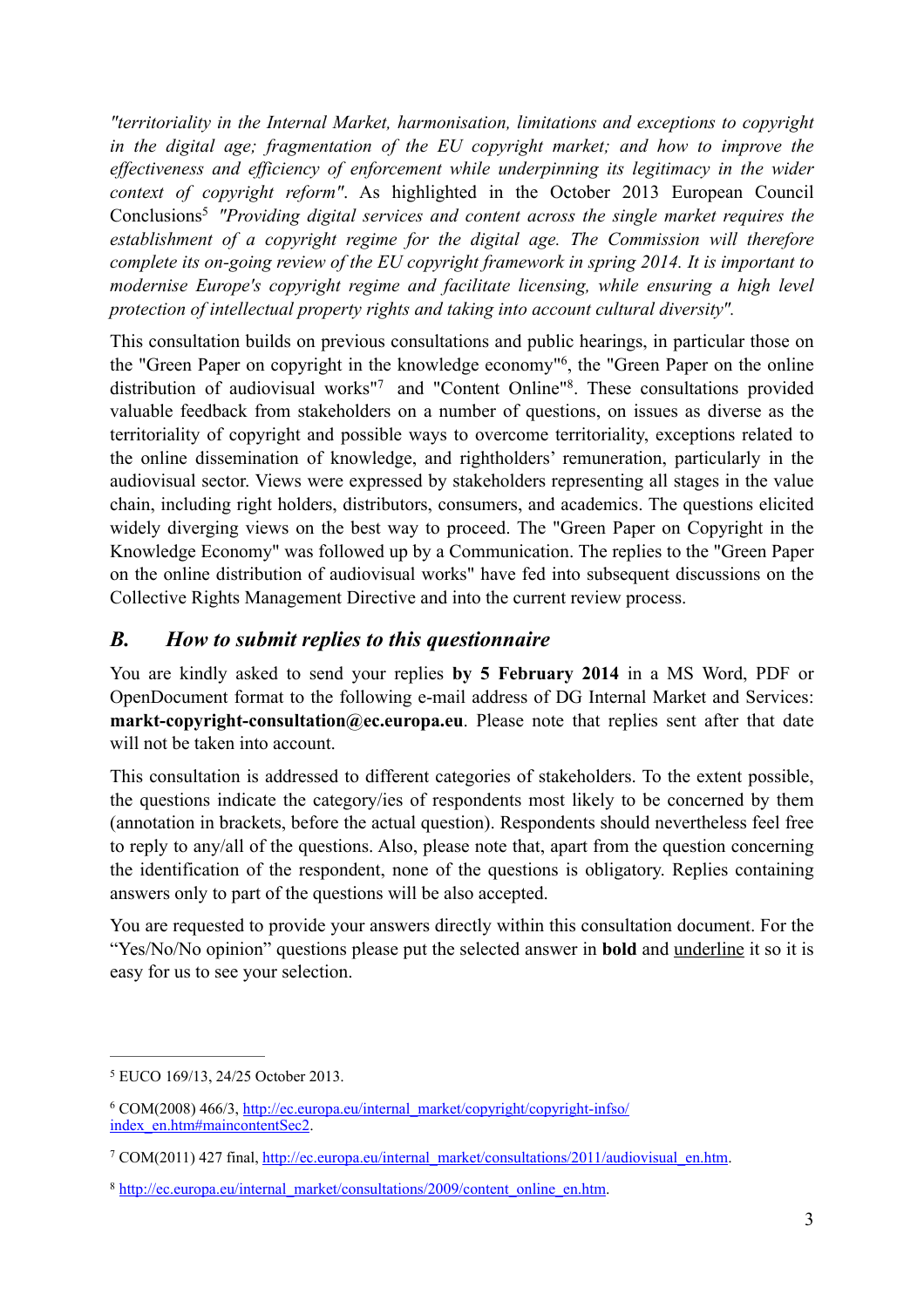*"territoriality in the Internal Market, harmonisation, limitations and exceptions to copyright in the digital age; fragmentation of the EU copyright market; and how to improve the effectiveness and efficiency of enforcement while underpinning its legitimacy in the wider context of copyright reform"*. As highlighted in the October 2013 European Council Conclusions<sup>5</sup> *"Providing digital services and content across the single market requires the establishment of a copyright regime for the digital age. The Commission will therefore complete its on-going review of the EU copyright framework in spring 2014. It is important to modernise Europe's copyright regime and facilitate licensing, while ensuring a high level protection of intellectual property rights and taking into account cultural diversity".*

This consultation builds on previous consultations and public hearings, in particular those on the "Green Paper on copyright in the knowledge economy"<sup>6</sup>, the "Green Paper on the online distribution of audiovisual works"<sup>7</sup> and "Content Online"<sup>8</sup>. These consultations provided valuable feedback from stakeholders on a number of questions, on issues as diverse as the territoriality of copyright and possible ways to overcome territoriality, exceptions related to the online dissemination of knowledge, and rightholders' remuneration, particularly in the audiovisual sector. Views were expressed by stakeholders representing all stages in the value chain, including right holders, distributors, consumers, and academics. The questions elicited widely diverging views on the best way to proceed. The "Green Paper on Copyright in the Knowledge Economy" was followed up by a Communication. The replies to the "Green Paper on the online distribution of audiovisual works" have fed into subsequent discussions on the Collective Rights Management Directive and into the current review process.

#### *B. How to submit replies to this questionnaire*

You are kindly asked to send your replies **by 5 February 2014** in a MS Word, PDF or OpenDocument format to the following e-mail address of DG Internal Market and Services: **markt-copyright-consultation@ec.europa.eu**. Please note that replies sent after that date will not be taken into account.

This consultation is addressed to different categories of stakeholders. To the extent possible, the questions indicate the category/ies of respondents most likely to be concerned by them (annotation in brackets, before the actual question). Respondents should nevertheless feel free to reply to any/all of the questions. Also, please note that, apart from the question concerning the identification of the respondent, none of the questions is obligatory. Replies containing answers only to part of the questions will be also accepted.

You are requested to provide your answers directly within this consultation document. For the "Yes/No/No opinion" questions please put the selected answer in **bold** and underline it so it is easy for us to see your selection.

EUCO 169/13, 24/25 October 2013. <sup>5</sup>

COM(2008) 466/3, http://ec.europa.eu/internal\_market/copyright/copyright-infso/ <sup>6</sup> index\_en.htm#maincontentSec2.

COM(2011) 427 final, http://ec.europa.eu/internal\_market/consultations/2011/audiovisual\_en.htm. <sup>7</sup>

<sup>8</sup> http://ec.europa.eu/internal\_market/consultations/2009/content\_online\_en.htm.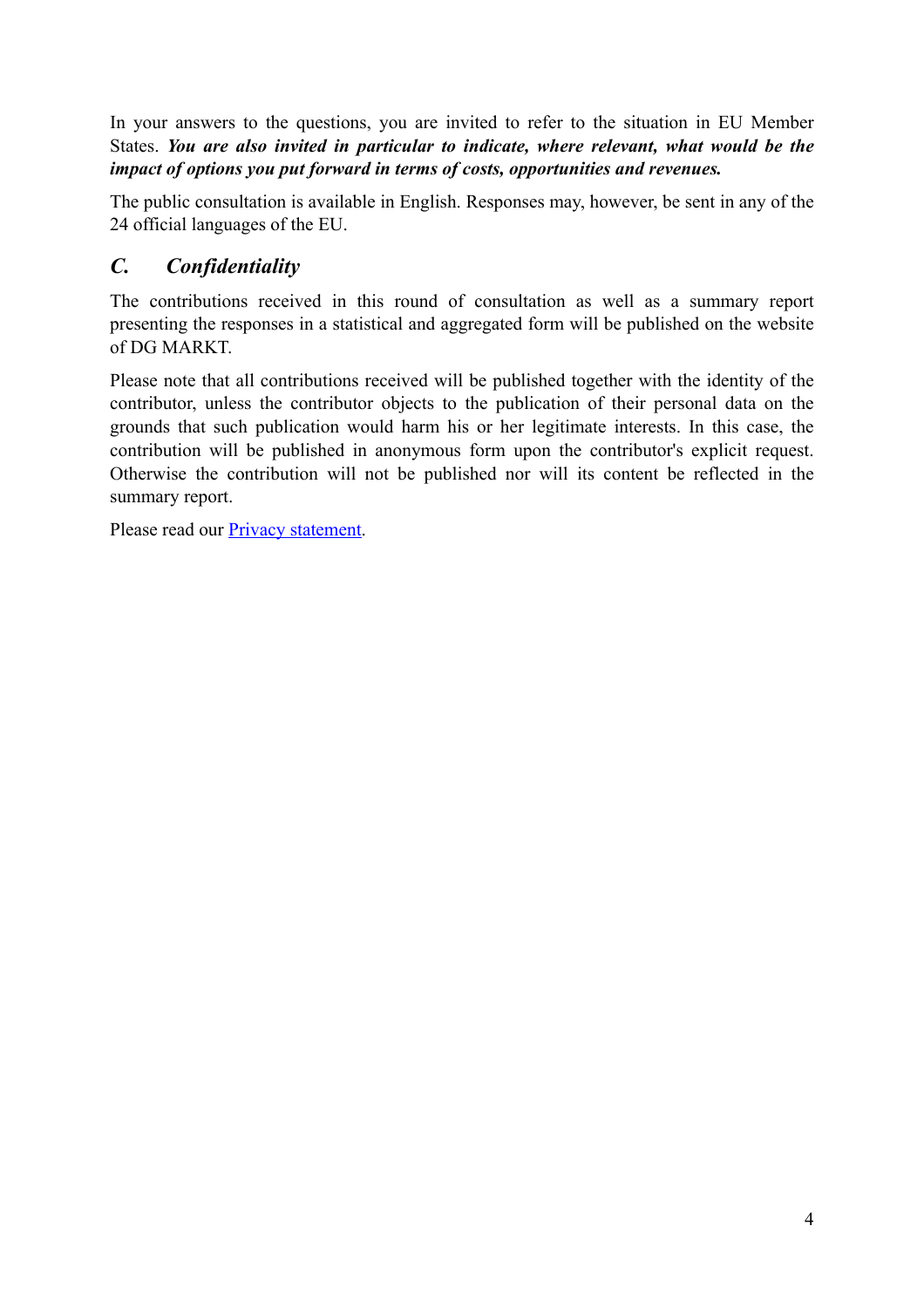In your answers to the questions, you are invited to refer to the situation in EU Member States. *You are also invited in particular to indicate, where relevant, what would be the impact of options you put forward in terms of costs, opportunities and revenues.*

The public consultation is available in English. Responses may, however, be sent in any of the 24 official languages of the EU.

## *C. Confidentiality*

The contributions received in this round of consultation as well as a summary report presenting the responses in a statistical and aggregated form will be published on the website of DG MARKT.

Please note that all contributions received will be published together with the identity of the contributor, unless the contributor objects to the publication of their personal data on the grounds that such publication would harm his or her legitimate interests. In this case, the contribution will be published in anonymous form upon the contributor's explicit request. Otherwise the contribution will not be published nor will its content be reflected in the summary report.

Please read our Privacy statement.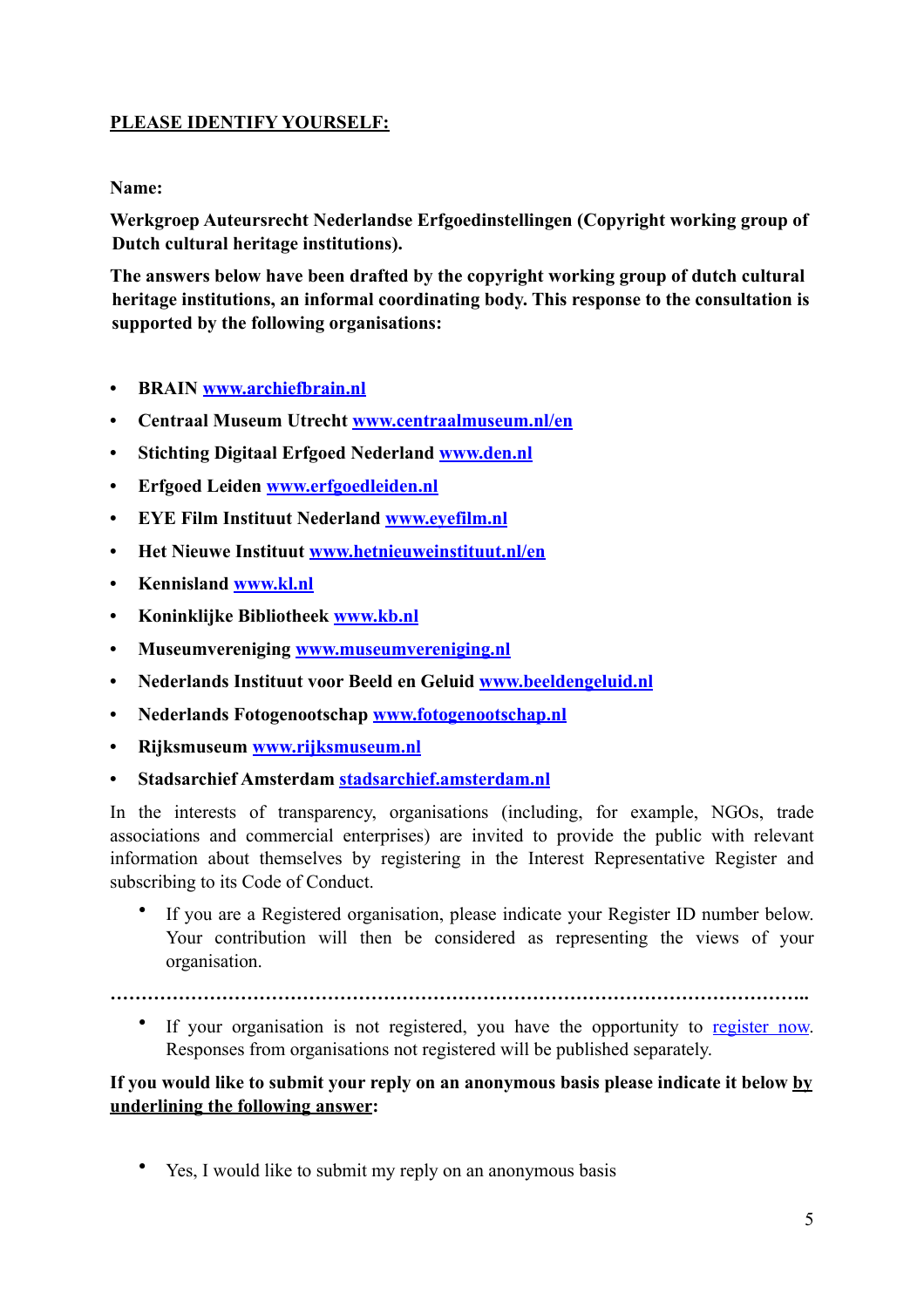#### **PLEASE IDENTIFY YOURSELF:**

**Name:**

**Werkgroep Auteursrecht Nederlandse Erfgoedinstellingen (Copyright working group of Dutch cultural heritage institutions).** 

**The answers below have been drafted by the copyright working group of dutch cultural heritage institutions, an informal coordinating body. This response to the consultation is supported by the following organisations:**

- **• BRAIN www.archiefbrain.nl**
- **• Centraal Museum Utrecht www.centraalmuseum.nl/en**
- **• Stichting Digitaal Erfgoed Nederland www.den.nl**
- **• Erfgoed Leiden www.erfgoedleiden.nl**
- **• EYE Film Instituut Nederland www.eyefilm.nl**
- **• Het Nieuwe Instituut www.hetnieuweinstituut.nl/en**
- **• Kennisland www.kl.nl**
- **• Koninklijke Bibliotheek www.kb.nl**
- **• Museumvereniging www.museumvereniging.nl**
- **• Nederlands Instituut voor Beeld en Geluid www.beeldengeluid.nl**
- **• Nederlands Fotogenootschap www.fotogenootschap.nl**
- **• Rijksmuseum www.rijksmuseum.nl**
- **• Stadsarchief Amsterdam stadsarchief.amsterdam.nl**

In the interests of transparency, organisations (including, for example, NGOs, trade associations and commercial enterprises) are invited to provide the public with relevant information about themselves by registering in the Interest Representative Register and subscribing to its Code of Conduct.

If you are a Registered organisation, please indicate your Register ID number below. Your contribution will then be considered as representing the views of your organisation.

**…………………………………………………………………………………………………..**

• If your organisation is not registered, you have the opportunity to register now. Responses from organisations not registered will be published separately.

**If you would like to submit your reply on an anonymous basis please indicate it below by underlining the following answer:**

• Yes, I would like to submit my reply on an anonymous basis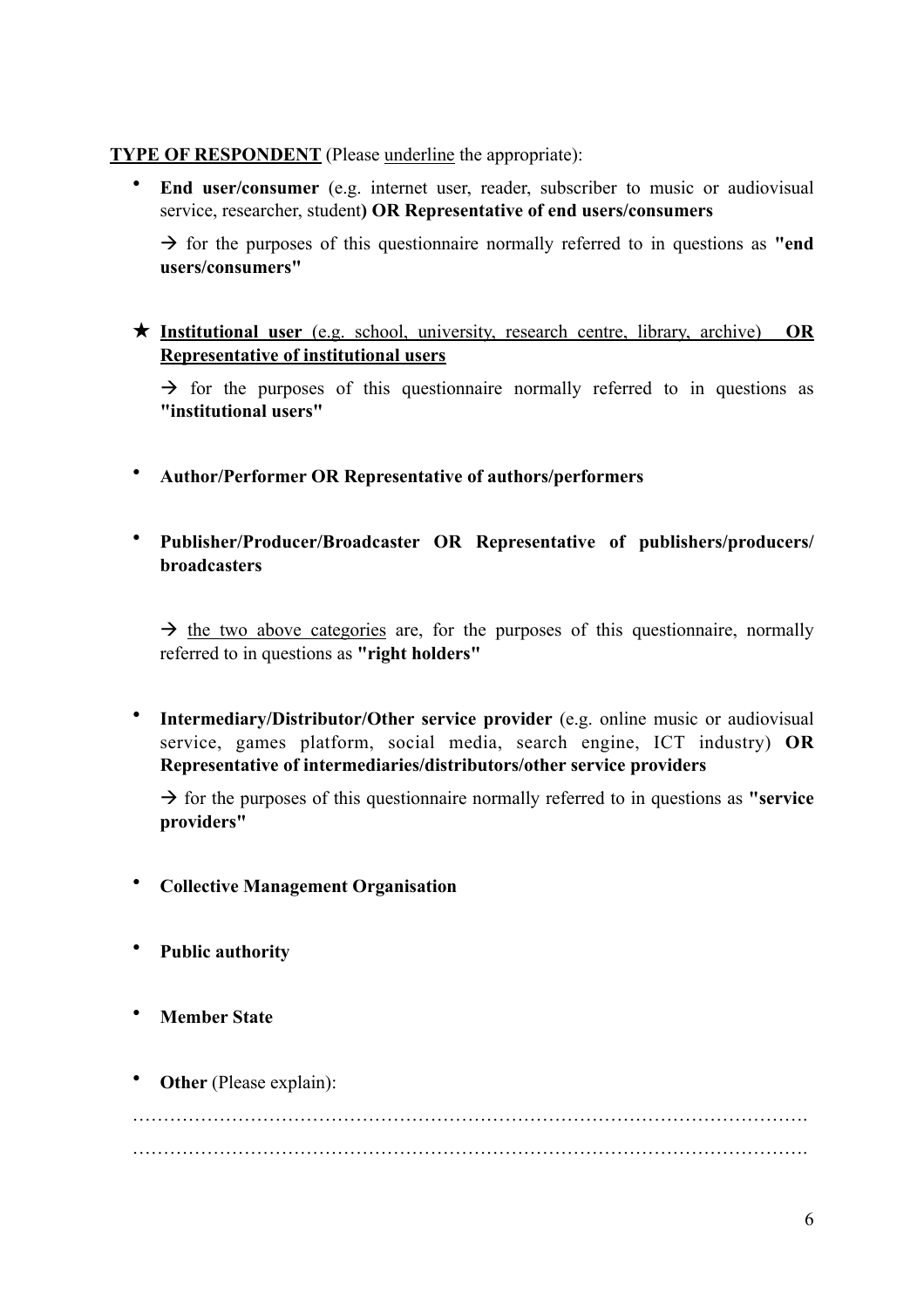#### **TYPE OF RESPONDENT** (Please underline the appropriate):

• **End user/consumer** (e.g. internet user, reader, subscriber to music or audiovisual service, researcher, student**) OR Representative of end users/consumers** 

 $\rightarrow$  for the purposes of this questionnaire normally referred to in questions as **"end**" **users/consumers"**

#### ★ **Institutional user** (e.g. school, university, research centre, library, archive) **OR Representative of institutional users**

 $\rightarrow$  for the purposes of this questionnaire normally referred to in questions as **"institutional users"**

- **Author/Performer OR Representative of authors/performers**
- **Publisher/Producer/Broadcaster OR Representative of publishers/producers/ broadcasters**

 $\rightarrow$  the two above categories are, for the purposes of this questionnaire, normally referred to in questions as **"right holders"**

**Intermediary/Distributor/Other service provider** (e.g. online music or audiovisual service, games platform, social media, search engine, ICT industry) **OR Representative of intermediaries/distributors/other service providers**

 $\rightarrow$  for the purposes of this questionnaire normally referred to in questions as **"service providers"**

- **Collective Management Organisation**
- **Public authority**
- **Member State**
- **Other** (Please explain):

………………………………………………………………………………………………. ……………………………………………………………………………………………….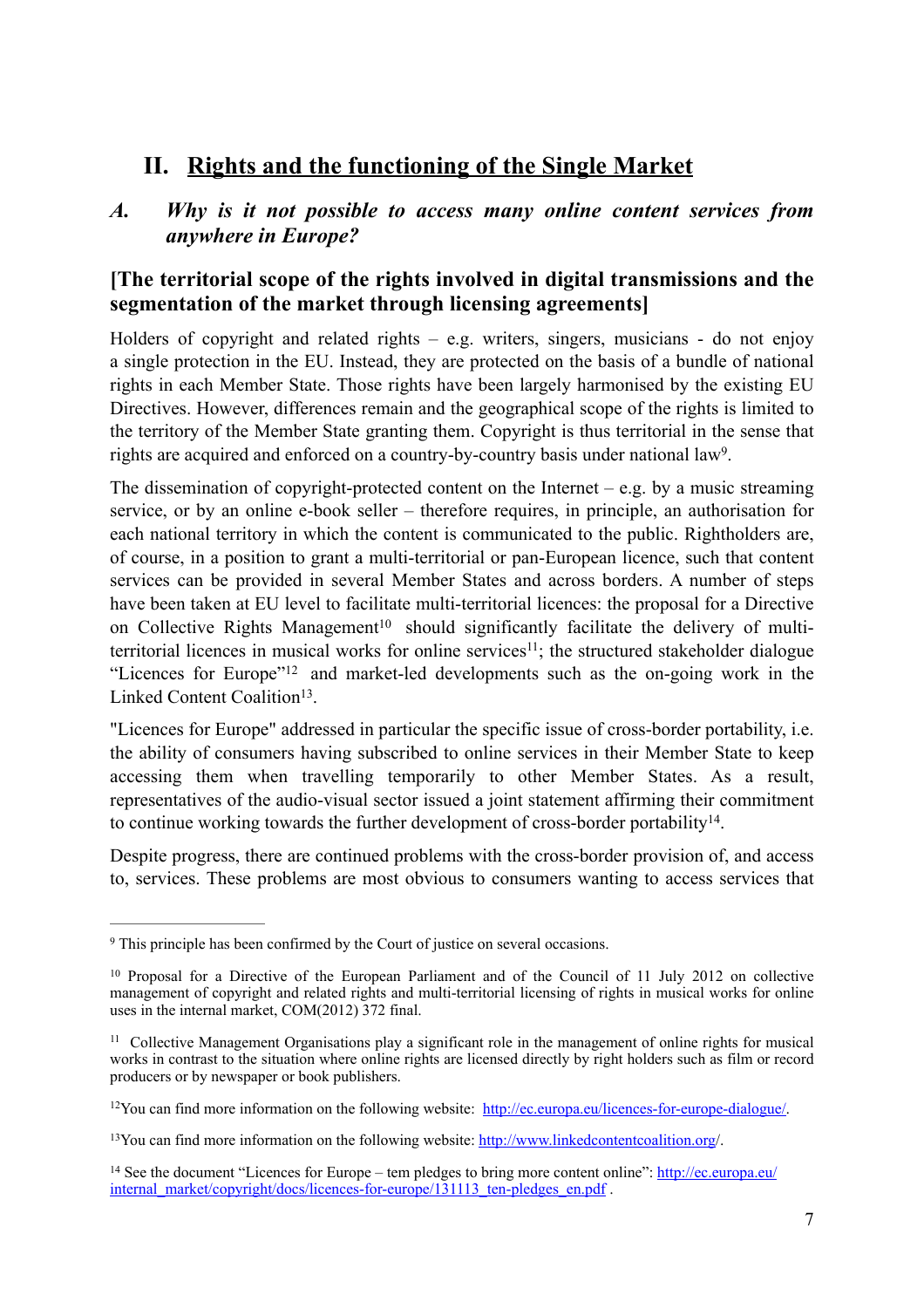## **II. Rights and the functioning of the Single Market**

#### *A. Why is it not possible to access many online content services from anywhere in Europe?*

#### **[The territorial scope of the rights involved in digital transmissions and the segmentation of the market through licensing agreements]**

Holders of copyright and related rights  $-$  e.g. writers, singers, musicians - do not enjoy a single protection in the EU. Instead, they are protected on the basis of a bundle of national rights in each Member State. Those rights have been largely harmonised by the existing EU Directives. However, differences remain and the geographical scope of the rights is limited to the territory of the Member State granting them. Copyright is thus territorial in the sense that rights are acquired and enforced on a country-by-country basis under national  $law<sup>9</sup>$ .

The dissemination of copyright-protected content on the Internet – e.g. by a music streaming service, or by an online e-book seller – therefore requires, in principle, an authorisation for each national territory in which the content is communicated to the public. Rightholders are, of course, in a position to grant a multi-territorial or pan-European licence, such that content services can be provided in several Member States and across borders. A number of steps have been taken at EU level to facilitate multi-territorial licences: the proposal for a Directive on Collective Rights Management<sup>10</sup> should significantly facilitate the delivery of multiterritorial licences in musical works for online services $\frac{11}{11}$ ; the structured stakeholder dialogue "Licences for Europe"<sup>12</sup> and market-led developments such as the on-going work in the Linked Content Coalition<sup>13</sup>.

"Licences for Europe" addressed in particular the specific issue of cross-border portability, i.e. the ability of consumers having subscribed to online services in their Member State to keep accessing them when travelling temporarily to other Member States. As a result, representatives of the audio-visual sector issued a joint statement affirming their commitment to continue working towards the further development of cross-border portability $14$ .

Despite progress, there are continued problems with the cross-border provision of, and access to, services. These problems are most obvious to consumers wanting to access services that

<sup>&</sup>lt;sup>9</sup> This principle has been confirmed by the Court of justice on several occasions.

<sup>&</sup>lt;sup>10</sup> Proposal for a Directive of the European Parliament and of the Council of 11 July 2012 on collective management of copyright and related rights and multi-territorial licensing of rights in musical works for online uses in the internal market, COM(2012) 372 final.

 $<sup>11</sup>$  Collective Management Organisations play a significant role in the management of online rights for musical</sup> works in contrast to the situation where online rights are licensed directly by right holders such as film or record producers or by newspaper or book publishers.

<sup>&</sup>lt;sup>12</sup>You can find more information on the following website: http://ec.europa.eu/licences-for-europe-dialogue/.

<sup>&</sup>lt;sup>13</sup>You can find more information on the following website: http://www.linkedcontentcoalition.org/.

<sup>&</sup>lt;sup>14</sup> See the document "Licences for Europe – tem pledges to bring more content online": http://ec.europa.eu/ internal\_market/copyright/docs/licences-for-europe/131113\_ten-pledges\_en.pdf .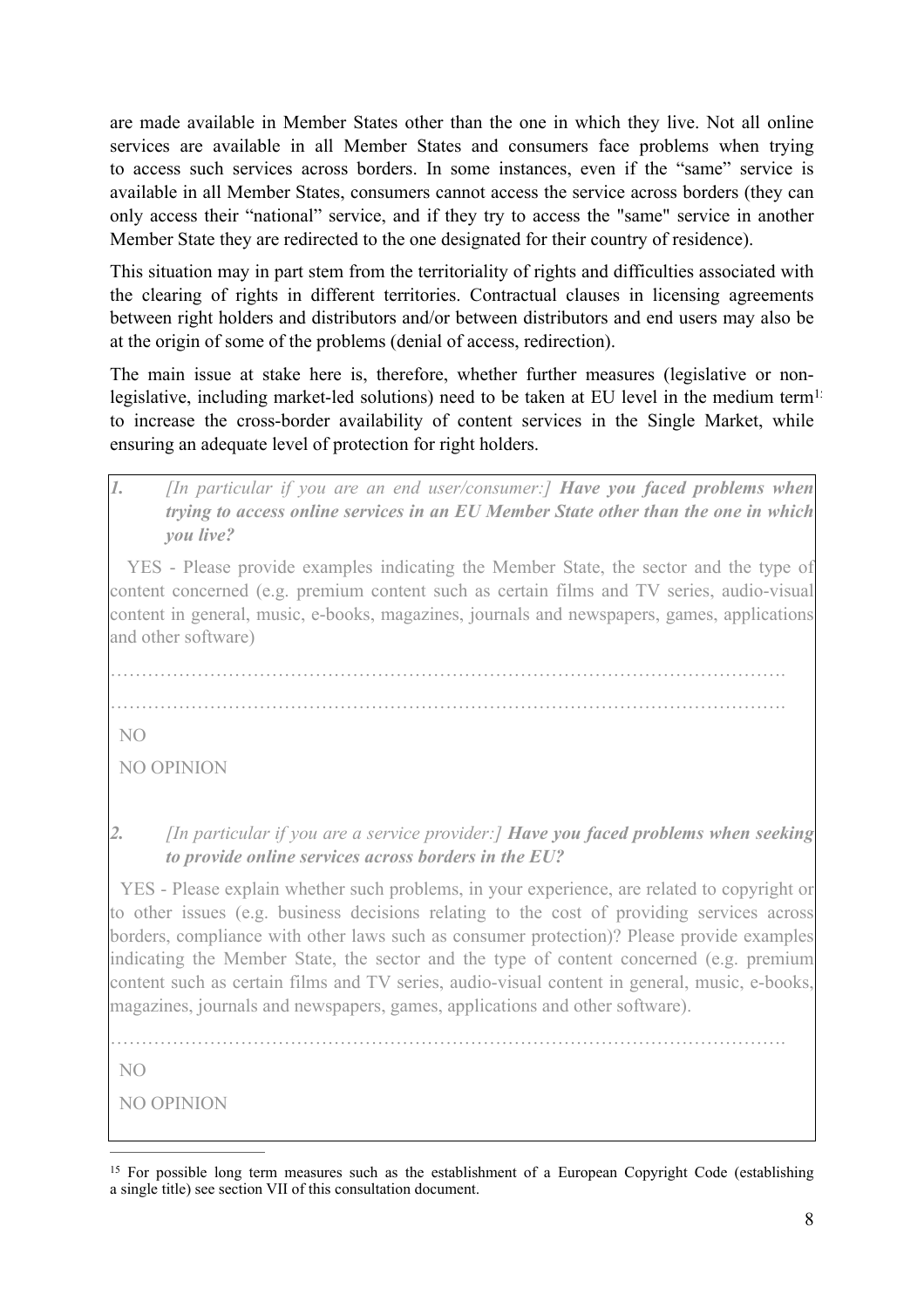are made available in Member States other than the one in which they live. Not all online services are available in all Member States and consumers face problems when trying to access such services across borders. In some instances, even if the "same" service is available in all Member States, consumers cannot access the service across borders (they can only access their "national" service, and if they try to access the "same" service in another Member State they are redirected to the one designated for their country of residence).

This situation may in part stem from the territoriality of rights and difficulties associated with the clearing of rights in different territories. Contractual clauses in licensing agreements between right holders and distributors and/or between distributors and end users may also be at the origin of some of the problems (denial of access, redirection).

The main issue at stake here is, therefore, whether further measures (legislative or nonlegislative, including market-led solutions) need to be taken at EU level in the medium term<sup>1;</sup> to increase the cross-border availability of content services in the Single Market, while ensuring an adequate level of protection for right holders.

*1. [In particular if you are an end user/consumer:] Have you faced problems when trying to access online services in an EU Member State other than the one in which you live?* 

 YES - Please provide examples indicating the Member State, the sector and the type of content concerned (e.g. premium content such as certain films and TV series, audio-visual content in general, music, e-books, magazines, journals and newspapers, games, applications and other software)

……………………………………………………………………………………………….

……………………………………………………………………………………………….

NO

NO OPINION

*2. [In particular if you are a service provider:] Have you faced problems when seeking to provide online services across borders in the EU?* 

 YES - Please explain whether such problems, in your experience, are related to copyright or to other issues (e.g. business decisions relating to the cost of providing services across borders, compliance with other laws such as consumer protection)? Please provide examples indicating the Member State, the sector and the type of content concerned (e.g. premium content such as certain films and TV series, audio-visual content in general, music, e-books, magazines, journals and newspapers, games, applications and other software).

……………………………………………………………………………………………….

NO

NO OPINION

<sup>&</sup>lt;sup>15</sup> For possible long term measures such as the establishment of a European Copyright Code (establishing a single title) see section VII of this consultation document.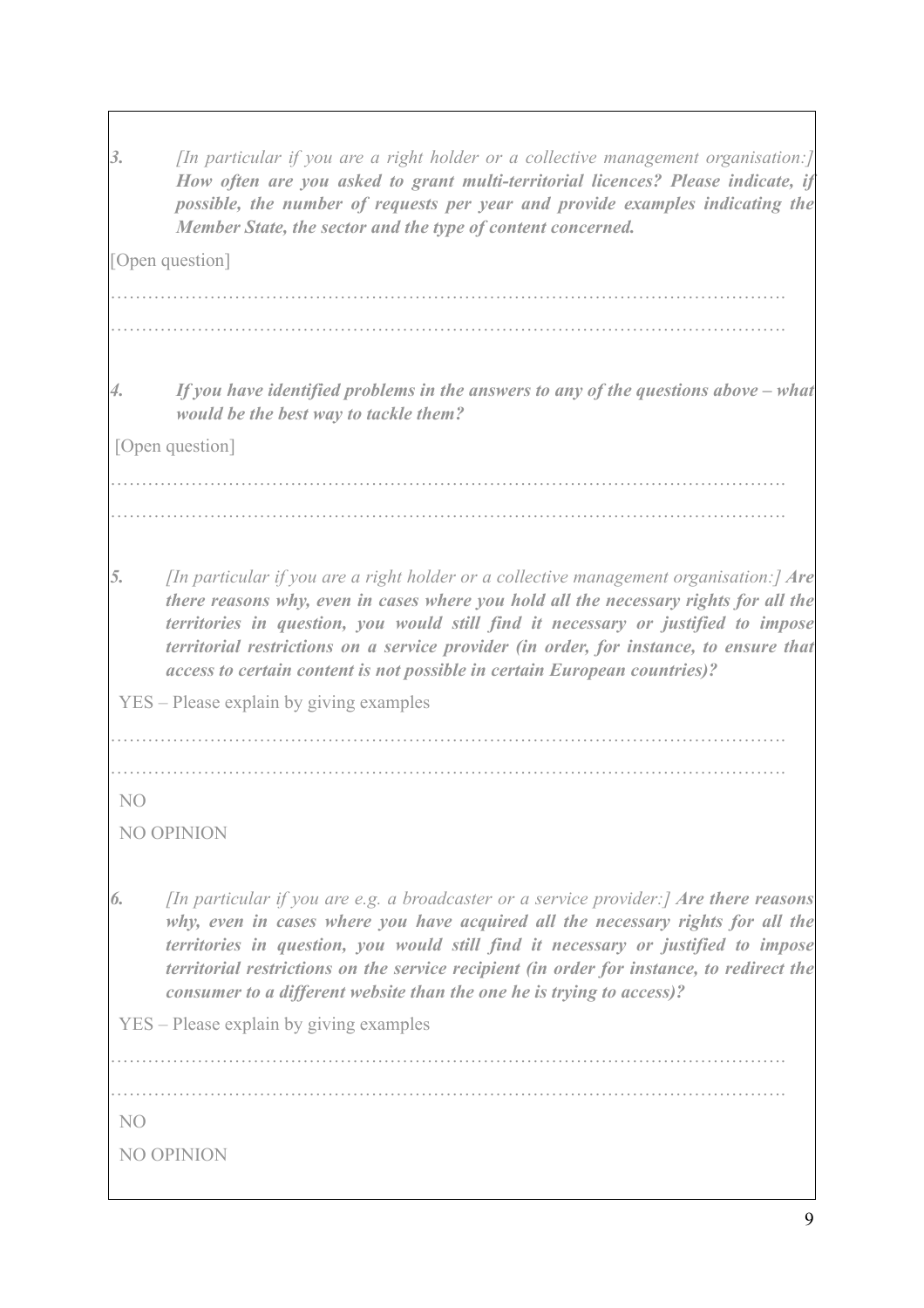| 3.             | [In particular if you are a right holder or a collective management organisation:]<br>How often are you asked to grant multi-territorial licences? Please indicate, if<br>possible, the number of requests per year and provide examples indicating the<br>Member State, the sector and the type of content concerned.                                                                                                                     |
|----------------|--------------------------------------------------------------------------------------------------------------------------------------------------------------------------------------------------------------------------------------------------------------------------------------------------------------------------------------------------------------------------------------------------------------------------------------------|
|                | [Open question]                                                                                                                                                                                                                                                                                                                                                                                                                            |
|                |                                                                                                                                                                                                                                                                                                                                                                                                                                            |
|                |                                                                                                                                                                                                                                                                                                                                                                                                                                            |
| 4.             | If you have identified problems in the answers to any of the questions above $-\nu$ what<br>would be the best way to tackle them?                                                                                                                                                                                                                                                                                                          |
|                | [Open question]                                                                                                                                                                                                                                                                                                                                                                                                                            |
|                |                                                                                                                                                                                                                                                                                                                                                                                                                                            |
|                |                                                                                                                                                                                                                                                                                                                                                                                                                                            |
| 5.             | [In particular if you are a right holder or a collective management organisation:] Are<br>there reasons why, even in cases where you hold all the necessary rights for all the<br>territories in question, you would still find it necessary or justified to impose<br>territorial restrictions on a service provider (in order, for instance, to ensure that<br>access to certain content is not possible in certain European countries)? |
|                | YES – Please explain by giving examples                                                                                                                                                                                                                                                                                                                                                                                                    |
|                |                                                                                                                                                                                                                                                                                                                                                                                                                                            |
|                |                                                                                                                                                                                                                                                                                                                                                                                                                                            |
| NO             |                                                                                                                                                                                                                                                                                                                                                                                                                                            |
|                | <b>NO OPINION</b>                                                                                                                                                                                                                                                                                                                                                                                                                          |
| 6.             | <i>In particular if you are e.g. a broadcaster or a service provider: Are there reasons</i><br>why, even in cases where you have acquired all the necessary rights for all the<br>territories in question, you would still find it necessary or justified to impose<br>territorial restrictions on the service recipient (in order for instance, to redirect the<br>consumer to a different website than the one he is trying to access)?  |
|                | YES - Please explain by giving examples                                                                                                                                                                                                                                                                                                                                                                                                    |
|                |                                                                                                                                                                                                                                                                                                                                                                                                                                            |
| N <sub>O</sub> |                                                                                                                                                                                                                                                                                                                                                                                                                                            |
|                | <b>NO OPINION</b>                                                                                                                                                                                                                                                                                                                                                                                                                          |
|                |                                                                                                                                                                                                                                                                                                                                                                                                                                            |
|                |                                                                                                                                                                                                                                                                                                                                                                                                                                            |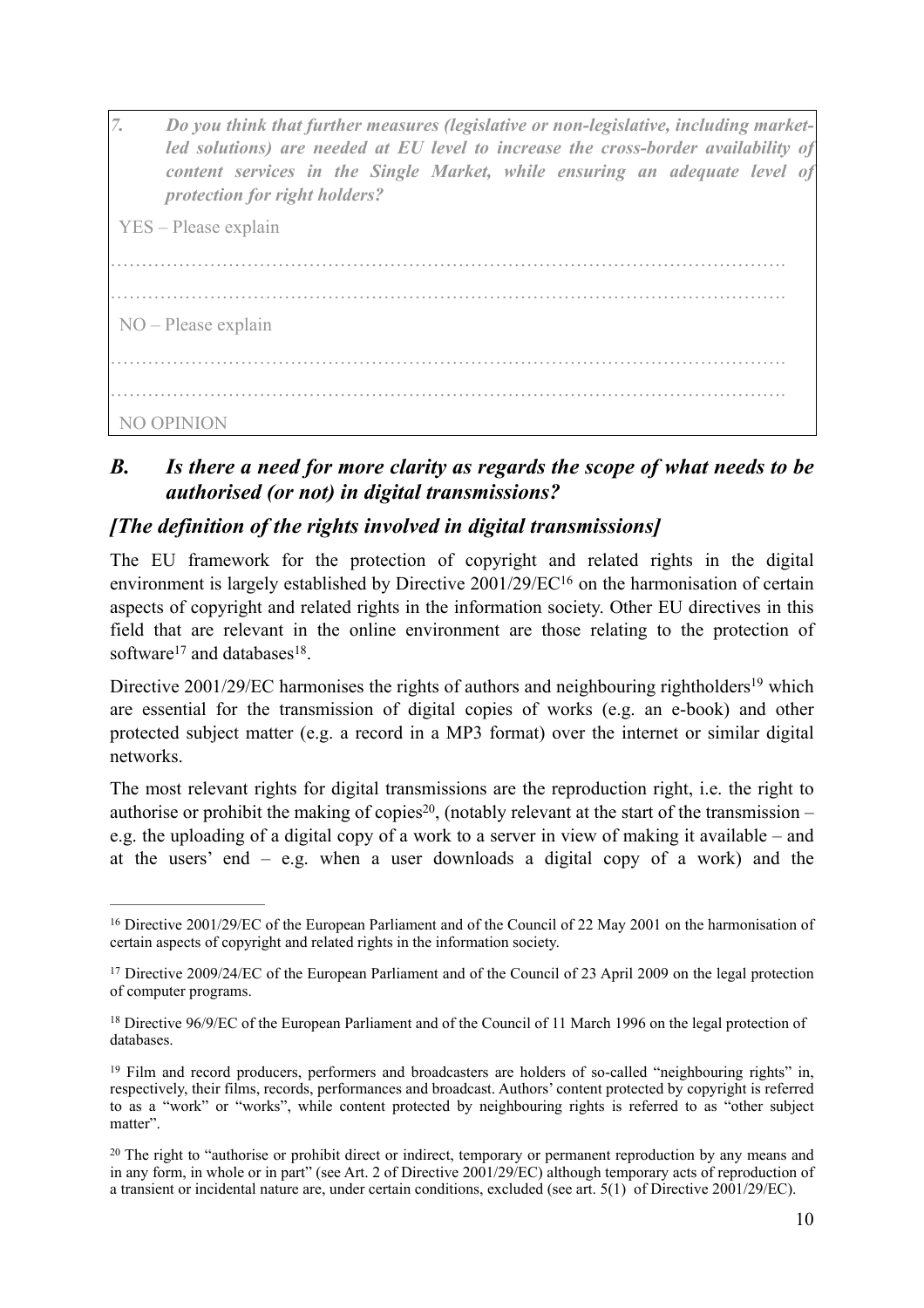*7. Do you think that further measures (legislative or non-legislative, including marketled solutions) are needed at EU level to increase the cross-border availability of content services in the Single Market, while ensuring an adequate level of protection for right holders?*  YES – Please explain ………………………………………………………………………………………………. ………………………………………………………………………………………………. NO – Please explain ………………………………………………………………………………………………. ………………………………………………………………………………………………. NO OPINION

#### *B. Is there a need for more clarity as regards the scope of what needs to be authorised (or not) in digital transmissions?*

## *[The definition of the rights involved in digital transmissions]*

The EU framework for the protection of copyright and related rights in the digital environment is largely established by Directive  $2001/29/EC^{16}$  on the harmonisation of certain aspects of copyright and related rights in the information society. Other EU directives in this field that are relevant in the online environment are those relating to the protection of software<sup>17</sup> and databases<sup>18</sup>

Directive 2001/29/EC harmonises the rights of authors and neighbouring rightholders<sup>19</sup> which are essential for the transmission of digital copies of works (e.g. an e-book) and other protected subject matter (e.g. a record in a MP3 format) over the internet or similar digital networks.

The most relevant rights for digital transmissions are the reproduction right, i.e. the right to authorise or prohibit the making of copies<sup>20</sup>, (notably relevant at the start of the transmission – e.g. the uploading of a digital copy of a work to a server in view of making it available – and at the users' end  $-$  e.g. when a user downloads a digital copy of a work) and the

<sup>&</sup>lt;sup>16</sup> Directive 2001/29/EC of the European Parliament and of the Council of 22 May 2001 on the harmonisation of certain aspects of copyright and related rights in the information society.

<sup>&</sup>lt;sup>17</sup> Directive 2009/24/EC of the European Parliament and of the Council of 23 April 2009 on the legal protection of computer programs.

<sup>&</sup>lt;sup>18</sup> Directive 96/9/EC of the European Parliament and of the Council of 11 March 1996 on the legal protection of databases.

<sup>&</sup>lt;sup>19</sup> Film and record producers, performers and broadcasters are holders of so-called "neighbouring rights" in, respectively, their films, records, performances and broadcast. Authors' content protected by copyright is referred to as a "work" or "works", while content protected by neighbouring rights is referred to as "other subject matter".

 $20$  The right to "authorise or prohibit direct or indirect, temporary or permanent reproduction by any means and in any form, in whole or in part" (see Art. 2 of Directive 2001/29/EC) although temporary acts of reproduction of a transient or incidental nature are, under certain conditions, excluded (see art. 5(1) of Directive 2001/29/EC).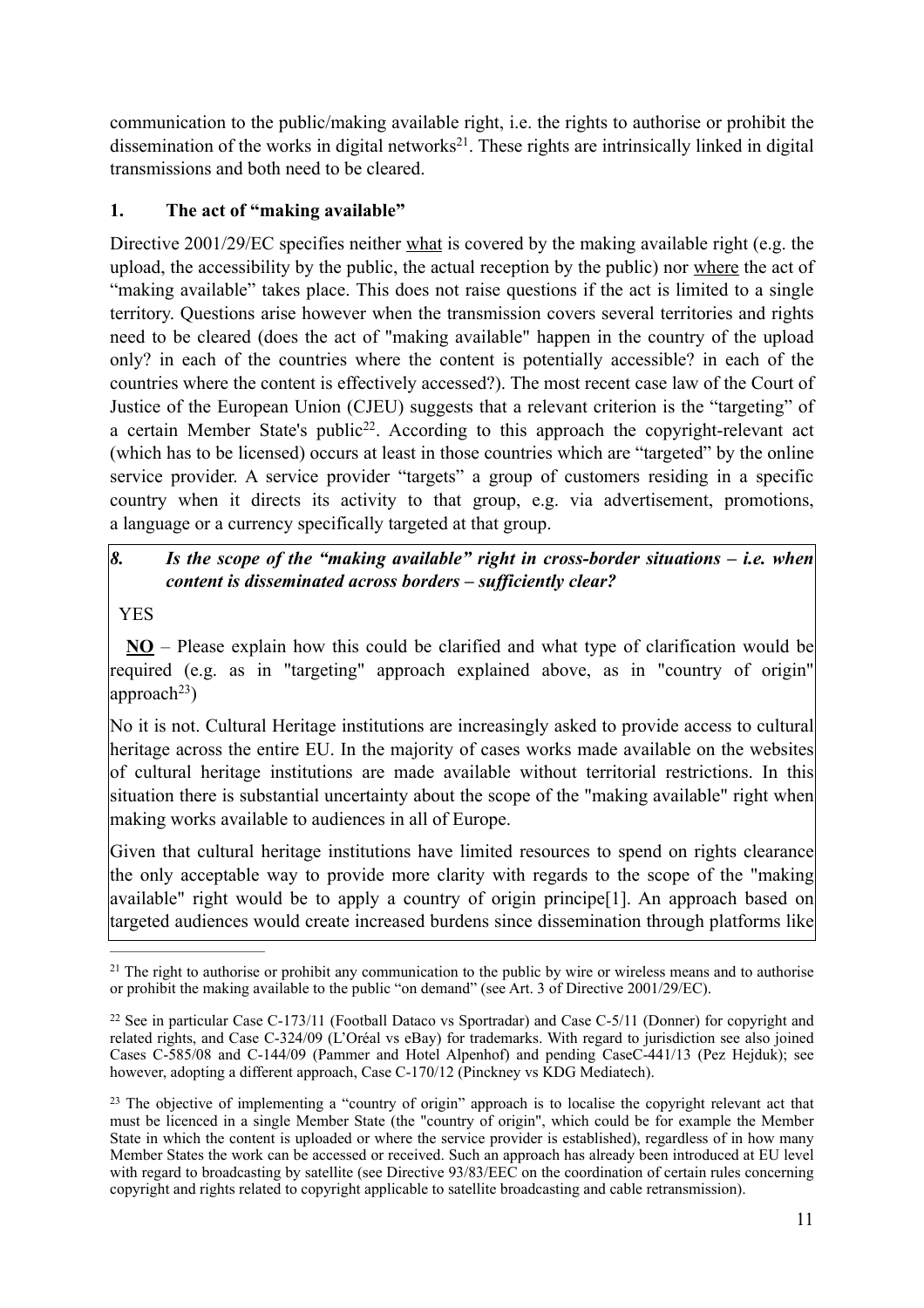communication to the public/making available right, i.e. the rights to authorise or prohibit the dissemination of the works in digital networks<sup>21</sup>. These rights are intrinsically linked in digital transmissions and both need to be cleared.

#### **1. The act of "making available"**

Directive 2001/29/EC specifies neither what is covered by the making available right (e.g. the upload, the accessibility by the public, the actual reception by the public) nor where the act of "making available" takes place. This does not raise questions if the act is limited to a single territory. Questions arise however when the transmission covers several territories and rights need to be cleared (does the act of "making available" happen in the country of the upload only? in each of the countries where the content is potentially accessible? in each of the countries where the content is effectively accessed?). The most recent case law of the Court of Justice of the European Union (CJEU) suggests that a relevant criterion is the "targeting" of a certain Member State's public<sup>22</sup>. According to this approach the copyright-relevant act (which has to be licensed) occurs at least in those countries which are "targeted" by the online service provider. A service provider "targets" a group of customers residing in a specific country when it directs its activity to that group, e.g. via advertisement, promotions, a language or a currency specifically targeted at that group.

#### *8. Is the scope of the "making available" right in cross-border situations – i.e. when content is disseminated across borders – sufficiently clear?*

YES

 **NO** – Please explain how this could be clarified and what type of clarification would be required (e.g. as in "targeting" approach explained above, as in "country of origin" approach<sup>23</sup>)

No it is not. Cultural Heritage institutions are increasingly asked to provide access to cultural heritage across the entire EU. In the majority of cases works made available on the websites of cultural heritage institutions are made available without territorial restrictions. In this situation there is substantial uncertainty about the scope of the "making available" right when making works available to audiences in all of Europe.

Given that cultural heritage institutions have limited resources to spend on rights clearance the only acceptable way to provide more clarity with regards to the scope of the "making available" right would be to apply a country of origin principe[1]. An approach based on targeted audiences would create increased burdens since dissemination through platforms like

 $2<sup>1</sup>$  The right to authorise or prohibit any communication to the public by wire or wireless means and to authorise or prohibit the making available to the public "on demand" (see Art. 3 of Directive 2001/29/EC).

<sup>&</sup>lt;sup>22</sup> See in particular Case C-173/11 (Football Dataco vs Sportradar) and Case C-5/11 (Donner) for copyright and related rights, and Case C-324/09 (L'Oréal vs eBay) for trademarks. With regard to jurisdiction see also joined Cases C-585/08 and C-144/09 (Pammer and Hotel Alpenhof) and pending CaseC-441/13 (Pez Hejduk); see however, adopting a different approach, Case C-170/12 (Pinckney vs KDG Mediatech).

<sup>&</sup>lt;sup>23</sup> The objective of implementing a "country of origin" approach is to localise the copyright relevant act that must be licenced in a single Member State (the "country of origin", which could be for example the Member State in which the content is uploaded or where the service provider is established), regardless of in how many Member States the work can be accessed or received. Such an approach has already been introduced at EU level with regard to broadcasting by satellite (see Directive 93/83/EEC on the coordination of certain rules concerning copyright and rights related to copyright applicable to satellite broadcasting and cable retransmission).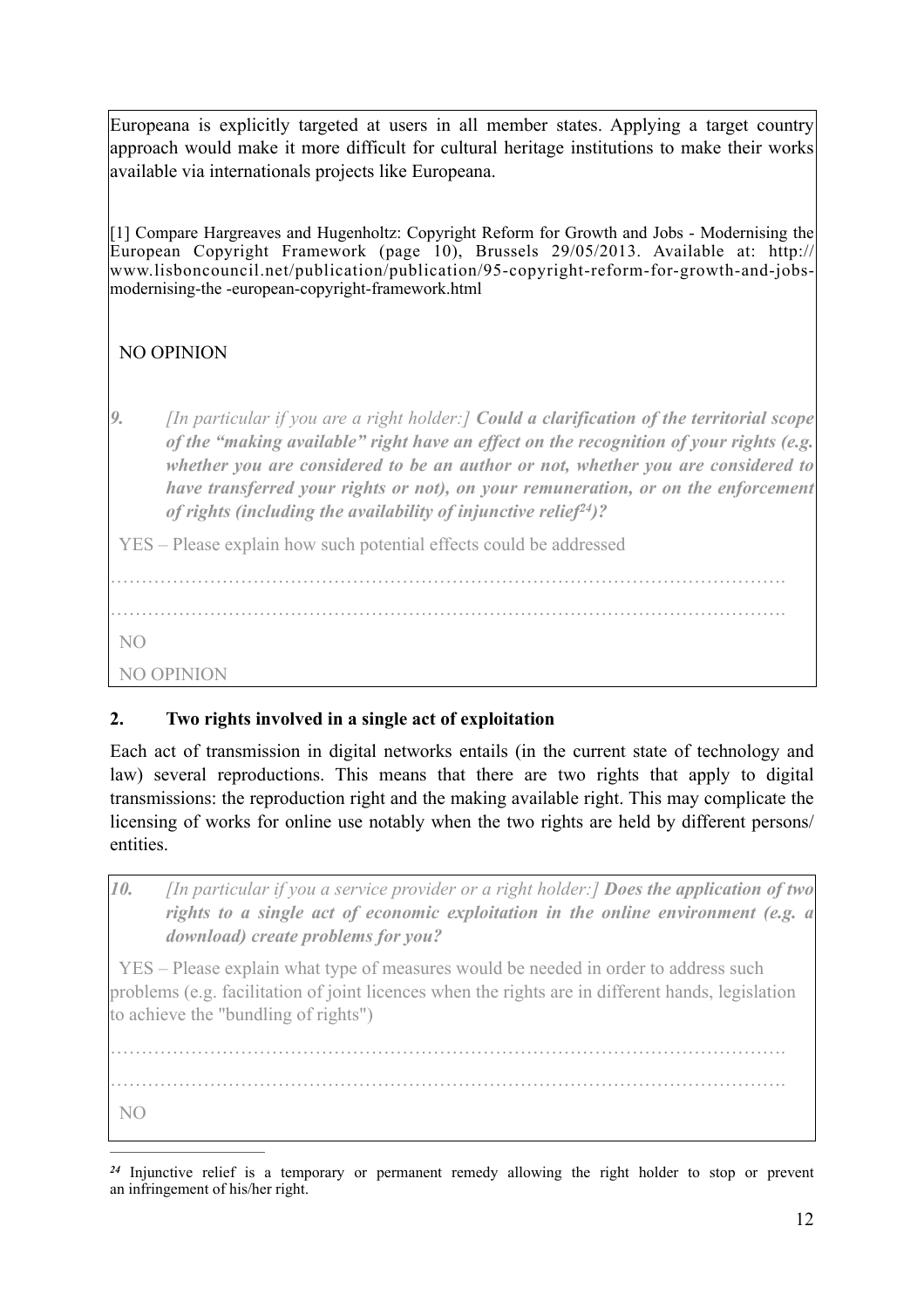Europeana is explicitly targeted at users in all member states. Applying a target country approach would make it more difficult for cultural heritage institutions to make their works available via internationals projects like Europeana.

[1] Compare Hargreaves and Hugenholtz: Copyright Reform for Growth and Jobs - Modernising the European Copyright Framework (page 10), Brussels 29/05/2013. Available at: http:// www.lisboncouncil.net/publication/publication/95-copyright-reform-for-growth-and-jobsmodernising-the -european-copyright-framework.html

## NO OPINION

*9. [In particular if you are a right holder:] Could a clarification of the territorial scope of the "making available" right have an effect on the recognition of your rights (e.g. whether you are considered to be an author or not, whether you are considered to have transferred your rights or not), on your remuneration, or on the enforcement of rights (including the availability of injunctive relief<sup>24</sup>)?* 

YES – Please explain how such potential effects could be addressed

………………………………………………………………………………………………. ………………………………………………………………………………………………. NO

NO OPINION

#### **2. Two rights involved in a single act of exploitation**

Each act of transmission in digital networks entails (in the current state of technology and law) several reproductions. This means that there are two rights that apply to digital transmissions: the reproduction right and the making available right. This may complicate the licensing of works for online use notably when the two rights are held by different persons/ entities.

*10. [In particular if you a service provider or a right holder:] Does the application of two rights to a single act of economic exploitation in the online environment (e.g. a download) create problems for you?* 

 YES – Please explain what type of measures would be needed in order to address such problems (e.g. facilitation of joint licences when the rights are in different hands, legislation to achieve the "bundling of rights")

………………………………………………………………………………………………. ………………………………………………………………………………………………. NO

<sup>&</sup>lt;sup>24</sup> Injunctive relief is a temporary or permanent remedy allowing the right holder to stop or prevent an infringement of his/her right.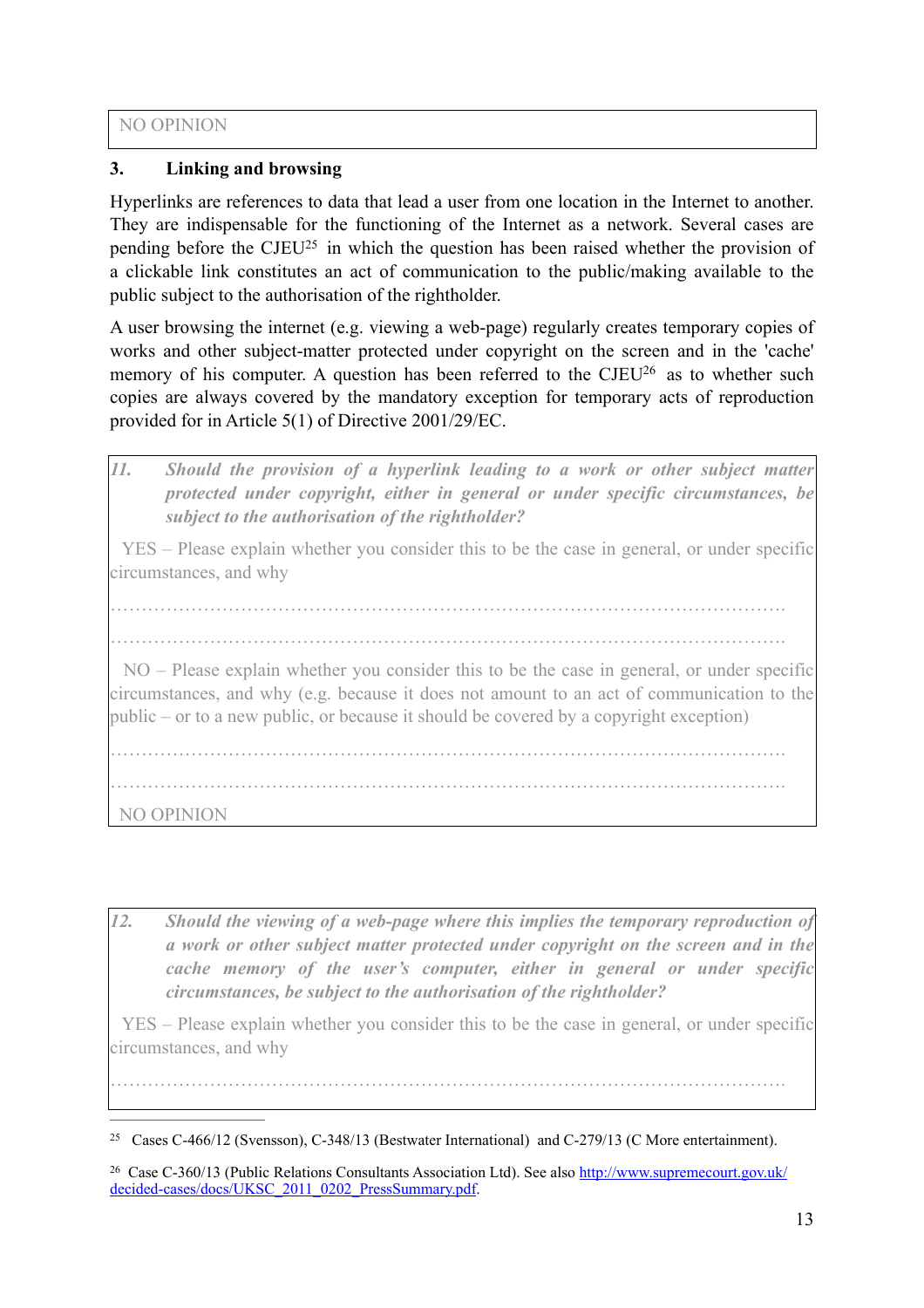NO OPINION

#### **3. Linking and browsing**

Hyperlinks are references to data that lead a user from one location in the Internet to another. They are indispensable for the functioning of the Internet as a network. Several cases are pending before the CJEU<sup>25</sup> in which the question has been raised whether the provision of a clickable link constitutes an act of communication to the public/making available to the public subject to the authorisation of the rightholder.

A user browsing the internet (e.g. viewing a web-page) regularly creates temporary copies of works and other subject-matter protected under copyright on the screen and in the 'cache' memory of his computer. A question has been referred to the  $CJEU<sup>26</sup>$  as to whether such copies are always covered by the mandatory exception for temporary acts of reproduction provided for in Article 5(1) of Directive 2001/29/EC.

| 11.        | Should the provision of a hyperlink leading to a work or other subject matter<br>protected under copyright, either in general or under specific circumstances, be<br>subject to the authorisation of the rightholder?                                                             |
|------------|-----------------------------------------------------------------------------------------------------------------------------------------------------------------------------------------------------------------------------------------------------------------------------------|
|            | YES – Please explain whether you consider this to be the case in general, or under specific<br>circumstances, and why                                                                                                                                                             |
|            |                                                                                                                                                                                                                                                                                   |
|            | NO – Please explain whether you consider this to be the case in general, or under specific<br>circumstances, and why (e.g. because it does not amount to an act of communication to the<br>public – or to a new public, or because it should be covered by a copyright exception) |
| NO OPINION |                                                                                                                                                                                                                                                                                   |

12. Should the viewing of a web-page where this implies the temporary reproduction of *a work or other subject matter protected under copyright on the screen and in the cache memory of the user's computer, either in general or under specific circumstances, be subject to the authorisation of the rightholder?* 

 YES – Please explain whether you consider this to be the case in general, or under specific circumstances, and why

<sup>25</sup> Cases C-466/12 (Svensson), C-348/13 (Bestwater International) and C-279/13 (C More entertainment).

……………………………………………………………………………………………….

<sup>&</sup>lt;sup>26</sup> Case C-360/13 (Public Relations Consultants Association Ltd). See also http://www.supremecourt.gov.uk/ decided-cases/docs/UKSC\_2011\_0202\_PressSummary.pdf.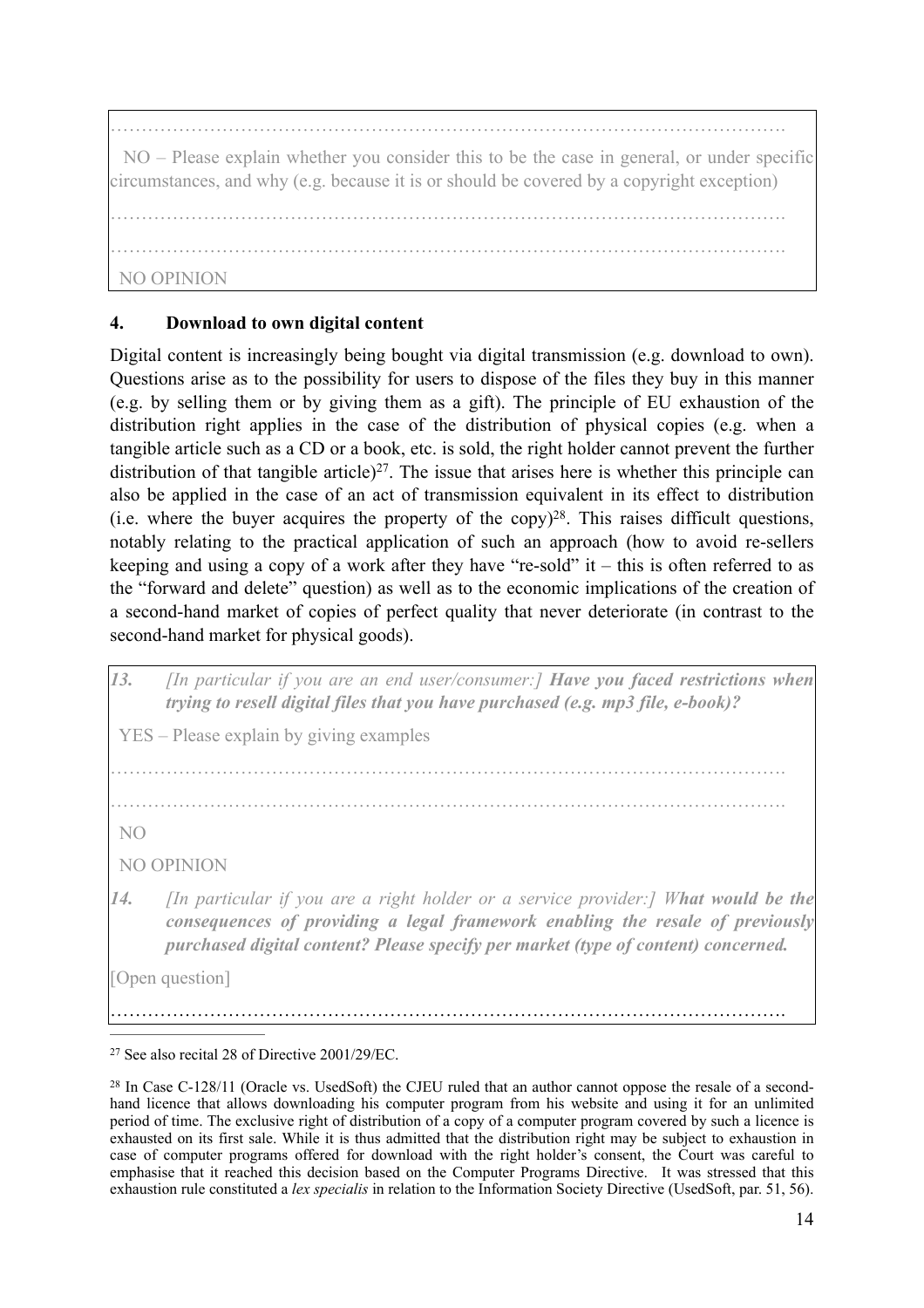………………………………………………………………………………………………. NO – Please explain whether you consider this to be the case in general, or under specific circumstances, and why (e.g. because it is or should be covered by a copyright exception)

………………………………………………………………………………………………. ……………………………………………………………………………………………….

NO OPINION

#### **4. Download to own digital content**

Digital content is increasingly being bought via digital transmission (e.g. download to own). Questions arise as to the possibility for users to dispose of the files they buy in this manner (e.g. by selling them or by giving them as a gift). The principle of EU exhaustion of the distribution right applies in the case of the distribution of physical copies (e.g. when a tangible article such as a CD or a book, etc. is sold, the right holder cannot prevent the further distribution of that tangible article)<sup>27</sup>. The issue that arises here is whether this principle can also be applied in the case of an act of transmission equivalent in its effect to distribution (i.e. where the buyer acquires the property of the copy)<sup>28</sup>. This raises difficult questions, notably relating to the practical application of such an approach (how to avoid re-sellers keeping and using a copy of a work after they have "re-sold" it – this is often referred to as the "forward and delete" question) as well as to the economic implications of the creation of a second-hand market of copies of perfect quality that never deteriorate (in contrast to the second-hand market for physical goods).

| 13.            | <i>In particular if you are an end user/consumer: <math>\boldsymbol{\beta}</math> Have you faced restrictions when</i><br>trying to resell digital files that you have purchased (e.g. mp3 file, e-book)?                                                |
|----------------|----------------------------------------------------------------------------------------------------------------------------------------------------------------------------------------------------------------------------------------------------------|
|                | YES – Please explain by giving examples                                                                                                                                                                                                                  |
|                |                                                                                                                                                                                                                                                          |
| N <sub>O</sub> |                                                                                                                                                                                                                                                          |
|                | NO OPINION                                                                                                                                                                                                                                               |
| 14.            | [In particular if you are a right holder or a service provider:] What would be the<br>consequences of providing a legal framework enabling the resale of previously<br>purchased digital content? Please specify per market (type of content) concerned. |
|                | [Open question]                                                                                                                                                                                                                                          |

 $27$  See also recital 28 of Directive 2001/29/EC.

<sup>&</sup>lt;sup>28</sup> In Case C-128/11 (Oracle vs. UsedSoft) the CJEU ruled that an author cannot oppose the resale of a secondhand licence that allows downloading his computer program from his website and using it for an unlimited period of time. The exclusive right of distribution of a copy of a computer program covered by such a licence is exhausted on its first sale. While it is thus admitted that the distribution right may be subject to exhaustion in case of computer programs offered for download with the right holder's consent, the Court was careful to emphasise that it reached this decision based on the Computer Programs Directive. It was stressed that this exhaustion rule constituted a *lex specialis* in relation to the Information Society Directive (UsedSoft, par. 51, 56).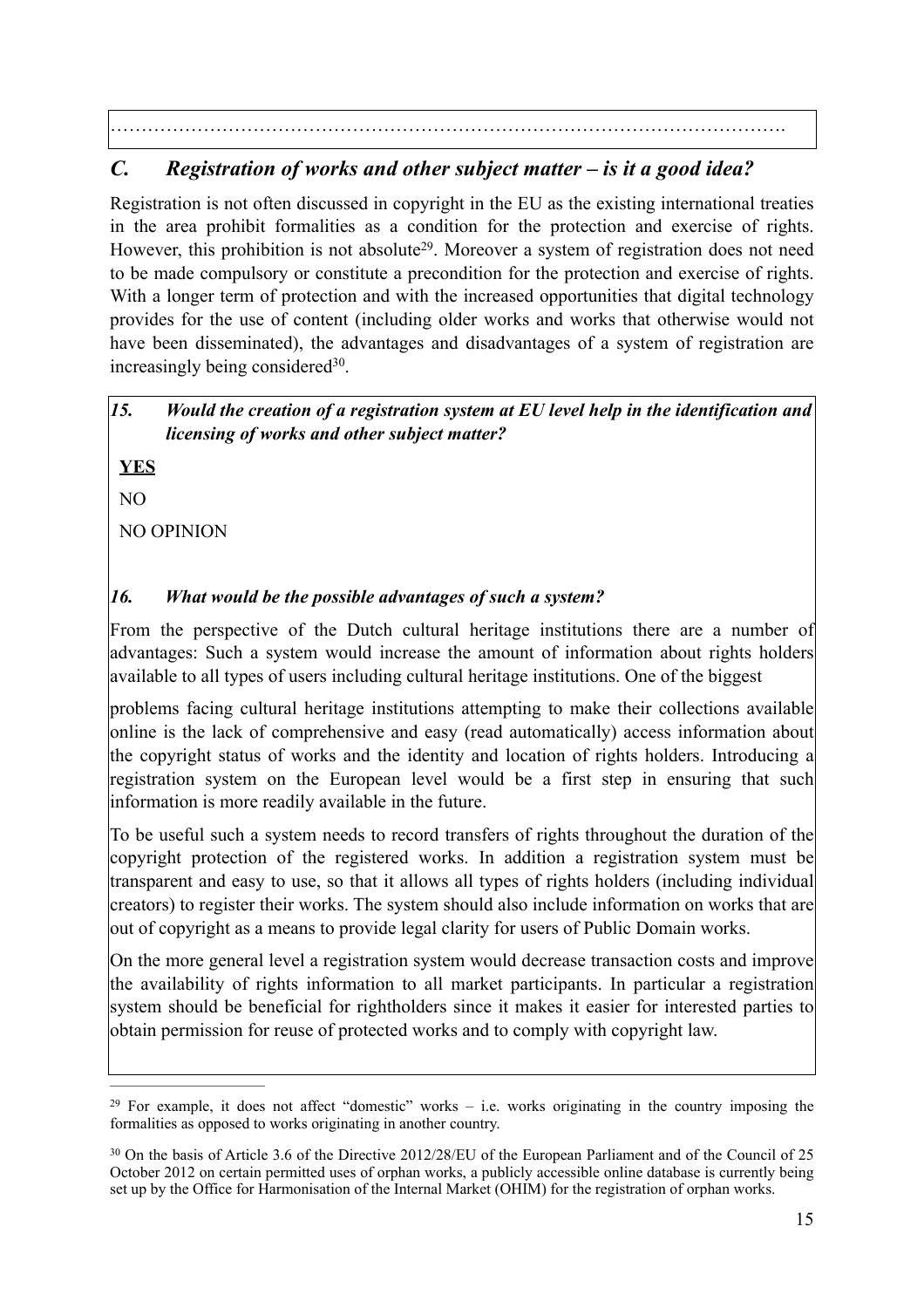……………………………………………………………………………………………….

## *C. Registration of works and other subject matter – is it a good idea?*

Registration is not often discussed in copyright in the EU as the existing international treaties in the area prohibit formalities as a condition for the protection and exercise of rights. However, this prohibition is not absolute<sup>29</sup>. Moreover a system of registration does not need to be made compulsory or constitute a precondition for the protection and exercise of rights. With a longer term of protection and with the increased opportunities that digital technology provides for the use of content (including older works and works that otherwise would not have been disseminated), the advantages and disadvantages of a system of registration are increasingly being considered  $30$ .

#### *15. Would the creation of a registration system at EU level help in the identification and licensing of works and other subject matter?*

#### **YES**

NO

NO OPINION

## *16. What would be the possible advantages of such a system?*

From the perspective of the Dutch cultural heritage institutions there are a number of advantages: Such a system would increase the amount of information about rights holders available to all types of users including cultural heritage institutions. One of the biggest

problems facing cultural heritage institutions attempting to make their collections available online is the lack of comprehensive and easy (read automatically) access information about the copyright status of works and the identity and location of rights holders. Introducing a registration system on the European level would be a first step in ensuring that such information is more readily available in the future.

To be useful such a system needs to record transfers of rights throughout the duration of the copyright protection of the registered works. In addition a registration system must be transparent and easy to use, so that it allows all types of rights holders (including individual creators) to register their works. The system should also include information on works that are out of copyright as a means to provide legal clarity for users of Public Domain works.

On the more general level a registration system would decrease transaction costs and improve the availability of rights information to all market participants. In particular a registration system should be beneficial for rightholders since it makes it easier for interested parties to obtain permission for reuse of protected works and to comply with copyright law.

<sup>&</sup>lt;sup>29</sup> For example, it does not affect "domestic" works – i.e. works originating in the country imposing the formalities as opposed to works originating in another country.

<sup>&</sup>lt;sup>30</sup> On the basis of Article 3.6 of the Directive 2012/28/EU of the European Parliament and of the Council of 25 October 2012 on certain permitted uses of orphan works, a publicly accessible online database is currently being set up by the Office for Harmonisation of the Internal Market (OHIM) for the registration of orphan works.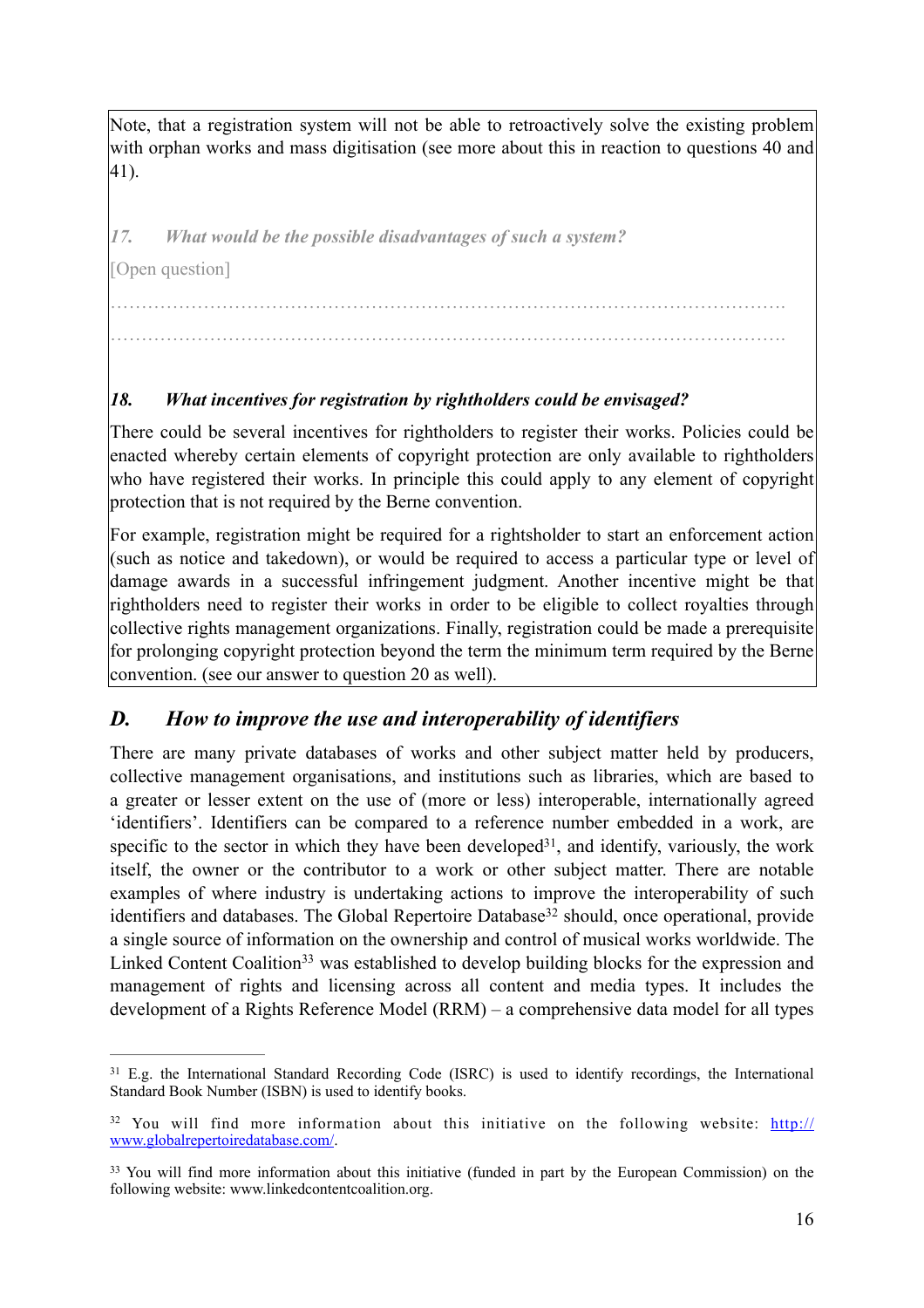Note, that a registration system will not be able to retroactively solve the existing problem with orphan works and mass digitisation (see more about this in reaction to questions 40 and 41).

……………………………………………………………………………………………….

……………………………………………………………………………………………….

*17. What would be the possible disadvantages of such a system?* 

[Open question]

*18. What incentives for registration by rightholders could be envisaged?*

There could be several incentives for rightholders to register their works. Policies could be enacted whereby certain elements of copyright protection are only available to rightholders who have registered their works. In principle this could apply to any element of copyright protection that is not required by the Berne convention.

For example, registration might be required for a rightsholder to start an enforcement action (such as notice and takedown), or would be required to access a particular type or level of damage awards in a successful infringement judgment. Another incentive might be that rightholders need to register their works in order to be eligible to collect royalties through collective rights management organizations. Finally, registration could be made a prerequisite for prolonging copyright protection beyond the term the minimum term required by the Berne convention. (see our answer to question 20 as well).

#### *D. How to improve the use and interoperability of identifiers*

There are many private databases of works and other subject matter held by producers, collective management organisations, and institutions such as libraries, which are based to a greater or lesser extent on the use of (more or less) interoperable, internationally agreed 'identifiers'. Identifiers can be compared to a reference number embedded in a work, are specific to the sector in which they have been developed $31$ , and identify, variously, the work itself, the owner or the contributor to a work or other subject matter. There are notable examples of where industry is undertaking actions to improve the interoperability of such identifiers and databases. The Global Repertoire Database<sup>32</sup> should, once operational, provide a single source of information on the ownership and control of musical works worldwide. The Linked Content Coalition<sup>33</sup> was established to develop building blocks for the expression and management of rights and licensing across all content and media types. It includes the development of a Rights Reference Model (RRM) – a comprehensive data model for all types

<sup>&</sup>lt;sup>31</sup> E.g. the International Standard Recording Code (ISRC) is used to identify recordings, the International Standard Book Number (ISBN) is used to identify books.

<sup>&</sup>lt;sup>32</sup> You will find more information about this initiative on the following website:  $\frac{http://}{http://}$ www.globalrepertoiredatabase.com/.

<sup>&</sup>lt;sup>33</sup> You will find more information about this initiative (funded in part by the European Commission) on the following website: www.linkedcontentcoalition.org.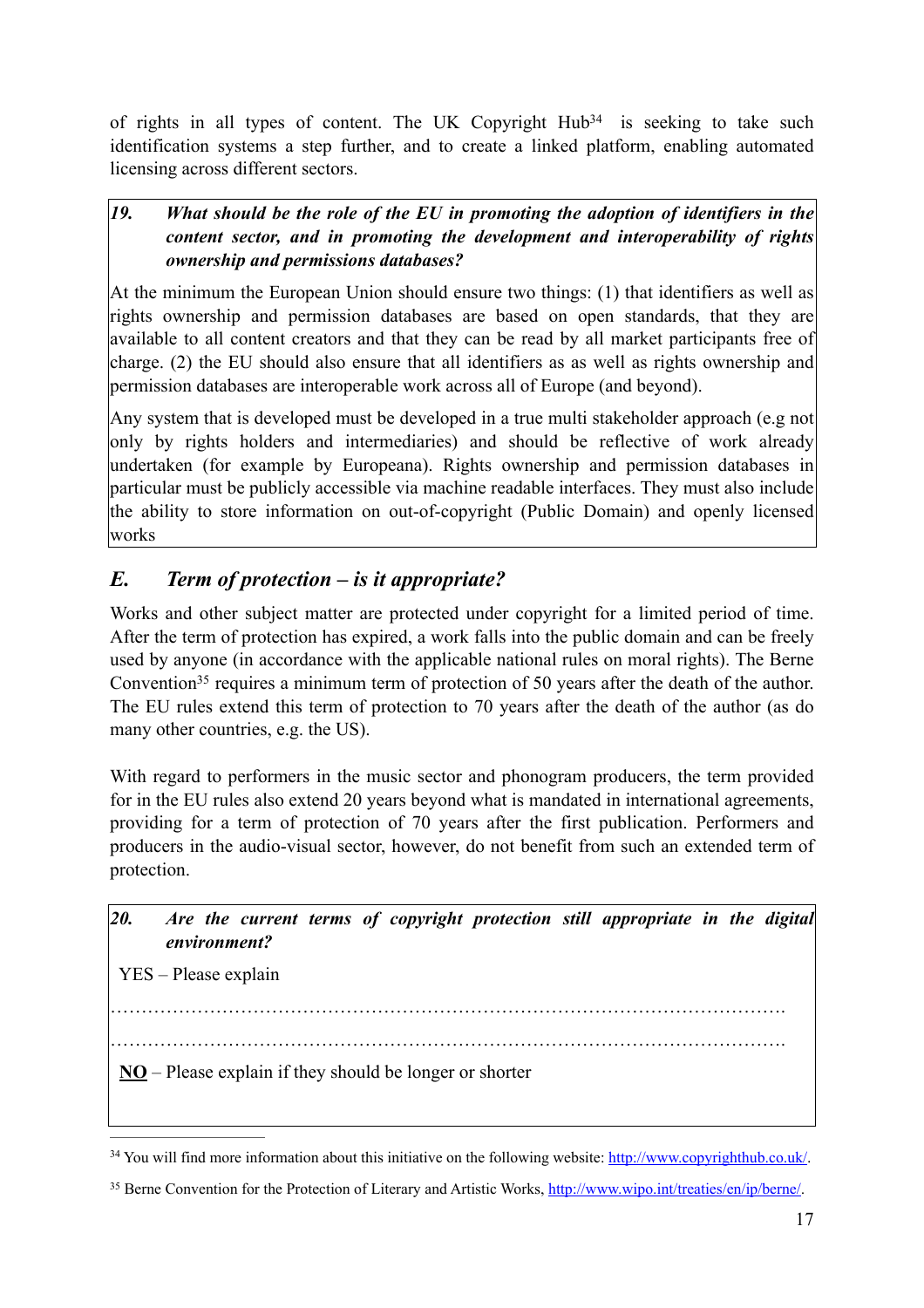of rights in all types of content. The UK Copyright  $Hub<sup>34</sup>$  is seeking to take such identification systems a step further, and to create a linked platform, enabling automated licensing across different sectors.

#### *19. What should be the role of the EU in promoting the adoption of identifiers in the content sector, and in promoting the development and interoperability of rights ownership and permissions databases?*

At the minimum the European Union should ensure two things: (1) that identifiers as well as rights ownership and permission databases are based on open standards, that they are available to all content creators and that they can be read by all market participants free of charge. (2) the EU should also ensure that all identifiers as as well as rights ownership and permission databases are interoperable work across all of Europe (and beyond).

Any system that is developed must be developed in a true multi stakeholder approach (e.g not only by rights holders and intermediaries) and should be reflective of work already undertaken (for example by Europeana). Rights ownership and permission databases in particular must be publicly accessible via machine readable interfaces. They must also include the ability to store information on out-of-copyright (Public Domain) and openly licensed works

## *E. Term of protection – is it appropriate?*

Works and other subject matter are protected under copyright for a limited period of time. After the term of protection has expired, a work falls into the public domain and can be freely used by anyone (in accordance with the applicable national rules on moral rights). The Berne Convention<sup>35</sup> requires a minimum term of protection of 50 years after the death of the author. The EU rules extend this term of protection to 70 years after the death of the author (as do many other countries, e.g. the US).

With regard to performers in the music sector and phonogram producers, the term provided for in the EU rules also extend 20 years beyond what is mandated in international agreements, providing for a term of protection of 70 years after the first publication. Performers and producers in the audio-visual sector, however, do not benefit from such an extended term of protection.

| 20. | Are the current terms of copyright protection still appropriate in the digital |  |  |  |  |  |
|-----|--------------------------------------------------------------------------------|--|--|--|--|--|
|     | environment?                                                                   |  |  |  |  |  |

YES – Please explain

………………………………………………………………………………………………. ……………………………………………………………………………………………….

**NO** – Please explain if they should be longer or shorter

<sup>&</sup>lt;sup>34</sup> You will find more information about this initiative on the following website: http://www.copyrighthub.co.uk/.

<sup>&</sup>lt;sup>35</sup> Berne Convention for the Protection of Literary and Artistic Works, http://www.wipo.int/treaties/en/ip/berne/.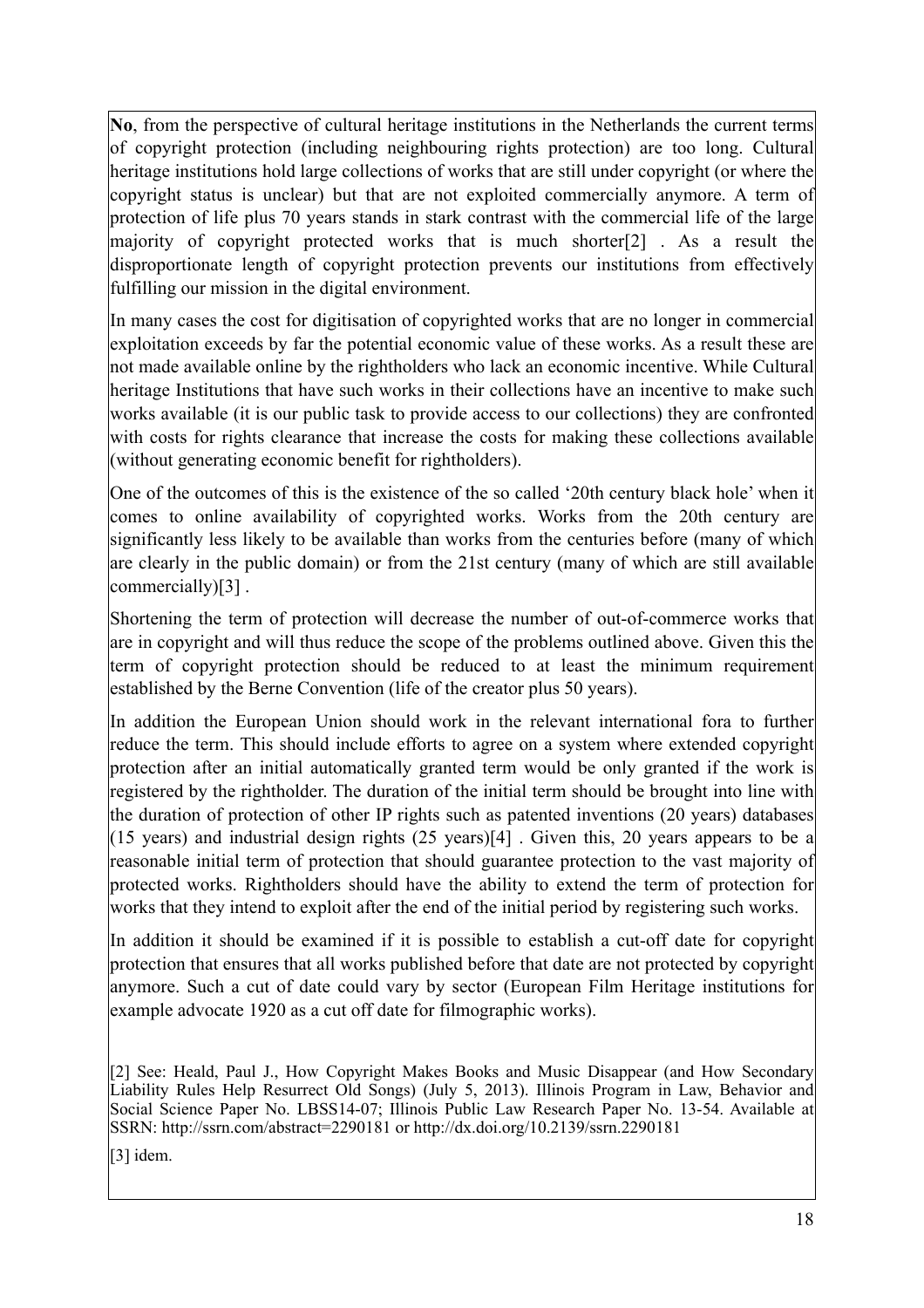**No**, from the perspective of cultural heritage institutions in the Netherlands the current terms of copyright protection (including neighbouring rights protection) are too long. Cultural heritage institutions hold large collections of works that are still under copyright (or where the copyright status is unclear) but that are not exploited commercially anymore. A term of protection of life plus 70 years stands in stark contrast with the commercial life of the large majority of copyright protected works that is much shorter[2] . As a result the disproportionate length of copyright protection prevents our institutions from effectively fulfilling our mission in the digital environment.

In many cases the cost for digitisation of copyrighted works that are no longer in commercial exploitation exceeds by far the potential economic value of these works. As a result these are not made available online by the rightholders who lack an economic incentive. While Cultural heritage Institutions that have such works in their collections have an incentive to make such works available (it is our public task to provide access to our collections) they are confronted with costs for rights clearance that increase the costs for making these collections available (without generating economic benefit for rightholders).

One of the outcomes of this is the existence of the so called '20th century black hole' when it comes to online availability of copyrighted works. Works from the 20th century are significantly less likely to be available than works from the centuries before (many of which are clearly in the public domain) or from the 21st century (many of which are still available commercially)[3].

Shortening the term of protection will decrease the number of out-of-commerce works that are in copyright and will thus reduce the scope of the problems outlined above. Given this the term of copyright protection should be reduced to at least the minimum requirement established by the Berne Convention (life of the creator plus 50 years).

In addition the European Union should work in the relevant international fora to further reduce the term. This should include efforts to agree on a system where extended copyright protection after an initial automatically granted term would be only granted if the work is registered by the rightholder. The duration of the initial term should be brought into line with the duration of protection of other IP rights such as patented inventions (20 years) databases (15 years) and industrial design rights (25 years)[4] . Given this, 20 years appears to be a reasonable initial term of protection that should guarantee protection to the vast majority of protected works. Rightholders should have the ability to extend the term of protection for works that they intend to exploit after the end of the initial period by registering such works.

In addition it should be examined if it is possible to establish a cut-off date for copyright protection that ensures that all works published before that date are not protected by copyright anymore. Such a cut of date could vary by sector (European Film Heritage institutions for example advocate 1920 as a cut off date for filmographic works).

[2] See: Heald, Paul J., How Copyright Makes Books and Music Disappear (and How Secondary Liability Rules Help Resurrect Old Songs) (July 5, 2013). Illinois Program in Law, Behavior and Social Science Paper No. LBSS14-07; Illinois Public Law Research Paper No. 13-54. Available at SSRN: http://ssrn.com/abstract=2290181 or http://dx.doi.org/10.2139/ssrn.2290181

[3] idem.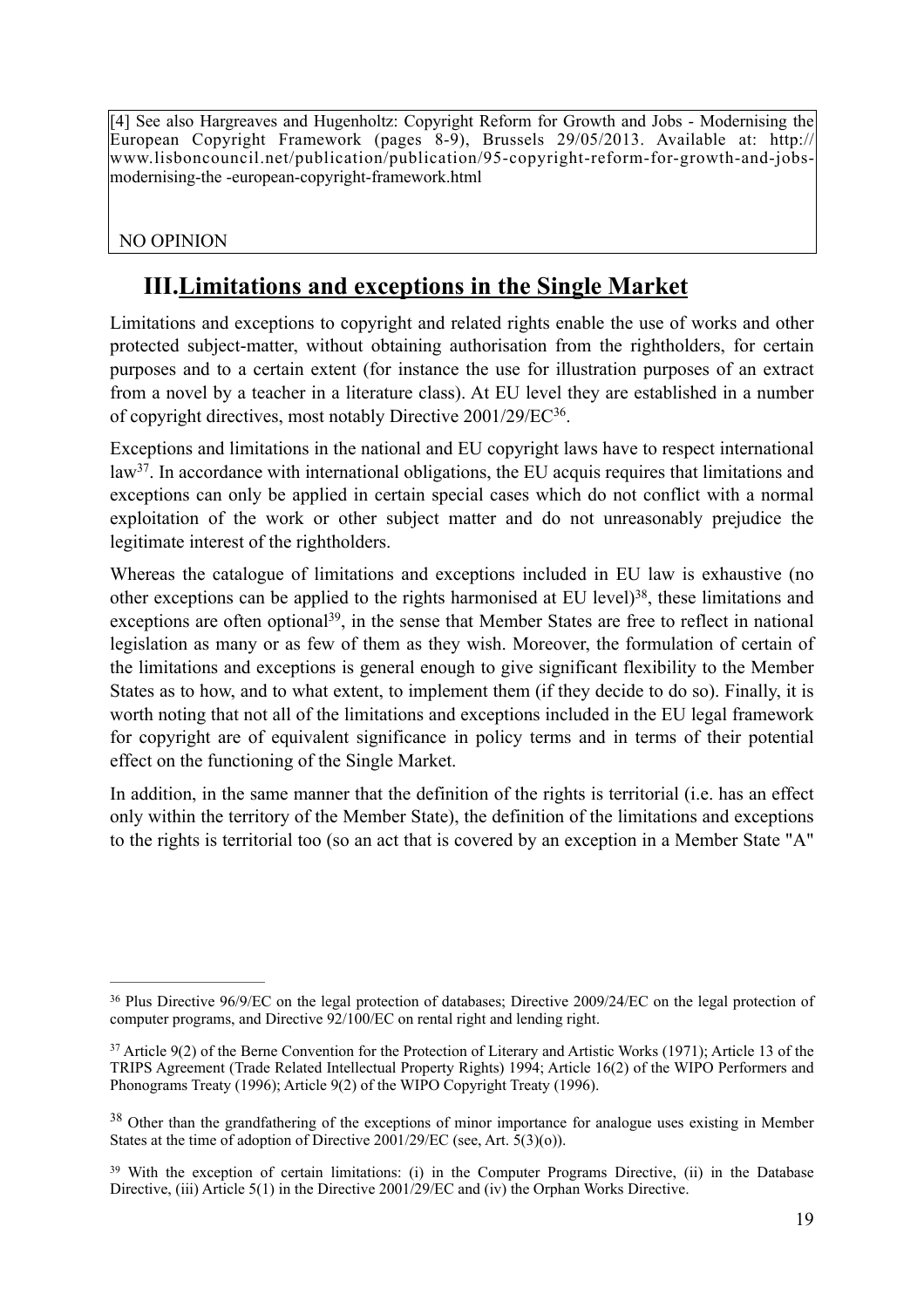[4] See also Hargreaves and Hugenholtz: Copyright Reform for Growth and Jobs - Modernising the European Copyright Framework (pages 8-9), Brussels 29/05/2013. Available at: http:// www.lisboncouncil.net/publication/publication/95-copyright-reform-for-growth-and-jobsmodernising-the -european-copyright-framework.html

NO OPINION

# **III.Limitations and exceptions in the Single Market**

Limitations and exceptions to copyright and related rights enable the use of works and other protected subject-matter, without obtaining authorisation from the rightholders, for certain purposes and to a certain extent (for instance the use for illustration purposes of an extract from a novel by a teacher in a literature class). At EU level they are established in a number of copyright directives, most notably Directive  $2001/29/EC^{36}$ .

Exceptions and limitations in the national and EU copyright laws have to respect international law<sup>37</sup>. In accordance with international obligations, the EU acquis requires that limitations and exceptions can only be applied in certain special cases which do not conflict with a normal exploitation of the work or other subject matter and do not unreasonably prejudice the legitimate interest of the rightholders.

Whereas the catalogue of limitations and exceptions included in EU law is exhaustive (no other exceptions can be applied to the rights harmonised at EU level)<sup>38</sup>, these limitations and exceptions are often optional<sup>39</sup>, in the sense that Member States are free to reflect in national legislation as many or as few of them as they wish. Moreover, the formulation of certain of the limitations and exceptions is general enough to give significant flexibility to the Member States as to how, and to what extent, to implement them (if they decide to do so). Finally, it is worth noting that not all of the limitations and exceptions included in the EU legal framework for copyright are of equivalent significance in policy terms and in terms of their potential effect on the functioning of the Single Market.

In addition, in the same manner that the definition of the rights is territorial (i.e. has an effect only within the territory of the Member State), the definition of the limitations and exceptions to the rights is territorial too (so an act that is covered by an exception in a Member State "A"

<sup>&</sup>lt;sup>36</sup> Plus Directive 96/9/EC on the legal protection of databases; Directive 2009/24/EC on the legal protection of computer programs, and Directive  $92/100$ /EC on rental right and lending right.

<sup>&</sup>lt;sup>37</sup> Article 9(2) of the Berne Convention for the Protection of Literary and Artistic Works (1971); Article 13 of the TRIPS Agreement (Trade Related Intellectual Property Rights) 1994; Article 16(2) of the WIPO Performers and Phonograms Treaty (1996); Article 9(2) of the WIPO Copyright Treaty (1996).

<sup>&</sup>lt;sup>38</sup> Other than the grandfathering of the exceptions of minor importance for analogue uses existing in Member States at the time of adoption of Directive 2001/29/EC (see, Art. 5(3)(o)).

 $39$  With the exception of certain limitations: (i) in the Computer Programs Directive, (ii) in the Database Directive, (iii) Article 5(1) in the Directive 2001/29/EC and (iv) the Orphan Works Directive.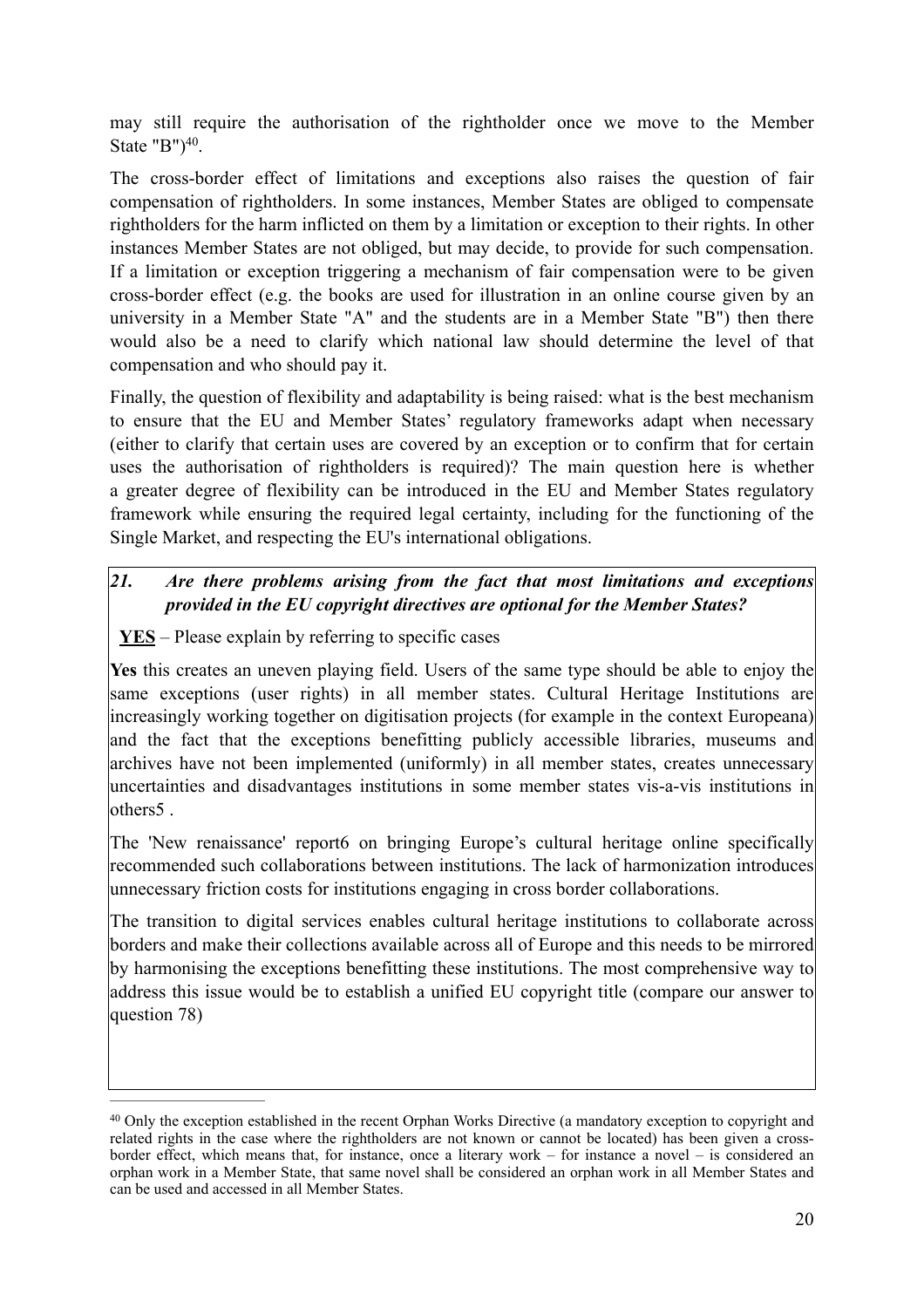may still require the authorisation of the rightholder once we move to the Member State "B" $)^{40}$ .

The cross-border effect of limitations and exceptions also raises the question of fair compensation of rightholders. In some instances, Member States are obliged to compensate rightholders for the harm inflicted on them by a limitation or exception to their rights. In other instances Member States are not obliged, but may decide, to provide for such compensation. If a limitation or exception triggering a mechanism of fair compensation were to be given cross-border effect (e.g. the books are used for illustration in an online course given by an university in a Member State "A" and the students are in a Member State "B") then there would also be a need to clarify which national law should determine the level of that compensation and who should pay it.

Finally, the question of flexibility and adaptability is being raised: what is the best mechanism to ensure that the EU and Member States' regulatory frameworks adapt when necessary (either to clarify that certain uses are covered by an exception or to confirm that for certain uses the authorisation of rightholders is required)? The main question here is whether a greater degree of flexibility can be introduced in the EU and Member States regulatory framework while ensuring the required legal certainty, including for the functioning of the Single Market, and respecting the EU's international obligations.

#### *21. Are there problems arising from the fact that most limitations and exceptions provided in the EU copyright directives are optional for the Member States?*

**YES** – Please explain by referring to specific cases

**Yes** this creates an uneven playing field. Users of the same type should be able to enjoy the same exceptions (user rights) in all member states. Cultural Heritage Institutions are increasingly working together on digitisation projects (for example in the context Europeana) and the fact that the exceptions benefitting publicly accessible libraries, museums and archives have not been implemented (uniformly) in all member states, creates unnecessary uncertainties and disadvantages institutions in some member states vis-a-vis institutions in others5 .

The 'New renaissance' report6 on bringing Europe's cultural heritage online specifically recommended such collaborations between institutions. The lack of harmonization introduces unnecessary friction costs for institutions engaging in cross border collaborations.

The transition to digital services enables cultural heritage institutions to collaborate across borders and make their collections available across all of Europe and this needs to be mirrored by harmonising the exceptions benefitting these institutions. The most comprehensive way to address this issue would be to establish a unified EU copyright title (compare our answer to question 78)

<sup>&</sup>lt;sup>40</sup> Only the exception established in the recent Orphan Works Directive (a mandatory exception to copyright and related rights in the case where the rightholders are not known or cannot be located) has been given a crossborder effect, which means that, for instance, once a literary work – for instance a novel – is considered an orphan work in a Member State, that same novel shall be considered an orphan work in all Member States and can be used and accessed in all Member States.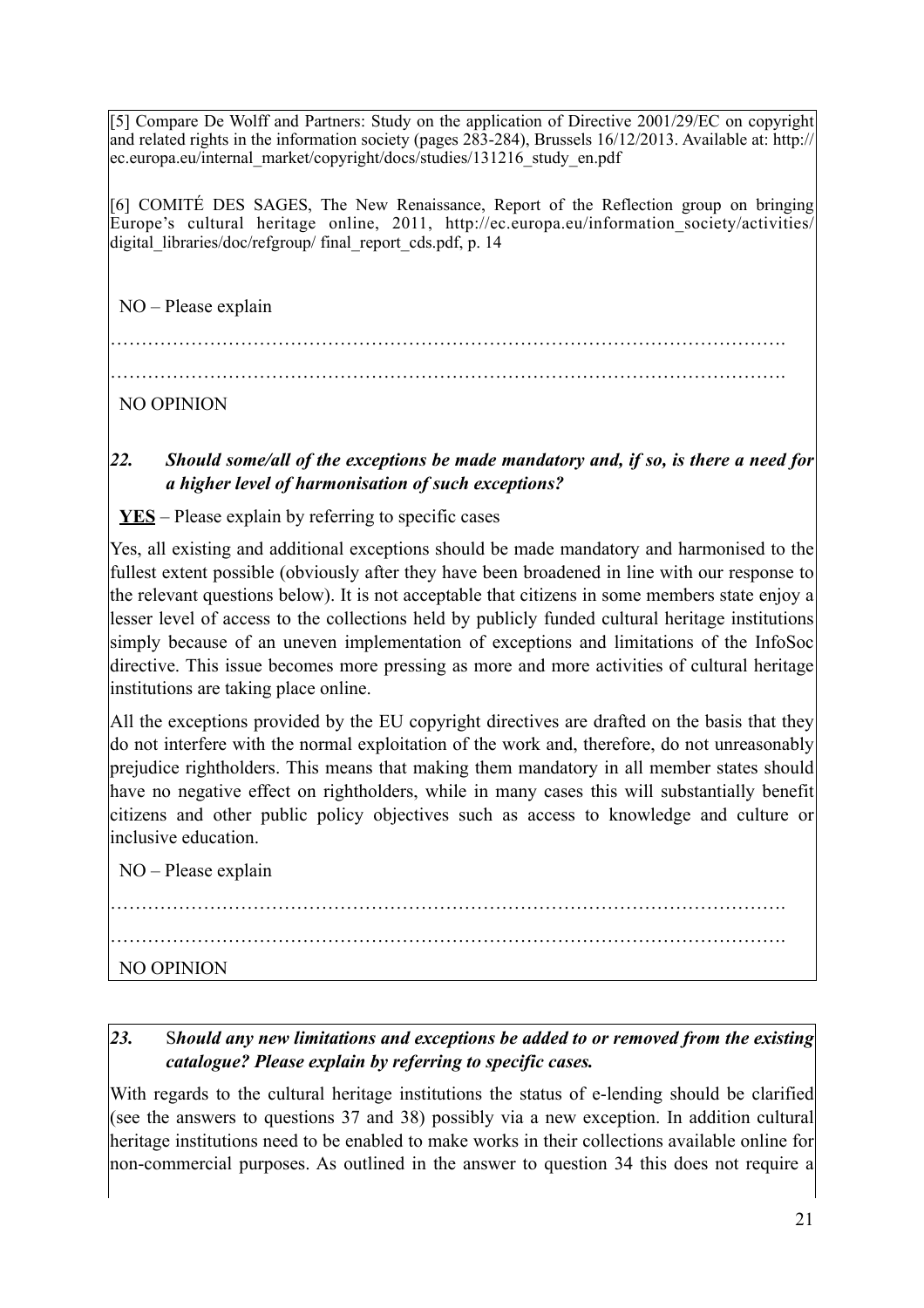[5] Compare De Wolff and Partners: Study on the application of Directive 2001/29/EC on copyright and related rights in the information society (pages 283-284), Brussels 16/12/2013. Available at: http:// ec.europa.eu/internal\_market/copyright/docs/studies/131216\_study\_en.pdf

[6] COMITÉ DES SAGES, The New Renaissance, Report of the Reflection group on bringing Europe's cultural heritage online, 2011, http://ec.europa.eu/information society/activities/ digital libraries/doc/refgroup/ final report cds.pdf, p. 14

NO – Please explain

……………………………………………………………………………………………….

……………………………………………………………………………………………….

NO OPINION

*22. Should some/all of the exceptions be made mandatory and, if so, is there a need for a higher level of harmonisation of such exceptions?* 

**YES** – Please explain by referring to specific cases

Yes, all existing and additional exceptions should be made mandatory and harmonised to the fullest extent possible (obviously after they have been broadened in line with our response to the relevant questions below). It is not acceptable that citizens in some members state enjoy a lesser level of access to the collections held by publicly funded cultural heritage institutions simply because of an uneven implementation of exceptions and limitations of the InfoSoc directive. This issue becomes more pressing as more and more activities of cultural heritage institutions are taking place online.

All the exceptions provided by the EU copyright directives are drafted on the basis that they do not interfere with the normal exploitation of the work and, therefore, do not unreasonably prejudice rightholders. This means that making them mandatory in all member states should have no negative effect on rightholders, while in many cases this will substantially benefit citizens and other public policy objectives such as access to knowledge and culture or inclusive education.

 NO – Please explain ………………………………………………………………………………………………. ………………………………………………………………………………………………. NO OPINION

#### *23.* S*hould any new limitations and exceptions be added to or removed from the existing catalogue? Please explain by referring to specific cases.*

With regards to the cultural heritage institutions the status of e-lending should be clarified (see the answers to questions 37 and 38) possibly via a new exception. In addition cultural heritage institutions need to be enabled to make works in their collections available online for non-commercial purposes. As outlined in the answer to question 34 this does not require a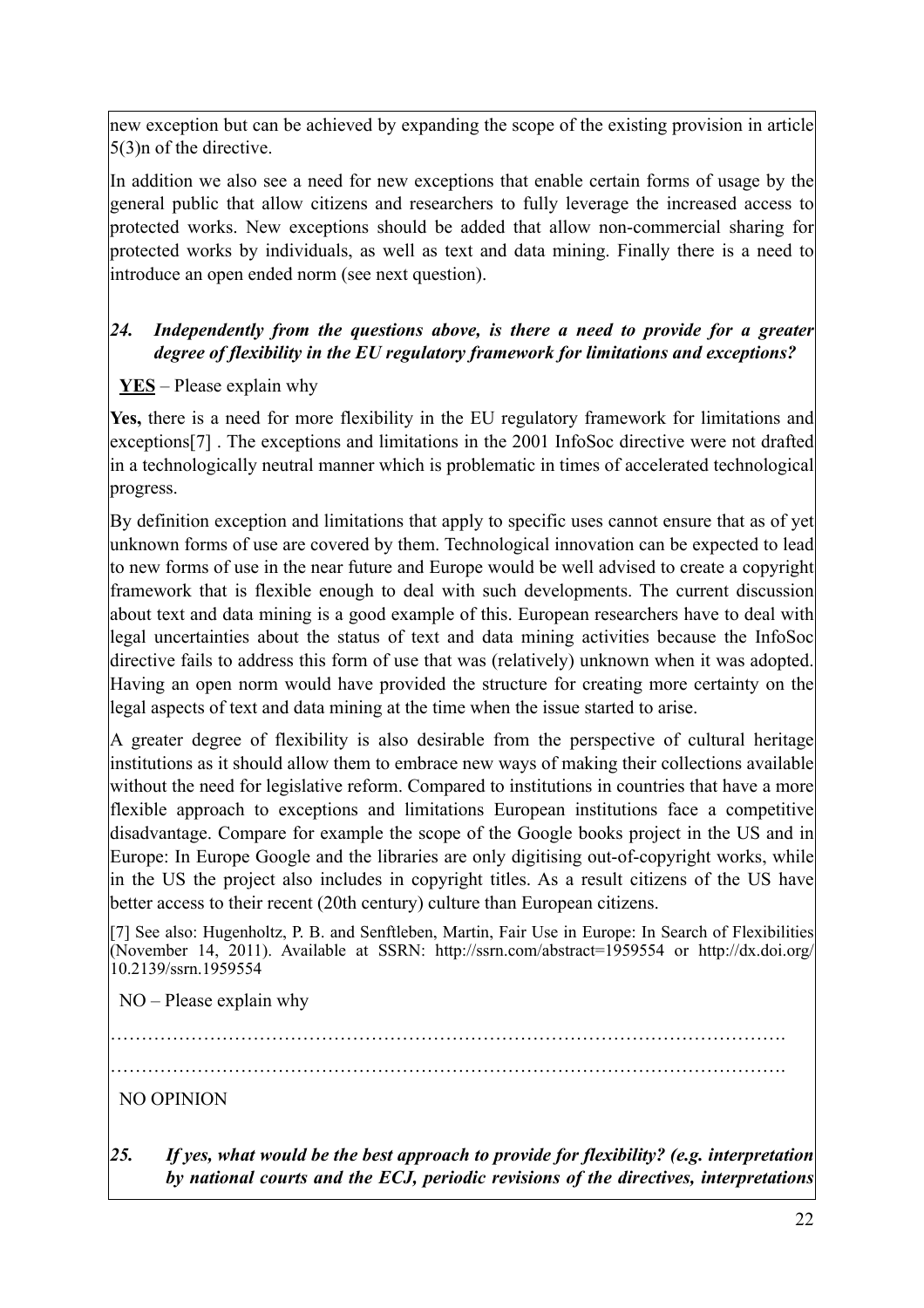new exception but can be achieved by expanding the scope of the existing provision in article 5(3)n of the directive.

In addition we also see a need for new exceptions that enable certain forms of usage by the general public that allow citizens and researchers to fully leverage the increased access to protected works. New exceptions should be added that allow non-commercial sharing for protected works by individuals, as well as text and data mining. Finally there is a need to introduce an open ended norm (see next question).

#### *24. Independently from the questions above, is there a need to provide for a greater degree of flexibility in the EU regulatory framework for limitations and exceptions?*

#### **YES** – Please explain why

**Yes,** there is a need for more flexibility in the EU regulatory framework for limitations and exceptions[7] . The exceptions and limitations in the 2001 InfoSoc directive were not drafted in a technologically neutral manner which is problematic in times of accelerated technological progress.

By definition exception and limitations that apply to specific uses cannot ensure that as of yet unknown forms of use are covered by them. Technological innovation can be expected to lead to new forms of use in the near future and Europe would be well advised to create a copyright framework that is flexible enough to deal with such developments. The current discussion about text and data mining is a good example of this. European researchers have to deal with legal uncertainties about the status of text and data mining activities because the InfoSoc directive fails to address this form of use that was (relatively) unknown when it was adopted. Having an open norm would have provided the structure for creating more certainty on the legal aspects of text and data mining at the time when the issue started to arise.

A greater degree of flexibility is also desirable from the perspective of cultural heritage institutions as it should allow them to embrace new ways of making their collections available without the need for legislative reform. Compared to institutions in countries that have a more flexible approach to exceptions and limitations European institutions face a competitive disadvantage. Compare for example the scope of the Google books project in the US and in Europe: In Europe Google and the libraries are only digitising out-of-copyright works, while in the US the project also includes in copyright titles. As a result citizens of the US have better access to their recent (20th century) culture than European citizens.

[7] See also: Hugenholtz, P. B. and Senftleben, Martin, Fair Use in Europe: In Search of Flexibilities (November 14, 2011). Available at SSRN: http://ssrn.com/abstract=1959554 or http://dx.doi.org/ 10.2139/ssrn.1959554

NO – Please explain why

……………………………………………………………………………………………….

……………………………………………………………………………………………….

NO OPINION

*25. If yes, what would be the best approach to provide for flexibility? (e.g. interpretation by national courts and the ECJ, periodic revisions of the directives, interpretations*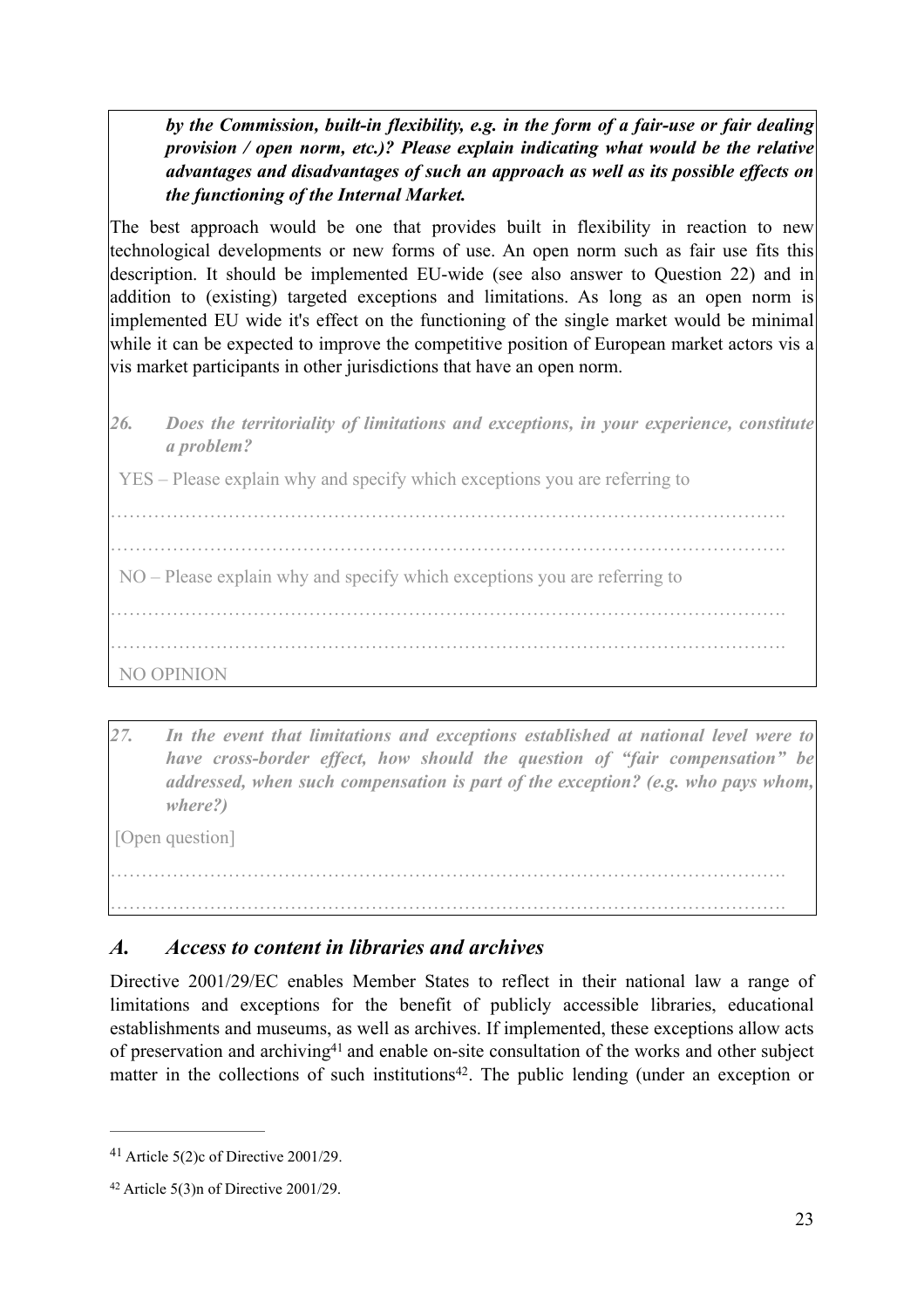*by the Commission, built-in flexibility, e.g. in the form of a fair-use or fair dealing provision / open norm, etc.)? Please explain indicating what would be the relative advantages and disadvantages of such an approach as well as its possible effects on the functioning of the Internal Market.*

The best approach would be one that provides built in flexibility in reaction to new technological developments or new forms of use. An open norm such as fair use fits this description. It should be implemented EU-wide (see also answer to Question 22) and in addition to (existing) targeted exceptions and limitations. As long as an open norm is implemented EU wide it's effect on the functioning of the single market would be minimal while it can be expected to improve the competitive position of European market actors vis a vis market participants in other jurisdictions that have an open norm.

*26. Does the territoriality of limitations and exceptions, in your experience, constitute a problem?* 

YES – Please explain why and specify which exceptions you are referring to

………………………………………………………………………………………………. NO – Please explain why and specify which exceptions you are referring to

……………………………………………………………………………………………….

……………………………………………………………………………………………….

NO OPINION

*27. In the event that limitations and exceptions established at national level were to have cross-border effect, how should the question of "fair compensation" be addressed, when such compensation is part of the exception? (e.g. who pays whom, where?)* 

[Open question]

………………………………………………………………………………………………. ……………………………………………………………………………………………….

## *A. Access to content in libraries and archives*

Directive 2001/29/EC enables Member States to reflect in their national law a range of limitations and exceptions for the benefit of publicly accessible libraries, educational establishments and museums, as well as archives. If implemented, these exceptions allow acts of preservation and archiving<sup>41</sup> and enable on-site consultation of the works and other subject matter in the collections of such institutions<sup> $42$ </sup>. The public lending (under an exception or

<sup>&</sup>lt;sup>41</sup> Article 5(2)c of Directive 2001/29.

 $42$  Article 5(3)n of Directive 2001/29.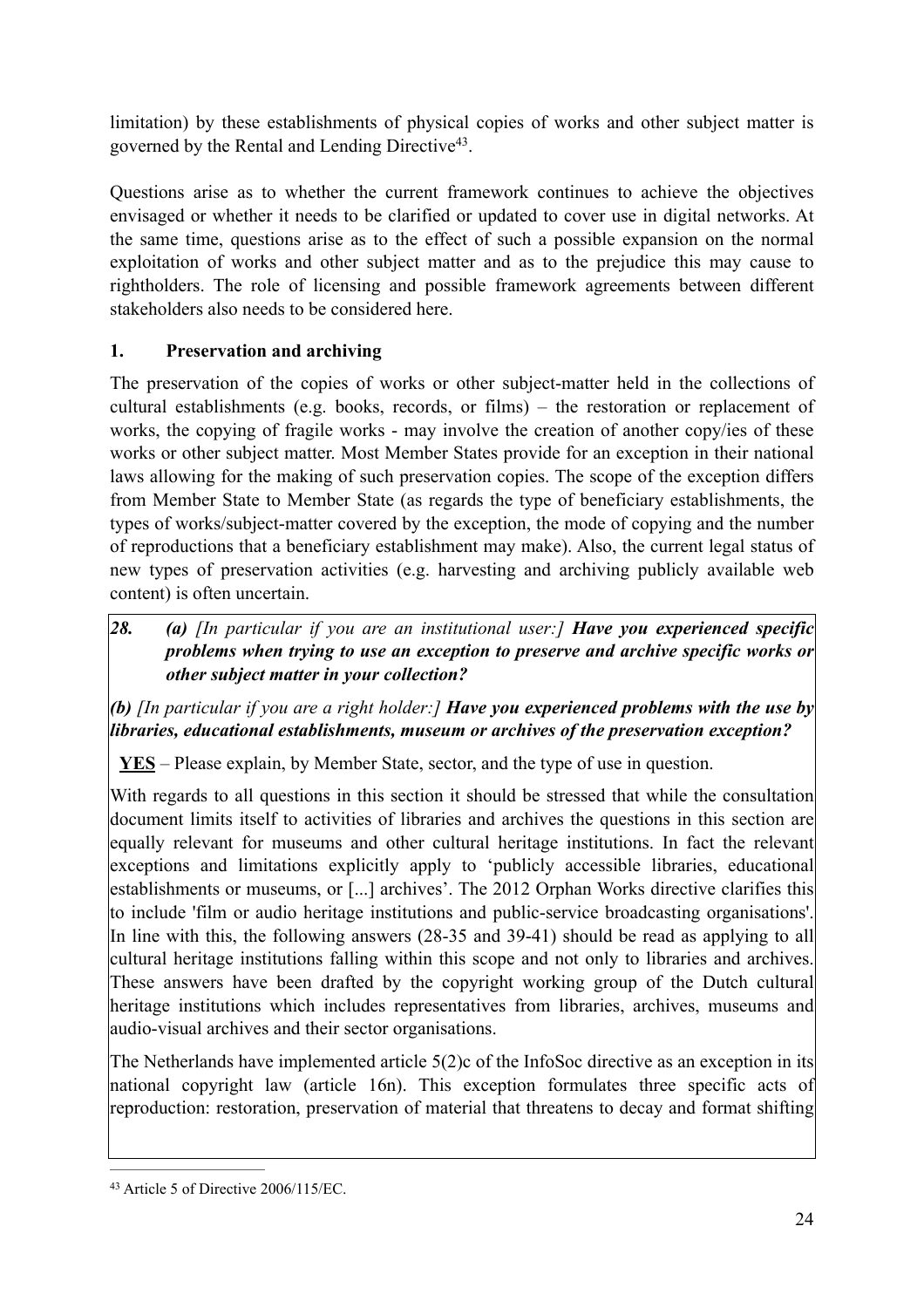limitation) by these establishments of physical copies of works and other subject matter is governed by the Rental and Lending Directive<sup>43</sup>.

Questions arise as to whether the current framework continues to achieve the objectives envisaged or whether it needs to be clarified or updated to cover use in digital networks. At the same time, questions arise as to the effect of such a possible expansion on the normal exploitation of works and other subject matter and as to the prejudice this may cause to rightholders. The role of licensing and possible framework agreements between different stakeholders also needs to be considered here.

#### **1. Preservation and archiving**

The preservation of the copies of works or other subject-matter held in the collections of cultural establishments (e.g. books, records, or films) – the restoration or replacement of works, the copying of fragile works - may involve the creation of another copy/ies of these works or other subject matter. Most Member States provide for an exception in their national laws allowing for the making of such preservation copies. The scope of the exception differs from Member State to Member State (as regards the type of beneficiary establishments, the types of works/subject-matter covered by the exception, the mode of copying and the number of reproductions that a beneficiary establishment may make). Also, the current legal status of new types of preservation activities (e.g. harvesting and archiving publicly available web content) is often uncertain.

*28. (a) [In particular if you are an institutional user:] Have you experienced specific problems when trying to use an exception to preserve and archive specific works or other subject matter in your collection?* 

*(b) [In particular if you are a right holder:] Have you experienced problems with the use by libraries, educational establishments, museum or archives of the preservation exception?* 

**YES** – Please explain, by Member State, sector, and the type of use in question.

With regards to all questions in this section it should be stressed that while the consultation document limits itself to activities of libraries and archives the questions in this section are equally relevant for museums and other cultural heritage institutions. In fact the relevant exceptions and limitations explicitly apply to 'publicly accessible libraries, educational establishments or museums, or [...] archives'. The 2012 Orphan Works directive clarifies this to include 'film or audio heritage institutions and public-service broadcasting organisations'. In line with this, the following answers (28-35 and 39-41) should be read as applying to all cultural heritage institutions falling within this scope and not only to libraries and archives. These answers have been drafted by the copyright working group of the Dutch cultural heritage institutions which includes representatives from libraries, archives, museums and audio-visual archives and their sector organisations.

The Netherlands have implemented article 5(2)c of the InfoSoc directive as an exception in its national copyright law (article 16n). This exception formulates three specific acts of reproduction: restoration, preservation of material that threatens to decay and format shifting

<sup>&</sup>lt;sup>43</sup> Article 5 of Directive 2006/115/EC.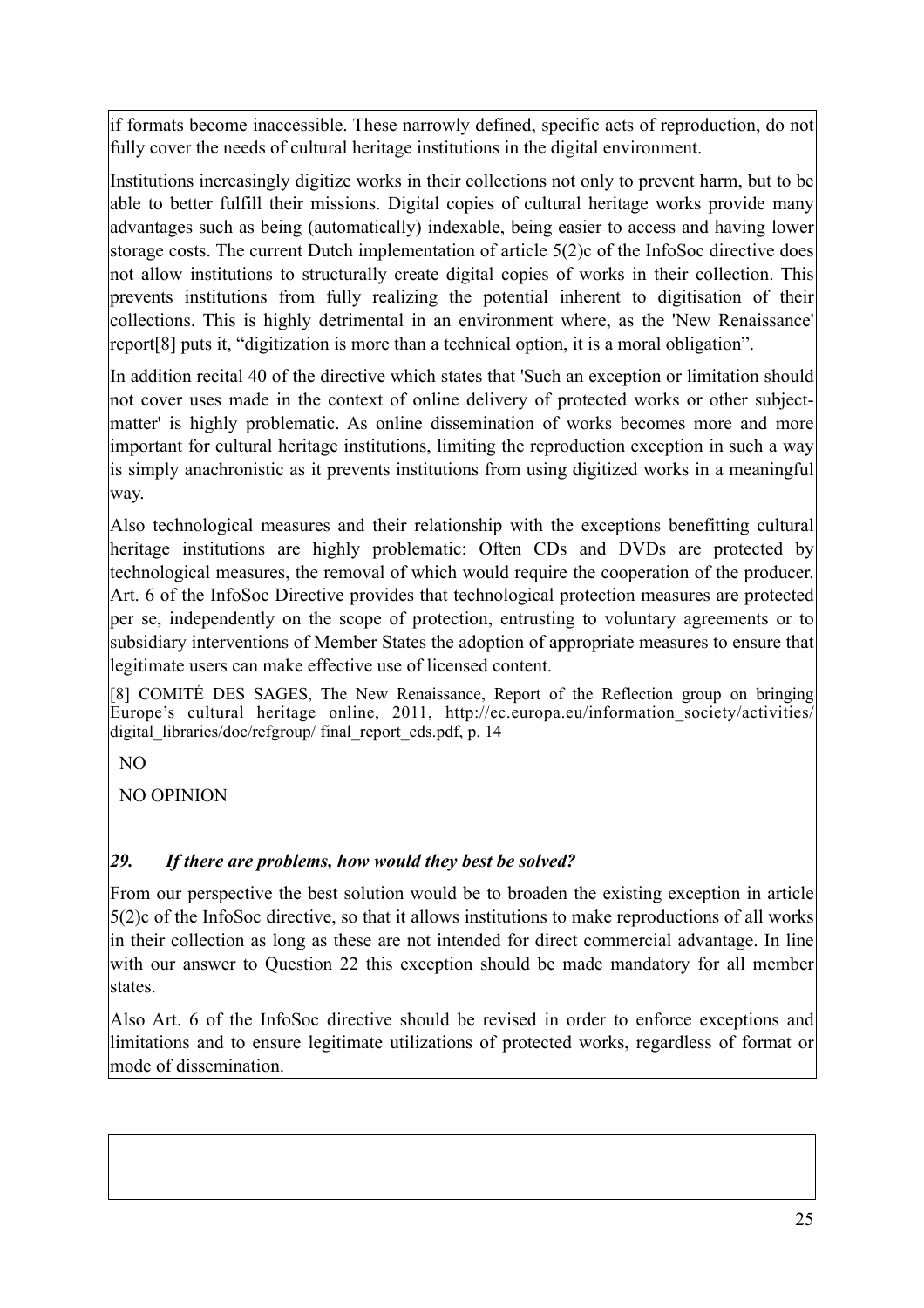if formats become inaccessible. These narrowly defined, specific acts of reproduction, do not fully cover the needs of cultural heritage institutions in the digital environment.

Institutions increasingly digitize works in their collections not only to prevent harm, but to be able to better fulfill their missions. Digital copies of cultural heritage works provide many advantages such as being (automatically) indexable, being easier to access and having lower storage costs. The current Dutch implementation of article 5(2)c of the InfoSoc directive does not allow institutions to structurally create digital copies of works in their collection. This prevents institutions from fully realizing the potential inherent to digitisation of their collections. This is highly detrimental in an environment where, as the 'New Renaissance' report[8] puts it, "digitization is more than a technical option, it is a moral obligation".

In addition recital 40 of the directive which states that 'Such an exception or limitation should not cover uses made in the context of online delivery of protected works or other subjectmatter' is highly problematic. As online dissemination of works becomes more and more important for cultural heritage institutions, limiting the reproduction exception in such a way is simply anachronistic as it prevents institutions from using digitized works in a meaningful way.

Also technological measures and their relationship with the exceptions benefitting cultural heritage institutions are highly problematic: Often CDs and DVDs are protected by technological measures, the removal of which would require the cooperation of the producer. Art. 6 of the InfoSoc Directive provides that technological protection measures are protected per se, independently on the scope of protection, entrusting to voluntary agreements or to subsidiary interventions of Member States the adoption of appropriate measures to ensure that legitimate users can make effective use of licensed content.

[8] COMITÉ DES SAGES, The New Renaissance, Report of the Reflection group on bringing Europe's cultural heritage online, 2011, http://ec.europa.eu/information society/activities/ digital libraries/doc/refgroup/ final report cds.pdf, p. 14

NO

NO OPINION

#### *29. If there are problems, how would they best be solved?*

From our perspective the best solution would be to broaden the existing exception in article 5(2)c of the InfoSoc directive, so that it allows institutions to make reproductions of all works in their collection as long as these are not intended for direct commercial advantage. In line with our answer to Question 22 this exception should be made mandatory for all member states.

Also Art. 6 of the InfoSoc directive should be revised in order to enforce exceptions and limitations and to ensure legitimate utilizations of protected works, regardless of format or mode of dissemination.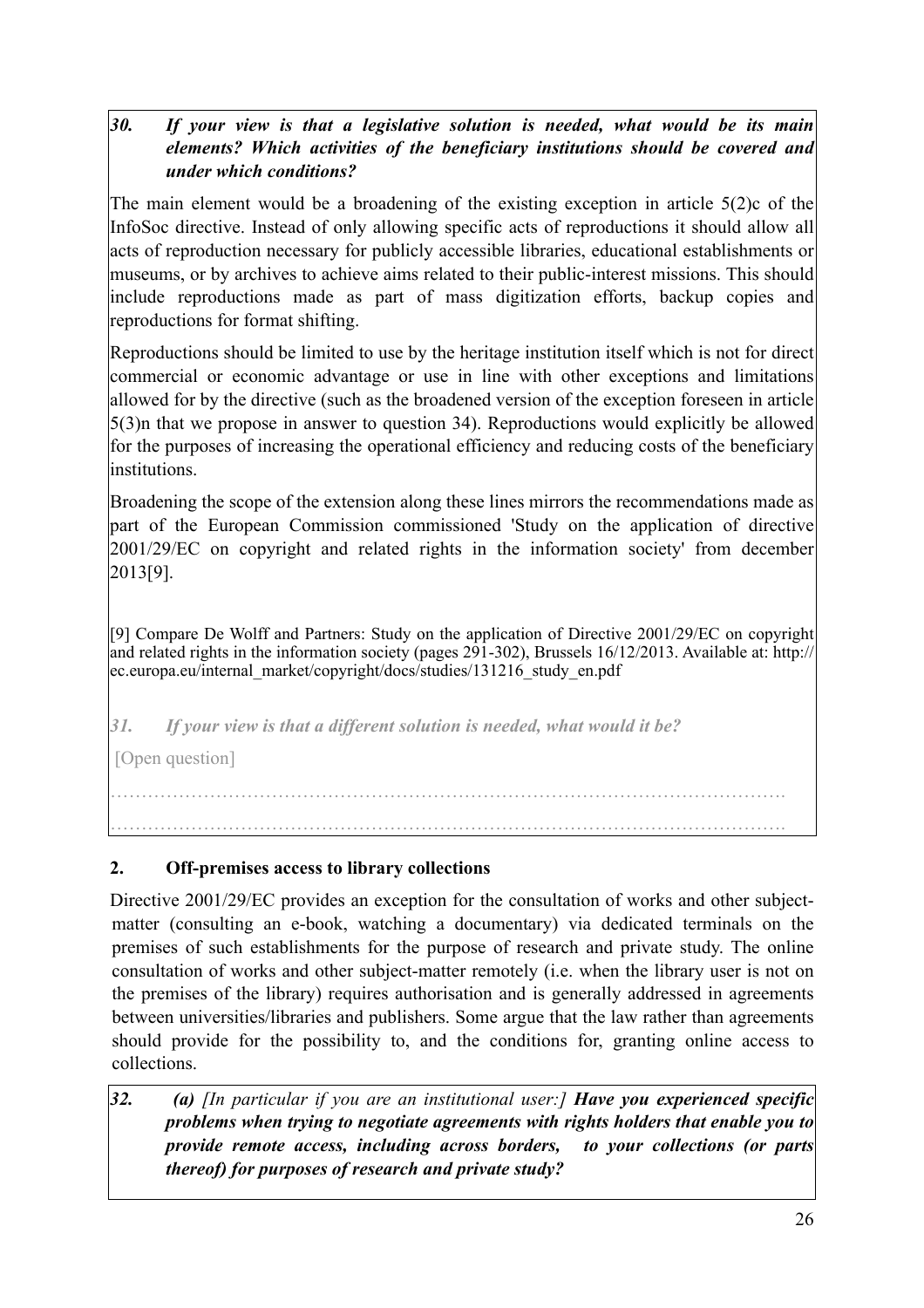#### *30. If your view is that a legislative solution is needed, what would be its main elements? Which activities of the beneficiary institutions should be covered and under which conditions?*

The main element would be a broadening of the existing exception in article 5(2)c of the InfoSoc directive. Instead of only allowing specific acts of reproductions it should allow all acts of reproduction necessary for publicly accessible libraries, educational establishments or museums, or by archives to achieve aims related to their public-interest missions. This should include reproductions made as part of mass digitization efforts, backup copies and reproductions for format shifting.

Reproductions should be limited to use by the heritage institution itself which is not for direct commercial or economic advantage or use in line with other exceptions and limitations allowed for by the directive (such as the broadened version of the exception foreseen in article 5(3)n that we propose in answer to question 34). Reproductions would explicitly be allowed for the purposes of increasing the operational efficiency and reducing costs of the beneficiary institutions.

Broadening the scope of the extension along these lines mirrors the recommendations made as part of the European Commission commissioned 'Study on the application of directive 2001/29/EC on copyright and related rights in the information society' from december 2013[9].

[9] Compare De Wolff and Partners: Study on the application of Directive 2001/29/EC on copyright and related rights in the information society (pages 291-302), Brussels 16/12/2013. Available at: http:// ec.europa.eu/internal\_market/copyright/docs/studies/131216\_study\_en.pdf

*31. If your view is that a different solution is needed, what would it be?* 

[Open question]

………………………………………………………………………………………………. ……………………………………………………………………………………………….

#### **2. Off-premises access to library collections**

Directive 2001/29/EC provides an exception for the consultation of works and other subjectmatter (consulting an e-book, watching a documentary) via dedicated terminals on the premises of such establishments for the purpose of research and private study. The online consultation of works and other subject-matter remotely (i.e. when the library user is not on the premises of the library) requires authorisation and is generally addressed in agreements between universities/libraries and publishers. Some argue that the law rather than agreements should provide for the possibility to, and the conditions for, granting online access to collections.

*32. (a) [In particular if you are an institutional user:] Have you experienced specific problems when trying to negotiate agreements with rights holders that enable you to provide remote access, including across borders, to your collections (or parts thereof) for purposes of research and private study?*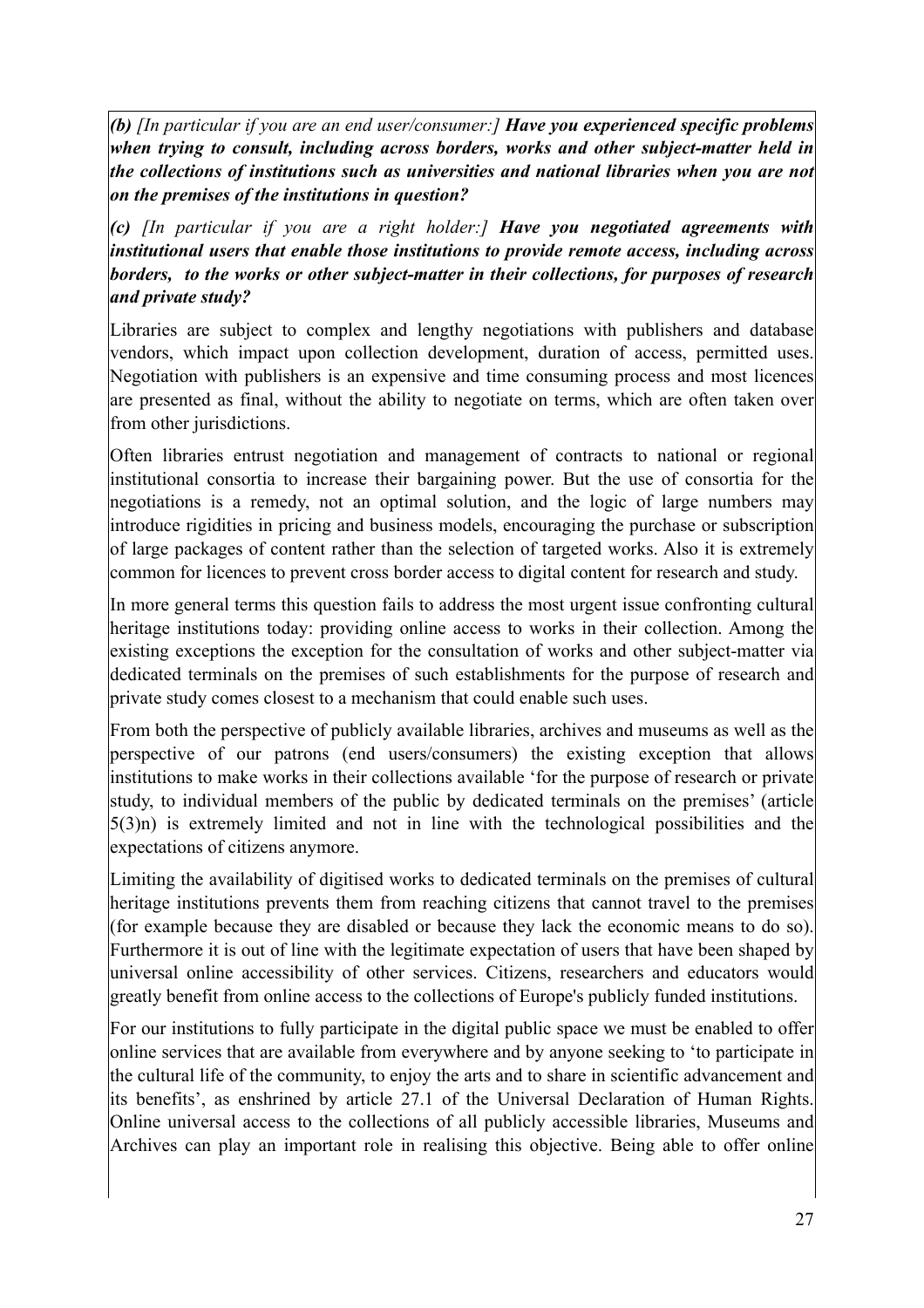*(b) [In particular if you are an end user/consumer:] Have you experienced specific problems when trying to consult, including across borders, works and other subject-matter held in the collections of institutions such as universities and national libraries when you are not on the premises of the institutions in question?*

*(c) [In particular if you are a right holder:] Have you negotiated agreements with institutional users that enable those institutions to provide remote access, including across borders, to the works or other subject-matter in their collections, for purposes of research and private study?* 

Libraries are subject to complex and lengthy negotiations with publishers and database vendors, which impact upon collection development, duration of access, permitted uses. Negotiation with publishers is an expensive and time consuming process and most licences are presented as final, without the ability to negotiate on terms, which are often taken over from other jurisdictions.

Often libraries entrust negotiation and management of contracts to national or regional institutional consortia to increase their bargaining power. But the use of consortia for the negotiations is a remedy, not an optimal solution, and the logic of large numbers may introduce rigidities in pricing and business models, encouraging the purchase or subscription of large packages of content rather than the selection of targeted works. Also it is extremely common for licences to prevent cross border access to digital content for research and study.

In more general terms this question fails to address the most urgent issue confronting cultural heritage institutions today: providing online access to works in their collection. Among the existing exceptions the exception for the consultation of works and other subject-matter via dedicated terminals on the premises of such establishments for the purpose of research and private study comes closest to a mechanism that could enable such uses.

From both the perspective of publicly available libraries, archives and museums as well as the perspective of our patrons (end users/consumers) the existing exception that allows institutions to make works in their collections available 'for the purpose of research or private study, to individual members of the public by dedicated terminals on the premises' (article 5(3)n) is extremely limited and not in line with the technological possibilities and the expectations of citizens anymore.

Limiting the availability of digitised works to dedicated terminals on the premises of cultural heritage institutions prevents them from reaching citizens that cannot travel to the premises (for example because they are disabled or because they lack the economic means to do so). Furthermore it is out of line with the legitimate expectation of users that have been shaped by universal online accessibility of other services. Citizens, researchers and educators would greatly benefit from online access to the collections of Europe's publicly funded institutions.

For our institutions to fully participate in the digital public space we must be enabled to offer online services that are available from everywhere and by anyone seeking to 'to participate in the cultural life of the community, to enjoy the arts and to share in scientific advancement and its benefits', as enshrined by article 27.1 of the Universal Declaration of Human Rights. Online universal access to the collections of all publicly accessible libraries, Museums and Archives can play an important role in realising this objective. Being able to offer online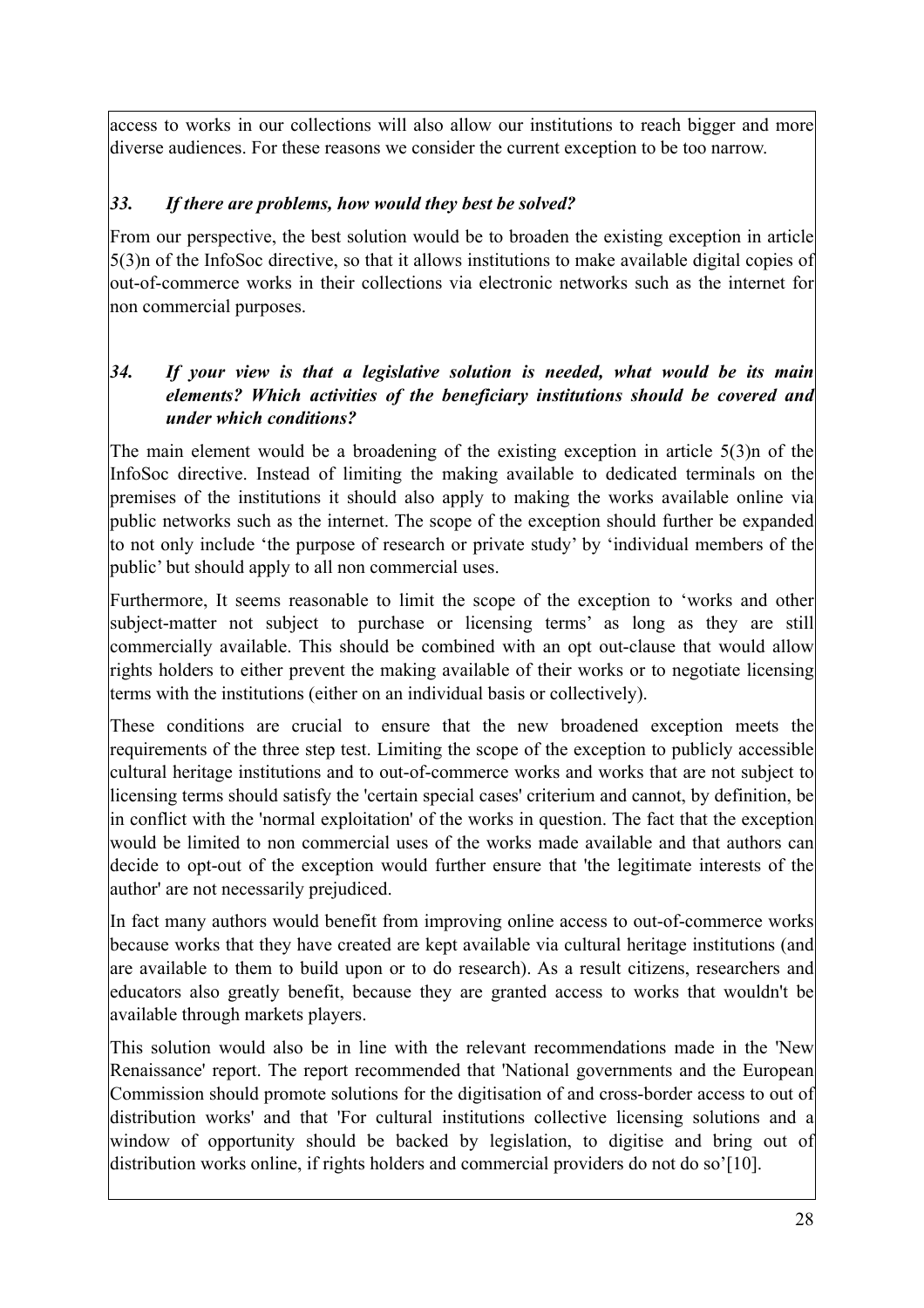access to works in our collections will also allow our institutions to reach bigger and more diverse audiences. For these reasons we consider the current exception to be too narrow.

#### *33. If there are problems, how would they best be solved?*

From our perspective, the best solution would be to broaden the existing exception in article 5(3)n of the InfoSoc directive, so that it allows institutions to make available digital copies of  $\omega$ ut-of-commerce works in their collections via electronic networks such as the internet for non commercial purposes.

#### *34. If your view is that a legislative solution is needed, what would be its main elements? Which activities of the beneficiary institutions should be covered and under which conditions?*

The main element would be a broadening of the existing exception in article 5(3)n of the InfoSoc directive. Instead of limiting the making available to dedicated terminals on the premises of the institutions it should also apply to making the works available online via public networks such as the internet. The scope of the exception should further be expanded to not only include 'the purpose of research or private study' by 'individual members of the public' but should apply to all non commercial uses.

Furthermore, It seems reasonable to limit the scope of the exception to 'works and other subject-matter not subject to purchase or licensing terms' as long as they are still commercially available. This should be combined with an opt out-clause that would allow rights holders to either prevent the making available of their works or to negotiate licensing terms with the institutions (either on an individual basis or collectively).

These conditions are crucial to ensure that the new broadened exception meets the requirements of the three step test. Limiting the scope of the exception to publicly accessible cultural heritage institutions and to out-of-commerce works and works that are not subject to licensing terms should satisfy the 'certain special cases' criterium and cannot, by definition, be in conflict with the 'normal exploitation' of the works in question. The fact that the exception would be limited to non commercial uses of the works made available and that authors can decide to opt-out of the exception would further ensure that 'the legitimate interests of the author' are not necessarily prejudiced.

In fact many authors would benefit from improving online access to out-of-commerce works because works that they have created are kept available via cultural heritage institutions (and are available to them to build upon or to do research). As a result citizens, researchers and educators also greatly benefit, because they are granted access to works that wouldn't be available through markets players.

This solution would also be in line with the relevant recommendations made in the 'New Renaissance' report. The report recommended that 'National governments and the European Commission should promote solutions for the digitisation of and cross-border access to out of distribution works' and that 'For cultural institutions collective licensing solutions and a window of opportunity should be backed by legislation, to digitise and bring out of distribution works online, if rights holders and commercial providers do not do so'[10].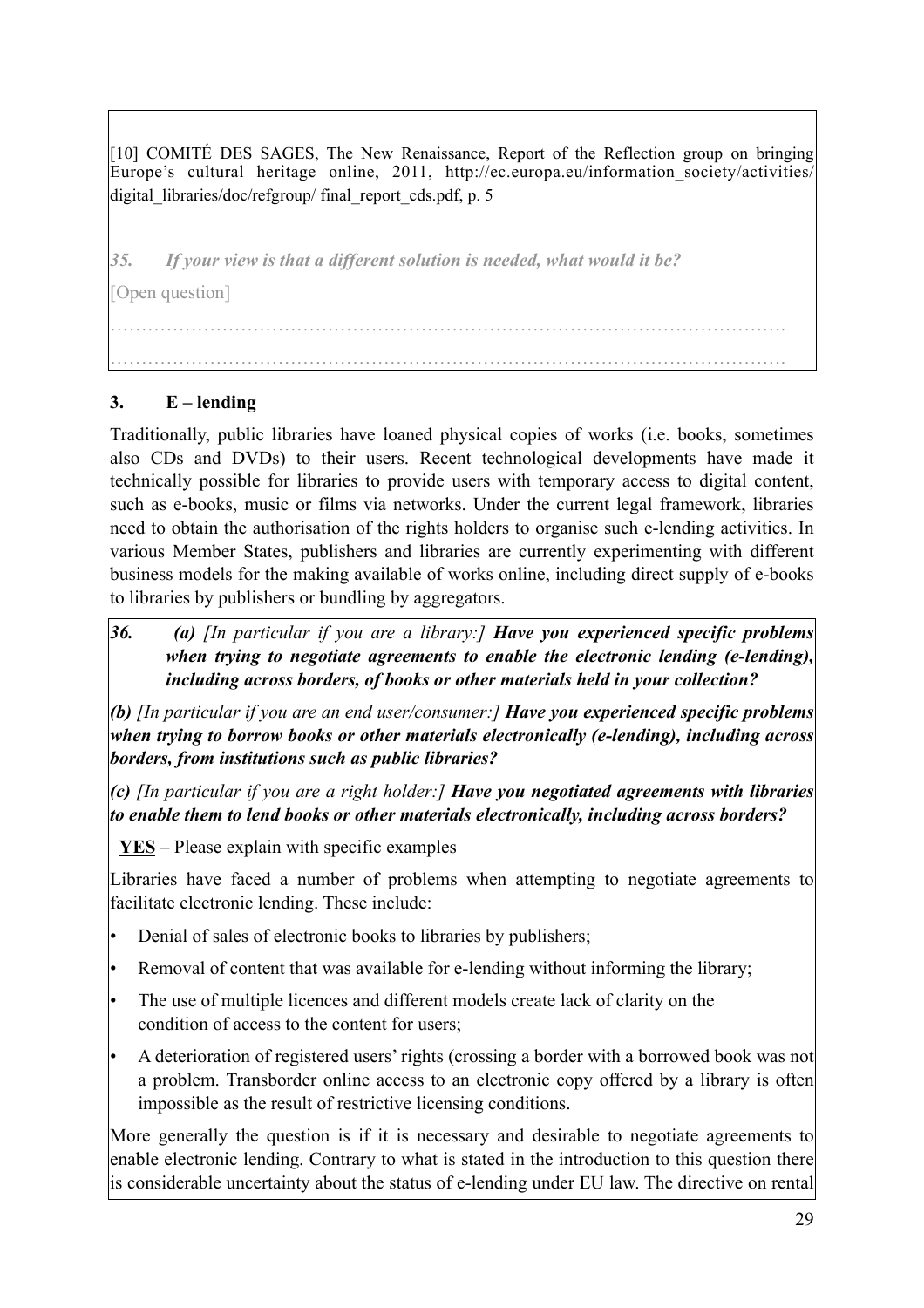[10] COMITÉ DES SAGES, The New Renaissance, Report of the Reflection group on bringing Europe's cultural heritage online, 2011, http://ec.europa.eu/information\_society/activities/ digital libraries/doc/refgroup/ final report cds.pdf, p. 5

*35. If your view is that a different solution is needed, what would it be?* 

[Open question]

………………………………………………………………………………………………. ……………………………………………………………………………………………….

#### **3. E – lending**

Traditionally, public libraries have loaned physical copies of works (i.e. books, sometimes also CDs and DVDs) to their users. Recent technological developments have made it technically possible for libraries to provide users with temporary access to digital content, such as e-books, music or films via networks. Under the current legal framework, libraries need to obtain the authorisation of the rights holders to organise such e-lending activities. In various Member States, publishers and libraries are currently experimenting with different business models for the making available of works online, including direct supply of e-books to libraries by publishers or bundling by aggregators.

*36. (a) [In particular if you are a library:] Have you experienced specific problems when trying to negotiate agreements to enable the electronic lending (e-lending), including across borders, of books or other materials held in your collection?* 

*(b) [In particular if you are an end user/consumer:] Have you experienced specific problems when trying to borrow books or other materials electronically (e-lending), including across borders, from institutions such as public libraries?* 

*(c) [In particular if you are a right holder:] Have you negotiated agreements with libraries to enable them to lend books or other materials electronically, including across borders?*

**YES** – Please explain with specific examples

Libraries have faced a number of problems when attempting to negotiate agreements to facilitate electronic lending. These include:

- Denial of sales of electronic books to libraries by publishers;
- Removal of content that was available for e-lending without informing the library;
- The use of multiple licences and different models create lack of clarity on the condition of access to the content for users;
- A deterioration of registered users' rights (crossing a border with a borrowed book was not a problem. Transborder online access to an electronic copy offered by a library is often impossible as the result of restrictive licensing conditions.

More generally the question is if it is necessary and desirable to negotiate agreements to enable electronic lending. Contrary to what is stated in the introduction to this question there is considerable uncertainty about the status of e-lending under EU law. The directive on rental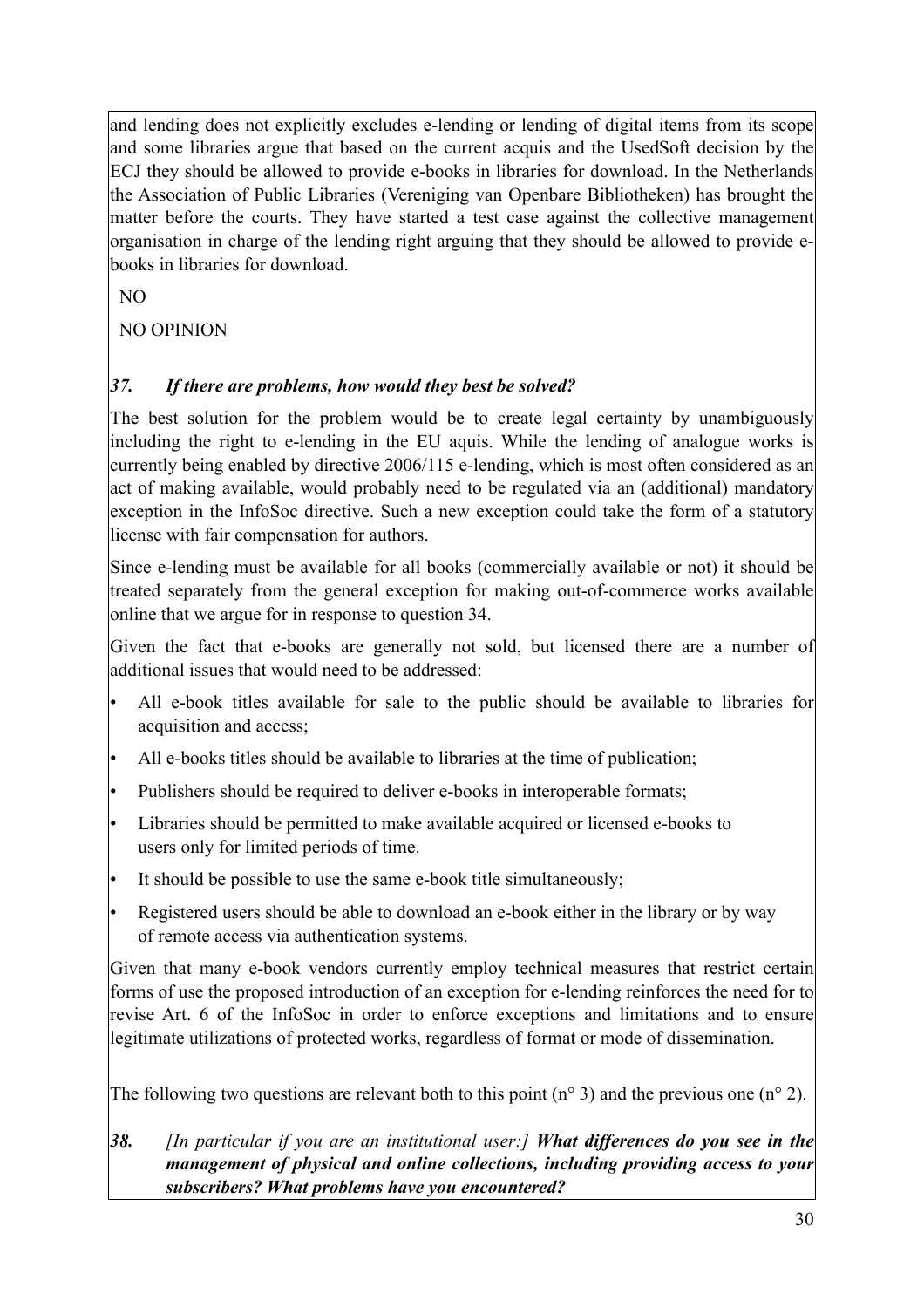and lending does not explicitly excludes e-lending or lending of digital items from its scope and some libraries argue that based on the current acquis and the UsedSoft decision by the ECJ they should be allowed to provide e-books in libraries for download. In the Netherlands the Association of Public Libraries (Vereniging van Openbare Bibliotheken) has brought the matter before the courts. They have started a test case against the collective management organisation in charge of the lending right arguing that they should be allowed to provide ebooks in libraries for download.

NO

NO OPINION

## *37. If there are problems, how would they best be solved?*

The best solution for the problem would be to create legal certainty by unambiguously including the right to e-lending in the EU aquis. While the lending of analogue works is currently being enabled by directive 2006/115 e-lending, which is most often considered as an act of making available, would probably need to be regulated via an (additional) mandatory exception in the InfoSoc directive. Such a new exception could take the form of a statutory license with fair compensation for authors.

Since e-lending must be available for all books (commercially available or not) it should be treated separately from the general exception for making out-of-commerce works available online that we argue for in response to question 34.

Given the fact that e-books are generally not sold, but licensed there are a number of additional issues that would need to be addressed:

- All e-book titles available for sale to the public should be available to libraries for acquisition and access;
- All e-books titles should be available to libraries at the time of publication;
- Publishers should be required to deliver e-books in interoperable formats;
- Libraries should be permitted to make available acquired or licensed e-books to users only for limited periods of time.
- It should be possible to use the same e-book title simultaneously;
- Registered users should be able to download an e-book either in the library or by way of remote access via authentication systems.

Given that many e-book vendors currently employ technical measures that restrict certain forms of use the proposed introduction of an exception for e-lending reinforces the need for to revise Art. 6 of the InfoSoc in order to enforce exceptions and limitations and to ensure legitimate utilizations of protected works, regardless of format or mode of dissemination.

The following two questions are relevant both to this point  $(n^{\circ} 3)$  and the previous one  $(n^{\circ} 2)$ .

#### *38. [In particular if you are an institutional user:] What differences do you see in the management of physical and online collections, including providing access to your subscribers? What problems have you encountered?*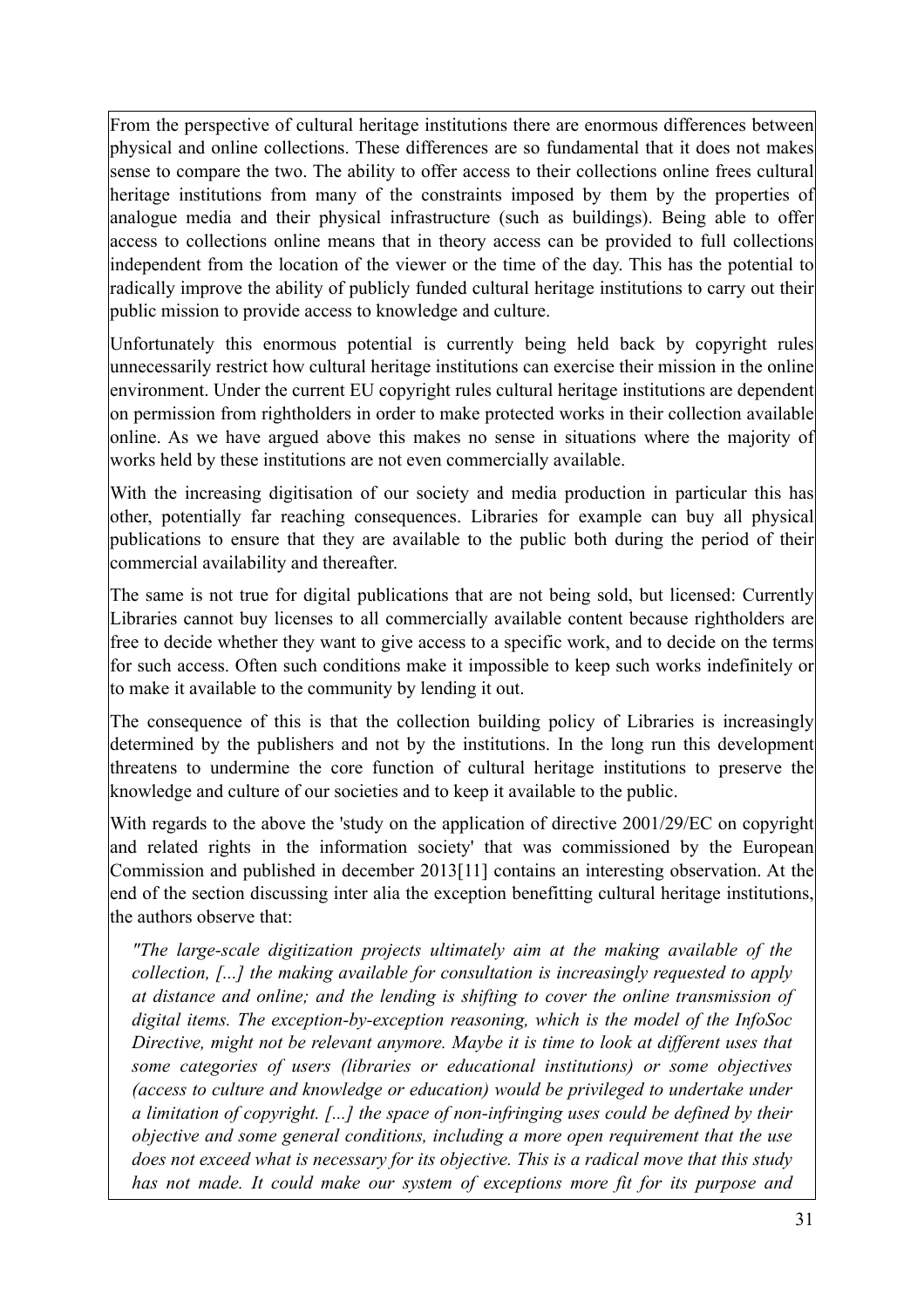From the perspective of cultural heritage institutions there are enormous differences between physical and online collections. These differences are so fundamental that it does not makes sense to compare the two. The ability to offer access to their collections online frees cultural heritage institutions from many of the constraints imposed by them by the properties of analogue media and their physical infrastructure (such as buildings). Being able to offer access to collections online means that in theory access can be provided to full collections independent from the location of the viewer or the time of the day. This has the potential to radically improve the ability of publicly funded cultural heritage institutions to carry out their public mission to provide access to knowledge and culture.

Unfortunately this enormous potential is currently being held back by copyright rules unnecessarily restrict how cultural heritage institutions can exercise their mission in the online environment. Under the current EU copyright rules cultural heritage institutions are dependent on permission from rightholders in order to make protected works in their collection available online. As we have argued above this makes no sense in situations where the majority of works held by these institutions are not even commercially available.

With the increasing digitisation of our society and media production in particular this has other, potentially far reaching consequences. Libraries for example can buy all physical publications to ensure that they are available to the public both during the period of their commercial availability and thereafter.

The same is not true for digital publications that are not being sold, but licensed: Currently Libraries cannot buy licenses to all commercially available content because rightholders are free to decide whether they want to give access to a specific work, and to decide on the terms for such access. Often such conditions make it impossible to keep such works indefinitely or to make it available to the community by lending it out.

The consequence of this is that the collection building policy of Libraries is increasingly determined by the publishers and not by the institutions. In the long run this development threatens to undermine the core function of cultural heritage institutions to preserve the knowledge and culture of our societies and to keep it available to the public.

With regards to the above the 'study on the application of directive 2001/29/EC on copyright and related rights in the information society' that was commissioned by the European Commission and published in december 2013[11] contains an interesting observation. At the end of the section discussing inter alia the exception benefitting cultural heritage institutions, the authors observe that:

*"The large-scale digitization projects ultimately aim at the making available of the collection, [...] the making available for consultation is increasingly requested to apply at distance and online; and the lending is shifting to cover the online transmission of digital items. The exception-by-exception reasoning, which is the model of the InfoSoc Directive, might not be relevant anymore. Maybe it is time to look at different uses that some categories of users (libraries or educational institutions) or some objectives (access to culture and knowledge or education) would be privileged to undertake under a limitation of copyright. [...] the space of non-infringing uses could be defined by their objective and some general conditions, including a more open requirement that the use does not exceed what is necessary for its objective. This is a radical move that this study has not made. It could make our system of exceptions more fit for its purpose and*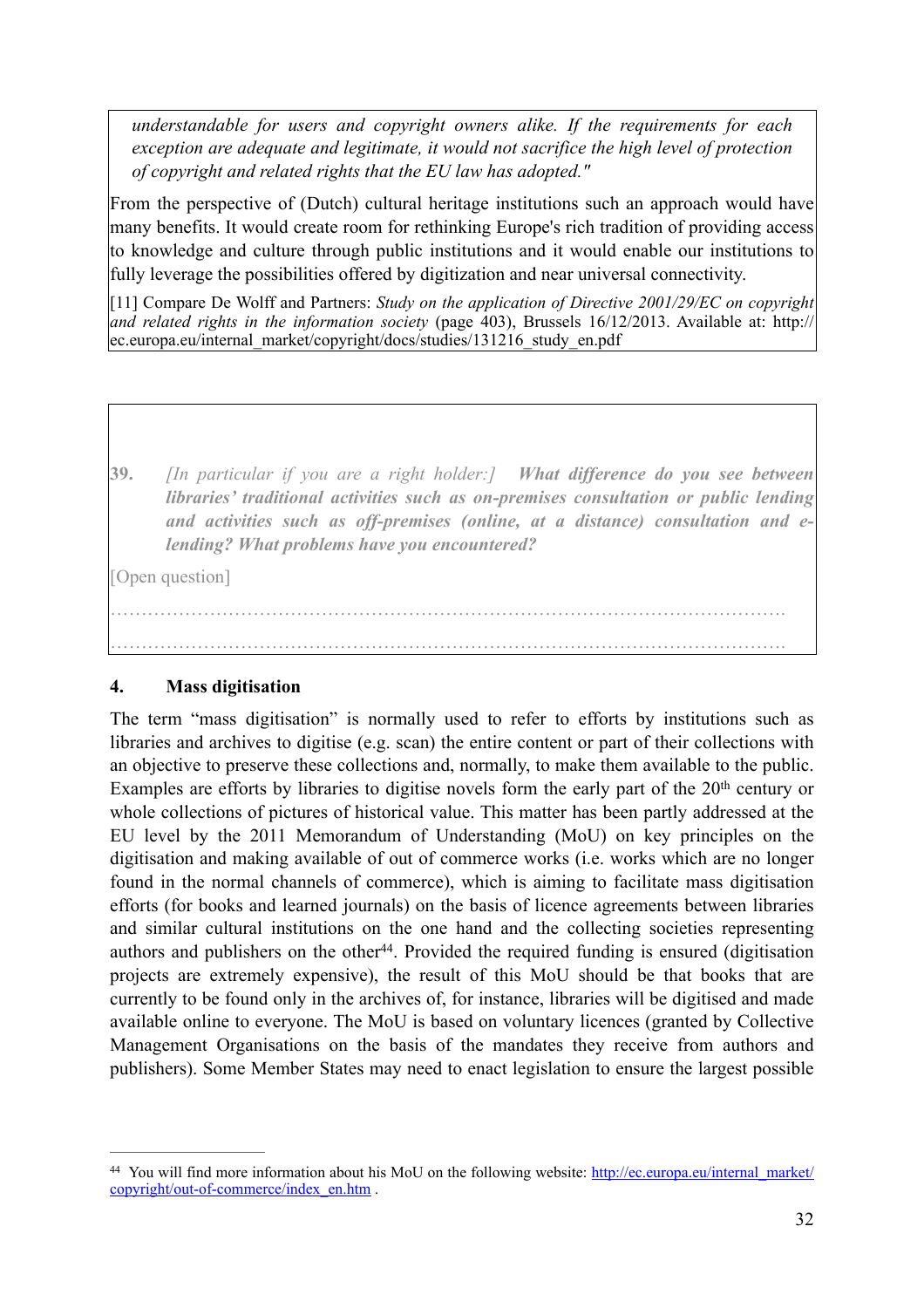*understandable for users and copyright owners alike. If the requirements for each exception are adequate and legitimate, it would not sacrifice the high level of protection of copyright and related rights that the EU law has adopted."* 

From the perspective of (Dutch) cultural heritage institutions such an approach would have many benefits. It would create room for rethinking Europe's rich tradition of providing access to knowledge and culture through public institutions and it would enable our institutions to fully leverage the possibilities offered by digitization and near universal connectivity.

[11] Compare De Wolff and Partners: *Study on the application of Directive 2001/29/EC on copyright and related rights in the information society* (page 403), Brussels 16/12/2013. Available at: http:// ec.europa.eu/internal\_market/copyright/docs/studies/131216\_study\_en.pdf

**39.** *[In particular if you are a right holder:]**What difference do you see between libraries' traditional activities such as on-premises consultation or public lending and activities such as off-premises (online, at a distance) consultation and elending? What problems have you encountered?*

[Open question]

………………………………………………………………………………………………. ……………………………………………………………………………………………….

#### **4. Mass digitisation**

The term "mass digitisation" is normally used to refer to efforts by institutions such as libraries and archives to digitise (e.g. scan) the entire content or part of their collections with an objective to preserve these collections and, normally, to make them available to the public. Examples are efforts by libraries to digitise novels form the early part of the 20<sup>th</sup> century or whole collections of pictures of historical value. This matter has been partly addressed at the EU level by the 2011 Memorandum of Understanding (MoU) on key principles on the digitisation and making available of out of commerce works (i.e. works which are no longer found in the normal channels of commerce), which is aiming to facilitate mass digitisation efforts (for books and learned journals) on the basis of licence agreements between libraries and similar cultural institutions on the one hand and the collecting societies representing authors and publishers on the other  $44$ . Provided the required funding is ensured (digitisation projects are extremely expensive), the result of this MoU should be that books that are currently to be found only in the archives of, for instance, libraries will be digitised and made available online to everyone. The MoU is based on voluntary licences (granted by Collective Management Organisations on the basis of the mandates they receive from authors and publishers). Some Member States may need to enact legislation to ensure the largest possible

<sup>&</sup>lt;sup>44</sup> You will find more information about his MoU on the following website: http://ec.europa.eu/internal\_market/ copyright/out-of-commerce/index\_en.htm .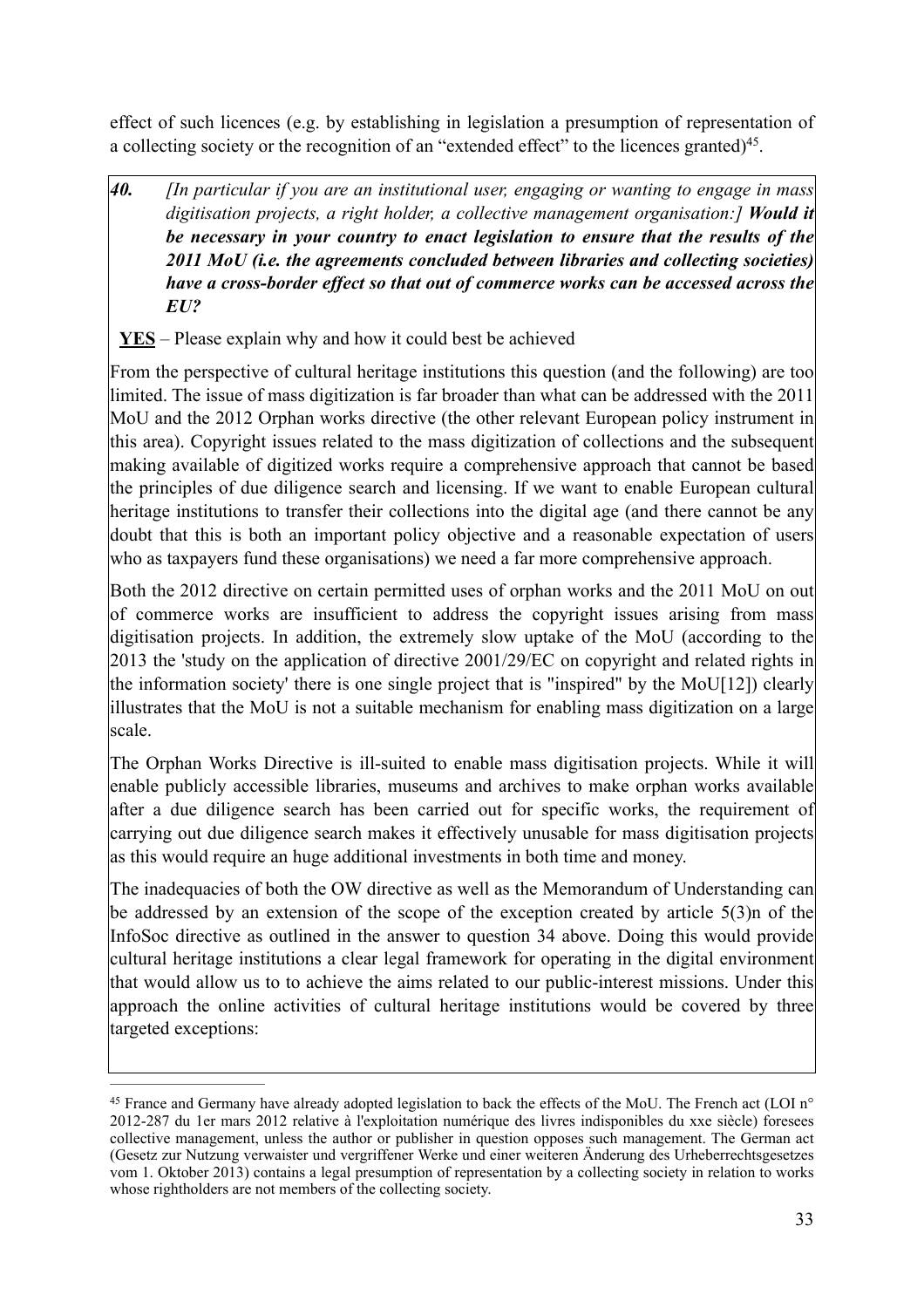effect of such licences (e.g. by establishing in legislation a presumption of representation of a collecting society or the recognition of an "extended effect" to the licences granted $)^{45}$ .

*40. [In particular if you are an institutional user, engaging or wanting to engage in mass digitisation projects, a right holder, a collective management organisation:] Would it be necessary in your country to enact legislation to ensure that the results of the 2011 MoU (i.e. the agreements concluded between libraries and collecting societies) have a cross-border effect so that out of commerce works can be accessed across the EU?* 

**YES** – Please explain why and how it could best be achieved

From the perspective of cultural heritage institutions this question (and the following) are too limited. The issue of mass digitization is far broader than what can be addressed with the 2011 MoU and the 2012 Orphan works directive (the other relevant European policy instrument in this area). Copyright issues related to the mass digitization of collections and the subsequent making available of digitized works require a comprehensive approach that cannot be based the principles of due diligence search and licensing. If we want to enable European cultural heritage institutions to transfer their collections into the digital age (and there cannot be any doubt that this is both an important policy objective and a reasonable expectation of users who as taxpayers fund these organisations) we need a far more comprehensive approach.

Both the 2012 directive on certain permitted uses of orphan works and the 2011 MoU on out of commerce works are insufficient to address the copyright issues arising from mass digitisation projects. In addition, the extremely slow uptake of the MoU (according to the 2013 the 'study on the application of directive 2001/29/EC on copyright and related rights in the information society' there is one single project that is "inspired" by the MoU[12]) clearly illustrates that the MoU is not a suitable mechanism for enabling mass digitization on a large scale.

The Orphan Works Directive is ill-suited to enable mass digitisation projects. While it will enable publicly accessible libraries, museums and archives to make orphan works available after a due diligence search has been carried out for specific works, the requirement of carrying out due diligence search makes it effectively unusable for mass digitisation projects as this would require an huge additional investments in both time and money.

The inadequacies of both the OW directive as well as the Memorandum of Understanding can be addressed by an extension of the scope of the exception created by article 5(3)n of the InfoSoc directive as outlined in the answer to question 34 above. Doing this would provide cultural heritage institutions a clear legal framework for operating in the digital environment that would allow us to to achieve the aims related to our public-interest missions. Under this approach the online activities of cultural heritage institutions would be covered by three targeted exceptions:

<sup>&</sup>lt;sup>45</sup> France and Germany have already adopted legislation to back the effects of the MoU. The French act (LOI n<sup>o</sup> 2012-287 du 1er mars 2012 relative à l'exploitation numérique des livres indisponibles du xxe siècle) foresees collective management, unless the author or publisher in question opposes such management. The German act (Gesetz zur Nutzung verwaister und vergriffener Werke und einer weiteren Änderung des Urheberrechtsgesetzes vom 1. Oktober 2013) contains a legal presumption of representation by a collecting society in relation to works whose rightholders are not members of the collecting society.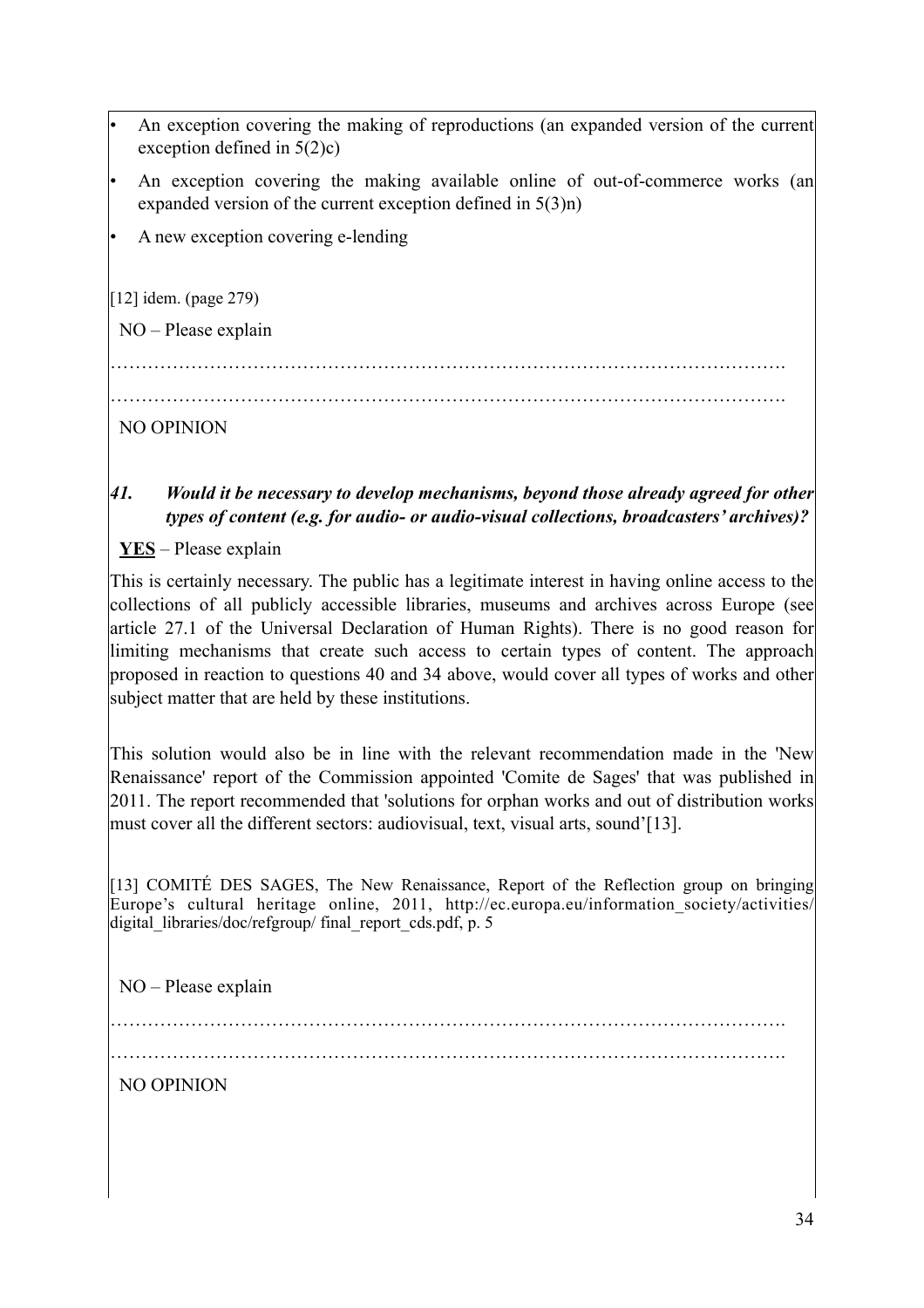- An exception covering the making of reproductions (an expanded version of the current exception defined in 5(2)c)
- An exception covering the making available online of out-of-commerce works (an expanded version of the current exception defined in 5(3)n)
- A new exception covering e-lending

[12] idem. (page 279)

NO – Please explain

……………………………………………………………………………………………….

……………………………………………………………………………………………….

NO OPINION

*41. Would it be necessary to develop mechanisms, beyond those already agreed for other types of content (e.g. for audio- or audio-visual collections, broadcasters' archives)?*

**YES** – Please explain

This is certainly necessary. The public has a legitimate interest in having online access to the collections of all publicly accessible libraries, museums and archives across Europe (see article 27.1 of the Universal Declaration of Human Rights). There is no good reason for limiting mechanisms that create such access to certain types of content. The approach proposed in reaction to questions 40 and 34 above, would cover all types of works and other subject matter that are held by these institutions.

This solution would also be in line with the relevant recommendation made in the 'New Renaissance' report of the Commission appointed 'Comite de Sages' that was published in 2011. The report recommended that 'solutions for orphan works and out of distribution works must cover all the different sectors: audiovisual, text, visual arts, sound'[13].

[13] COMITÉ DES SAGES, The New Renaissance, Report of the Reflection group on bringing Europe's cultural heritage online, 2011, http://ec.europa.eu/information society/activities/ digital libraries/doc/refgroup/ final report cds.pdf, p. 5

NO – Please explain

……………………………………………………………………………………………….

……………………………………………………………………………………………….

NO OPINION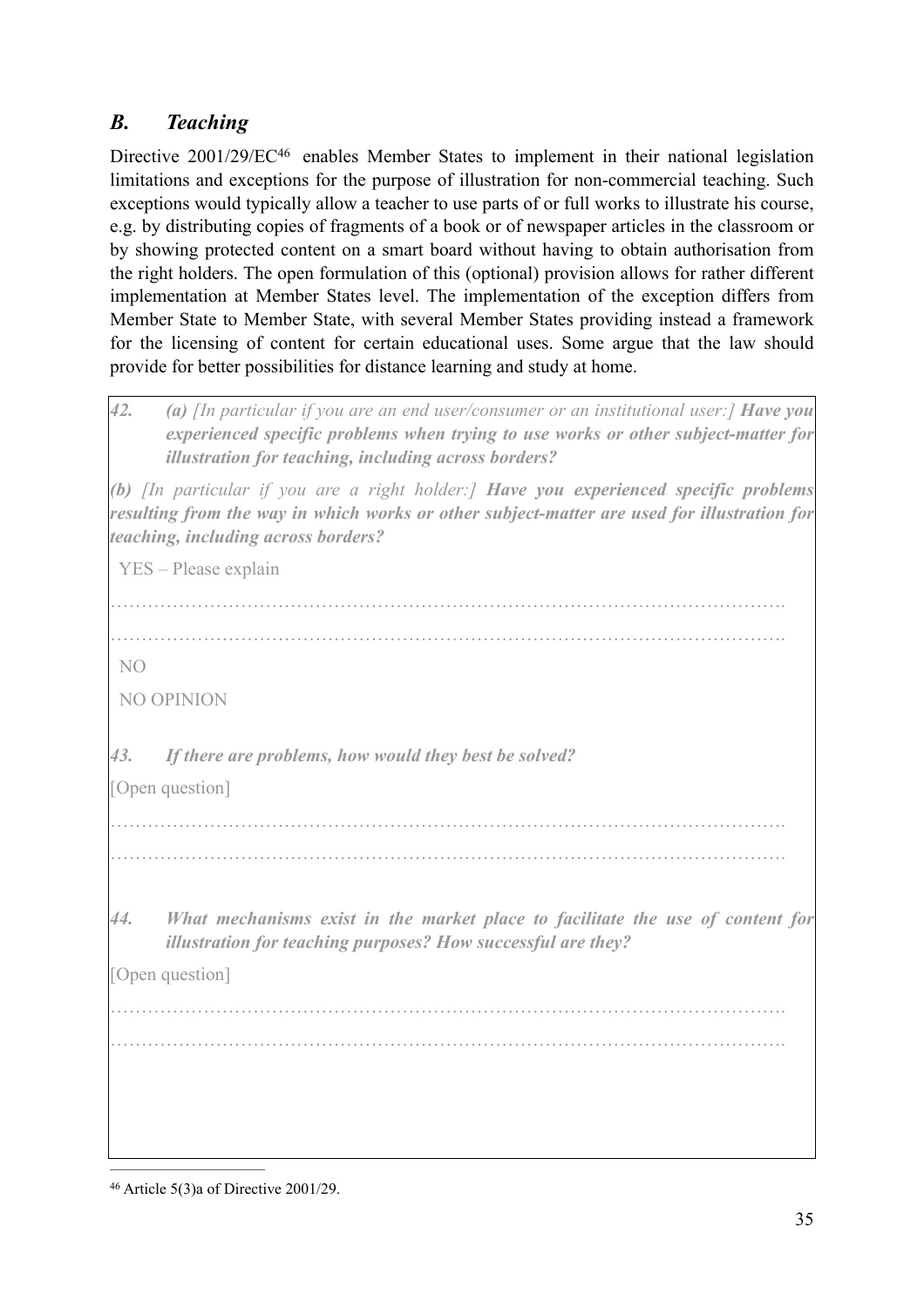## *B. Teaching*

Directive 2001/29/EC<sup>46</sup> enables Member States to implement in their national legislation limitations and exceptions for the purpose of illustration for non-commercial teaching. Such exceptions would typically allow a teacher to use parts of or full works to illustrate his course, e.g. by distributing copies of fragments of a book or of newspaper articles in the classroom or by showing protected content on a smart board without having to obtain authorisation from the right holders. The open formulation of this (optional) provision allows for rather different implementation at Member States level. The implementation of the exception differs from Member State to Member State, with several Member States providing instead a framework for the licensing of content for certain educational uses. Some argue that the law should provide for better possibilities for distance learning and study at home.

| 42.            | (a) [In particular if you are an end user/consumer or an institutional user: $\int$ Have you<br>experienced specific problems when trying to use works or other subject-matter for<br><i>illustration for teaching, including across borders?</i> |
|----------------|---------------------------------------------------------------------------------------------------------------------------------------------------------------------------------------------------------------------------------------------------|
|                | (b) $\iint$ particular if you are a right holder: <b>Have you experienced specific problems</b><br>resulting from the way in which works or other subject-matter are used for illustration for<br>teaching, including across borders?             |
|                | YES - Please explain                                                                                                                                                                                                                              |
| N <sub>O</sub> | <b>NO OPINION</b>                                                                                                                                                                                                                                 |
| 43.            | If there are problems, how would they best be solved?<br>[Open question]                                                                                                                                                                          |
| 44.            | What mechanisms exist in the market place to facilitate the use of content for<br>illustration for teaching purposes? How successful are they?<br>[Open question]                                                                                 |
|                |                                                                                                                                                                                                                                                   |

 $46$  Article 5(3)a of Directive 2001/29.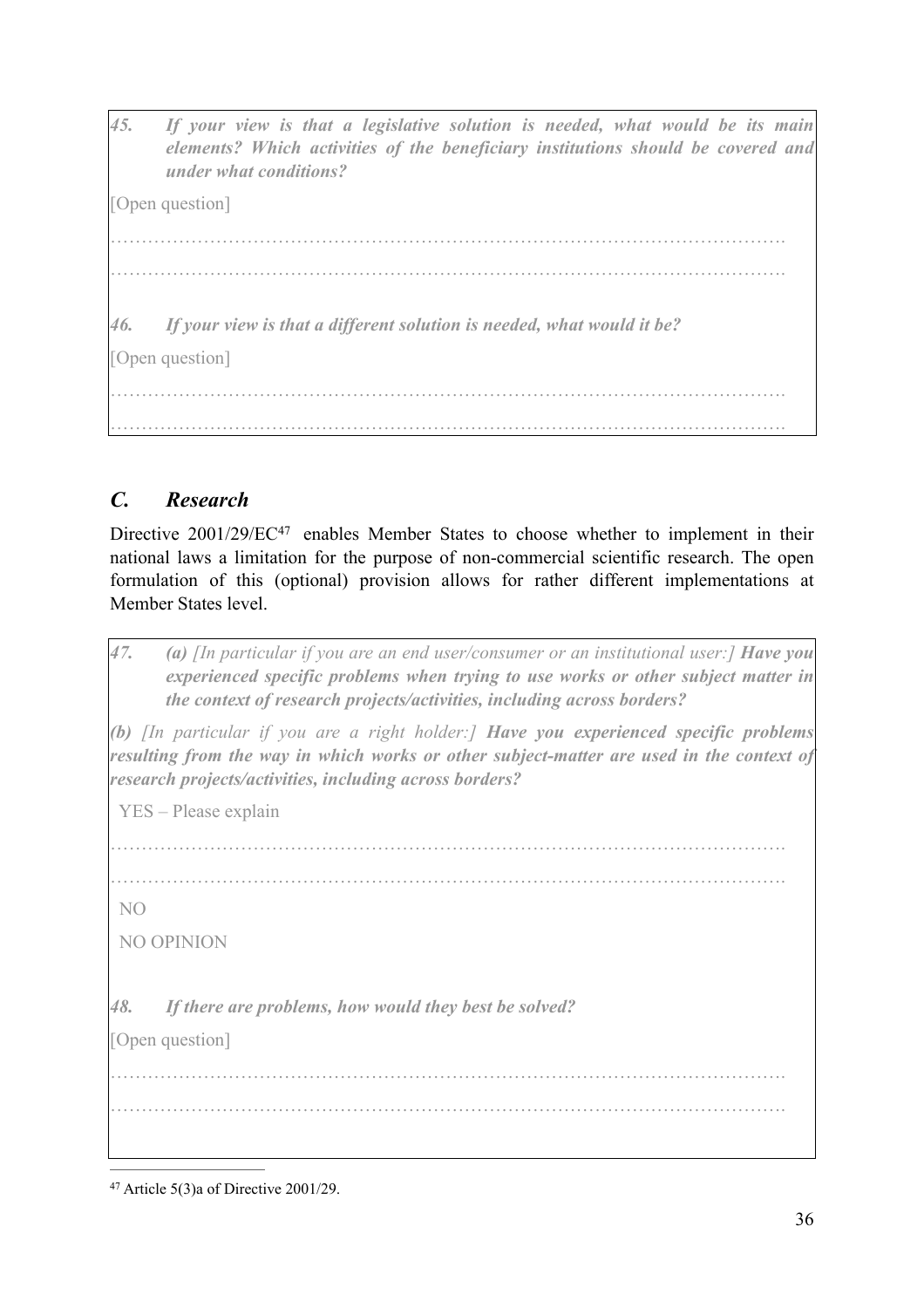*45. If your view is that a legislative solution is needed, what would be its main elements? Which activities of the beneficiary institutions should be covered and under what conditions?* 

[Open question]

………………………………………………………………………………………………. ……………………………………………………………………………………………….

*46. If your view is that a different solution is needed, what would it be?* 

[Open question]

………………………………………………………………………………………………. ……………………………………………………………………………………………….

## *C. Research*

Directive  $2001/29/EC^{47}$  enables Member States to choose whether to implement in their national laws a limitation for the purpose of non-commercial scientific research. The open formulation of this (optional) provision allows for rather different implementations at Member States level.

| 47.            | (a) [In particular if you are an end user/consumer or an institutional user: $\int$ Have you<br>experienced specific problems when trying to use works or other subject matter in<br>the context of research projects/activities, including across borders? |
|----------------|-------------------------------------------------------------------------------------------------------------------------------------------------------------------------------------------------------------------------------------------------------------|
|                | (b) In particular if you are a right holder: $\overline{I}$ Have you experienced specific problems<br>resulting from the way in which works or other subject-matter are used in the context of<br>research projects/activities, including across borders?   |
|                | YES – Please explain                                                                                                                                                                                                                                        |
| N <sub>O</sub> | NO OPINION                                                                                                                                                                                                                                                  |
| 48.            | If there are problems, how would they best be solved?<br>[Open question]                                                                                                                                                                                    |
|                |                                                                                                                                                                                                                                                             |

 $47$  Article 5(3)a of Directive 2001/29.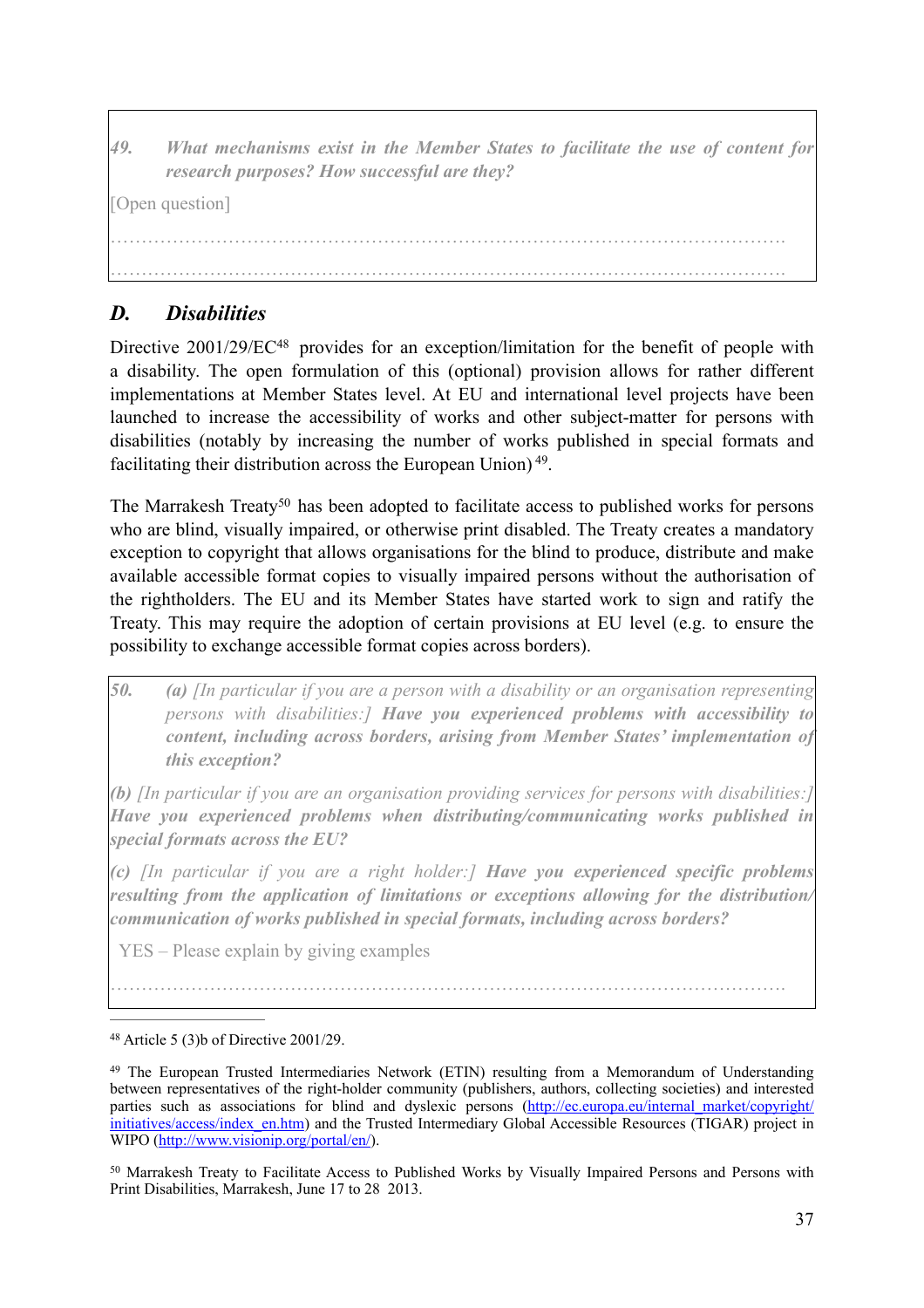*49. What mechanisms exist in the Member States to facilitate the use of content for research purposes? How successful are they?* 

[Open question]

……………………………………………………………………………………………….

……………………………………………………………………………………………….

## *D. Disabilities*

Directive  $2001/29/EC<sup>48</sup>$  provides for an exception/limitation for the benefit of people with a disability. The open formulation of this (optional) provision allows for rather different implementations at Member States level. At EU and international level projects have been launched to increase the accessibility of works and other subject-matter for persons with disabilities (notably by increasing the number of works published in special formats and facilitating their distribution across the European Union)<sup> $49$ </sup>.

The Marrakesh Treaty<sup>50</sup> has been adopted to facilitate access to published works for persons who are blind, visually impaired, or otherwise print disabled. The Treaty creates a mandatory exception to copyright that allows organisations for the blind to produce, distribute and make available accessible format copies to visually impaired persons without the authorisation of the rightholders. The EU and its Member States have started work to sign and ratify the Treaty. This may require the adoption of certain provisions at EU level (e.g. to ensure the possibility to exchange accessible format copies across borders).

*50. (a) [In particular if you are a person with a disability or an organisation representing persons with disabilities:] Have you experienced problems with accessibility to content, including across borders, arising from Member States' implementation of this exception?* 

*(b) [In particular if you are an organisation providing services for persons with disabilities:] Have you experienced problems when distributing/communicating works published in special formats across the EU?* 

*(c) [In particular if you are a right holder:] Have you experienced specific problems resulting from the application of limitations or exceptions allowing for the distribution/ communication of works published in special formats, including across borders?* 

YES – Please explain by giving examples

……………………………………………………………………………………………….

 $48$  Article 5 (3)b of Directive 2001/29.

<sup>&</sup>lt;sup>49</sup> The European Trusted Intermediaries Network (ETIN) resulting from a Memorandum of Understanding between representatives of the right-holder community (publishers, authors, collecting societies) and interested parties such as associations for blind and dyslexic persons (http://ec.europa.eu/internal\_market/copyright/ initiatives/access/index\_en.htm) and the Trusted Intermediary Global Accessible Resources (TIGAR) project in WIPO (http://www.visionip.org/portal/en/).

<sup>&</sup>lt;sup>50</sup> Marrakesh Treaty to Facilitate Access to Published Works by Visually Impaired Persons and Persons with Print Disabilities, Marrakesh, June 17 to 28 2013.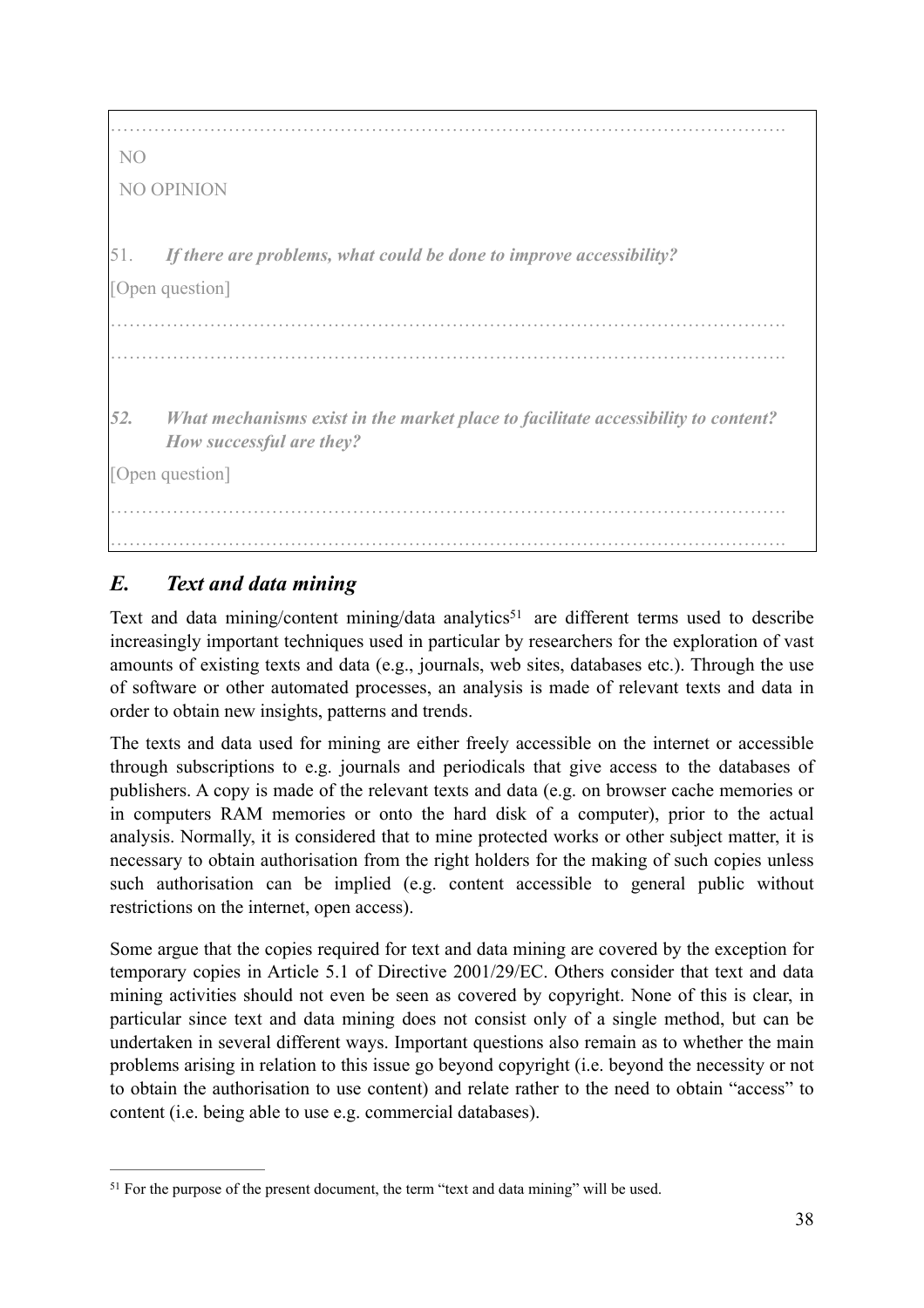………………………………………………………………………………………………. NO NO OPINION 51. *If there are problems, what could be done to improve accessibility?* [Open question] ………………………………………………………………………………………………. ………………………………………………………………………………………………. *52. What mechanisms exist in the market place to facilitate accessibility to content? How successful are they?*  [Open question] ………………………………………………………………………………………………. ……………………………………………………………………………………………….

## *E. Text and data mining*

Text and data mining/content mining/data analytics<sup>51</sup> are different terms used to describe increasingly important techniques used in particular by researchers for the exploration of vast amounts of existing texts and data (e.g., journals, web sites, databases etc.). Through the use of software or other automated processes, an analysis is made of relevant texts and data in order to obtain new insights, patterns and trends.

The texts and data used for mining are either freely accessible on the internet or accessible through subscriptions to e.g. journals and periodicals that give access to the databases of publishers. A copy is made of the relevant texts and data (e.g. on browser cache memories or in computers RAM memories or onto the hard disk of a computer), prior to the actual analysis. Normally, it is considered that to mine protected works or other subject matter, it is necessary to obtain authorisation from the right holders for the making of such copies unless such authorisation can be implied (e.g. content accessible to general public without restrictions on the internet, open access).

Some argue that the copies required for text and data mining are covered by the exception for temporary copies in Article 5.1 of Directive 2001/29/EC. Others consider that text and data mining activities should not even be seen as covered by copyright. None of this is clear, in particular since text and data mining does not consist only of a single method, but can be undertaken in several different ways. Important questions also remain as to whether the main problems arising in relation to this issue go beyond copyright (i.e. beyond the necessity or not to obtain the authorisation to use content) and relate rather to the need to obtain "access" to content (i.e. being able to use e.g. commercial databases).

<sup>&</sup>lt;sup>51</sup> For the purpose of the present document, the term "text and data mining" will be used.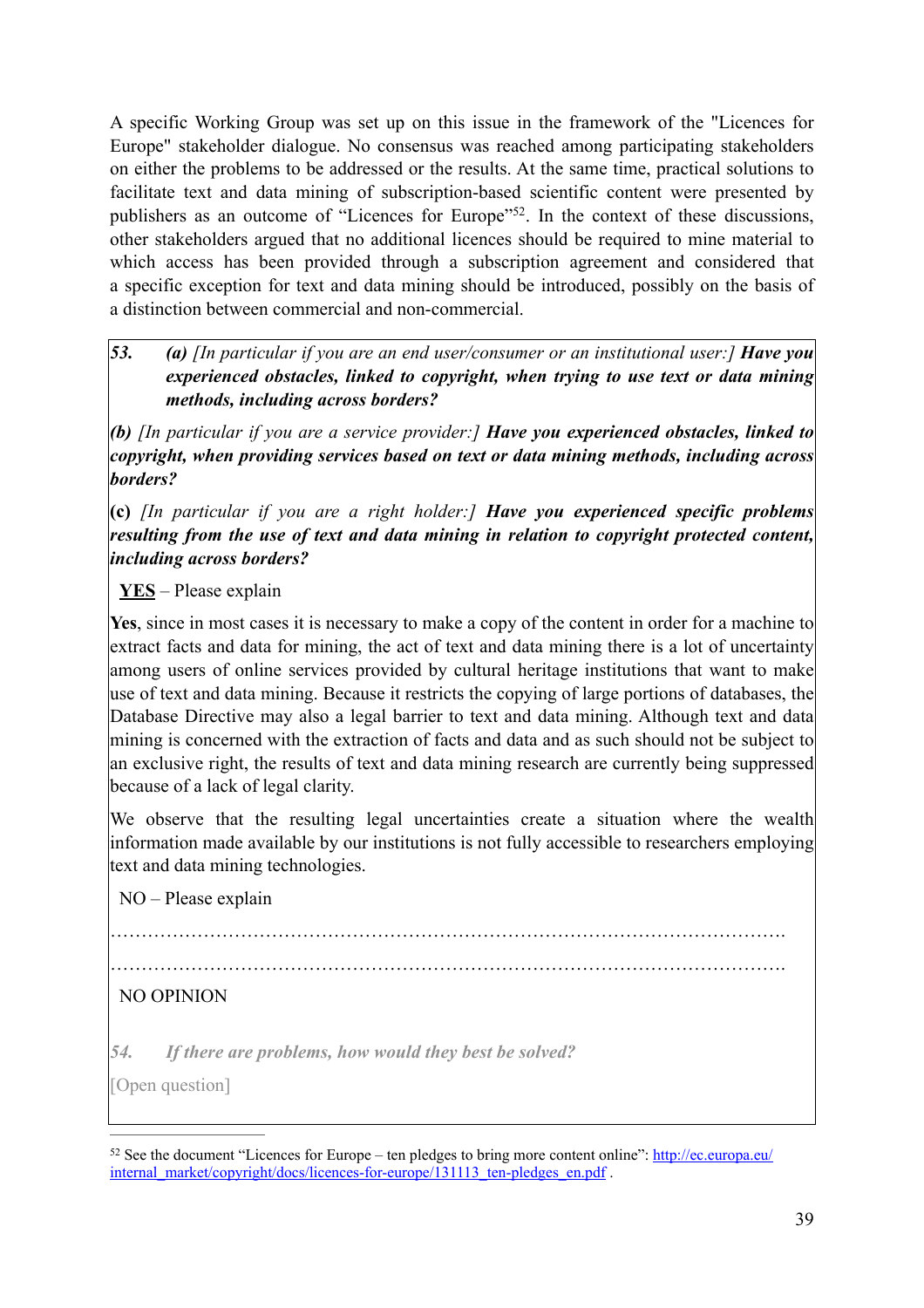A specific Working Group was set up on this issue in the framework of the "Licences for Europe" stakeholder dialogue. No consensus was reached among participating stakeholders on either the problems to be addressed or the results. At the same time, practical solutions to facilitate text and data mining of subscription-based scientific content were presented by publishers as an outcome of "Licences for Europe"<sup>52</sup>. In the context of these discussions, other stakeholders argued that no additional licences should be required to mine material to which access has been provided through a subscription agreement and considered that a specific exception for text and data mining should be introduced, possibly on the basis of a distinction between commercial and non-commercial.

*53. (a) [In particular if you are an end user/consumer or an institutional user:] Have you experienced obstacles, linked to copyright, when trying to use text or data mining methods, including across borders?* 

*(b) [In particular if you are a service provider:] Have you experienced obstacles, linked to copyright, when providing services based on text or data mining methods, including across borders?*

**(c)** *[In particular if you are a right holder:] Have you experienced specific problems resulting from the use of text and data mining in relation to copyright protected content, including across borders?*

**YES** – Please explain

**Yes**, since in most cases it is necessary to make a copy of the content in order for a machine to extract facts and data for mining, the act of text and data mining there is a lot of uncertainty among users of online services provided by cultural heritage institutions that want to make use of text and data mining. Because it restricts the copying of large portions of databases, the Database Directive may also a legal barrier to text and data mining. Although text and data mining is concerned with the extraction of facts and data and as such should not be subject to an exclusive right, the results of text and data mining research are currently being suppressed because of a lack of legal clarity.

We observe that the resulting legal uncertainties create a situation where the wealth information made available by our institutions is not fully accessible to researchers employing text and data mining technologies.

……………………………………………………………………………………………….

……………………………………………………………………………………………….

NO – Please explain

NO OPINION

*54. If there are problems, how would they best be solved?* 

[Open question]

 $52$  See the document "Licences for Europe – ten pledges to bring more content online": http://ec.europa.eu/ internal\_market/copyright/docs/licences-for-europe/131113\_ten-pledges\_en.pdf .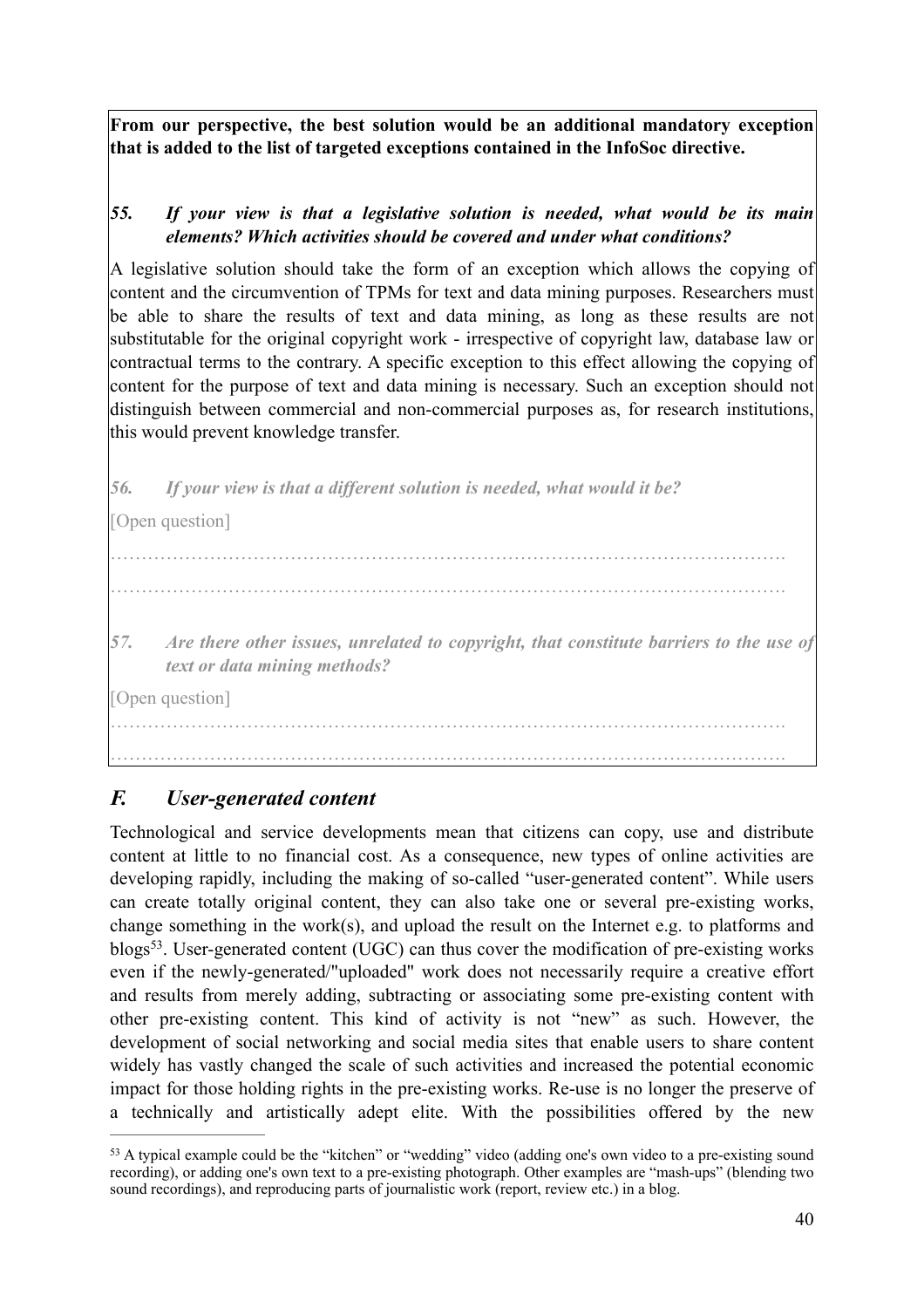**From our perspective, the best solution would be an additional mandatory exception that is added to the list of targeted exceptions contained in the InfoSoc directive.**

*55. If your view is that a legislative solution is needed, what would be its main elements? Which activities should be covered and under what conditions?*

A legislative solution should take the form of an exception which allows the copying of content and the circumvention of TPMs for text and data mining purposes. Researchers must be able to share the results of text and data mining, as long as these results are not substitutable for the original copyright work - irrespective of copyright law, database law or contractual terms to the contrary. A specific exception to this effect allowing the copying of content for the purpose of text and data mining is necessary. Such an exception should not distinguish between commercial and non-commercial purposes as, for research institutions, this would prevent knowledge transfer.

*56. If your view is that a different solution is needed, what would it be?*  [Open question] ………………………………………………………………………………………………. ………………………………………………………………………………………………. *57. Are there other issues, unrelated to copyright, that constitute barriers to the use of text or data mining methods?*  [Open question] ………………………………………………………………………………………………. ……………………………………………………………………………………………….

#### *F. User-generated content*

Technological and service developments mean that citizens can copy, use and distribute content at little to no financial cost. As a consequence, new types of online activities are developing rapidly, including the making of so-called "user-generated content". While users can create totally original content, they can also take one or several pre-existing works, change something in the work(s), and upload the result on the Internet e.g. to platforms and blogs<sup>53</sup>. User-generated content (UGC) can thus cover the modification of pre-existing works even if the newly-generated/"uploaded" work does not necessarily require a creative effort and results from merely adding, subtracting or associating some pre-existing content with other pre-existing content. This kind of activity is not "new" as such. However, the development of social networking and social media sites that enable users to share content widely has vastly changed the scale of such activities and increased the potential economic impact for those holding rights in the pre-existing works. Re-use is no longer the preserve of a technically and artistically adept elite. With the possibilities offered by the new

<sup>&</sup>lt;sup>53</sup> A typical example could be the "kitchen" or "wedding" video (adding one's own video to a pre-existing sound recording), or adding one's own text to a pre-existing photograph. Other examples are "mash-ups" (blending two sound recordings), and reproducing parts of journalistic work (report, review etc.) in a blog.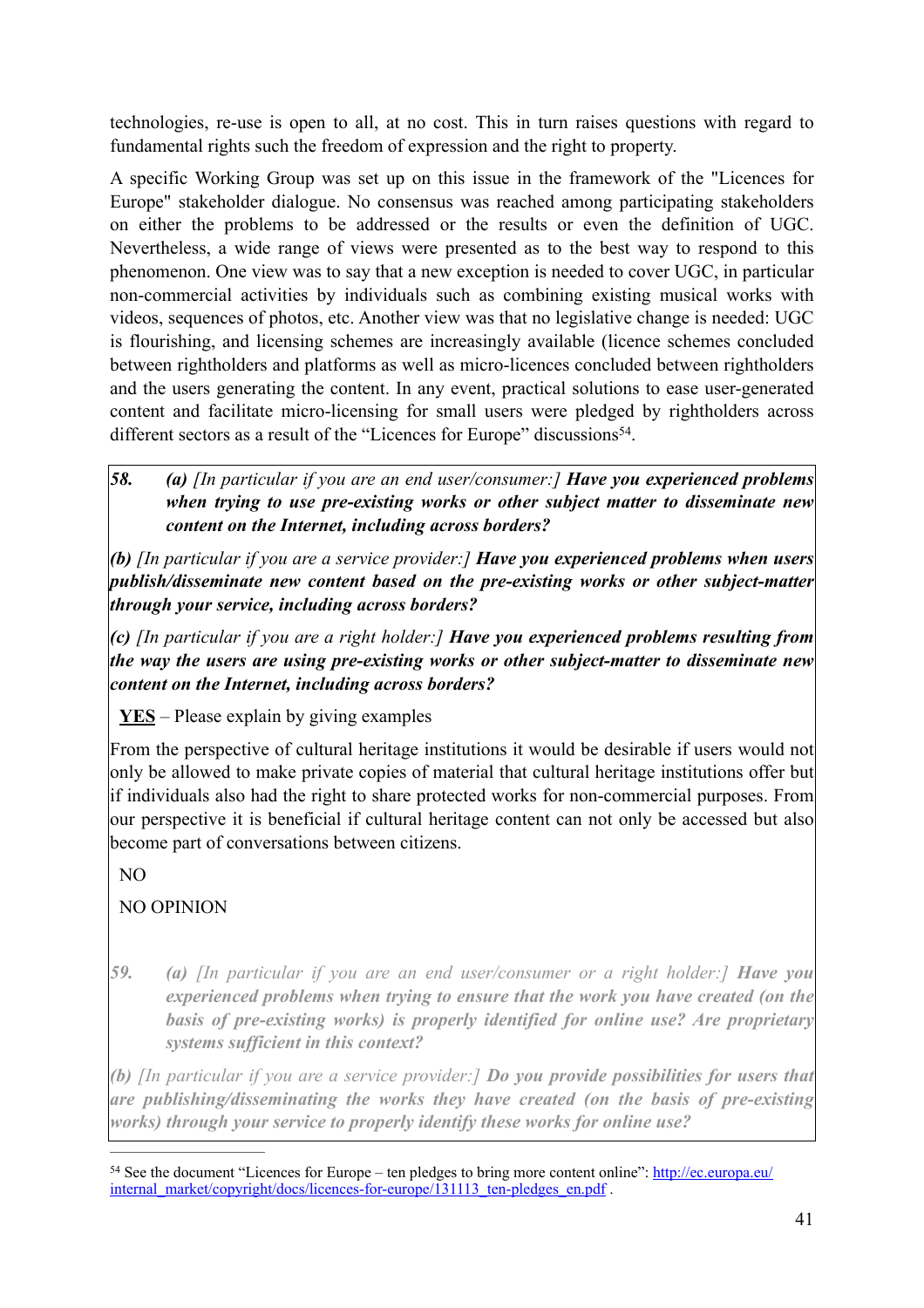technologies, re-use is open to all, at no cost. This in turn raises questions with regard to fundamental rights such the freedom of expression and the right to property.

A specific Working Group was set up on this issue in the framework of the "Licences for Europe" stakeholder dialogue. No consensus was reached among participating stakeholders on either the problems to be addressed or the results or even the definition of UGC. Nevertheless, a wide range of views were presented as to the best way to respond to this phenomenon. One view was to say that a new exception is needed to cover UGC, in particular non-commercial activities by individuals such as combining existing musical works with videos, sequences of photos, etc. Another view was that no legislative change is needed: UGC is flourishing, and licensing schemes are increasingly available (licence schemes concluded between rightholders and platforms as well as micro-licences concluded between rightholders and the users generating the content. In any event, practical solutions to ease user-generated content and facilitate micro-licensing for small users were pledged by rightholders across different sectors as a result of the "Licences for Europe" discussions<sup>54</sup>.

*58. (a) [In particular if you are an end user/consumer:] Have you experienced problems when trying to use pre-existing works or other subject matter to disseminate new content on the Internet, including across borders?* 

*(b) [In particular if you are a service provider:] Have you experienced problems when users publish/disseminate new content based on the pre-existing works or other subject-matter through your service, including across borders?*

*(c) [In particular if you are a right holder:] Have you experienced problems resulting from the way the users are using pre-existing works or other subject-matter to disseminate new content on the Internet, including across borders?*

**YES** – Please explain by giving examples

From the perspective of cultural heritage institutions it would be desirable if users would not only be allowed to make private copies of material that cultural heritage institutions offer but if individuals also had the right to share protected works for non-commercial purposes. From our perspective it is beneficial if cultural heritage content can not only be accessed but also become part of conversations between citizens.

NO

NO OPINION

*59. (a) [In particular if you are an end user/consumer or a right holder:] Have you experienced problems when trying to ensure that the work you have created (on the basis of pre-existing works) is properly identified for online use? Are proprietary systems sufficient in this context?* 

*(b) [In particular if you are a service provider:] Do you provide possibilities for users that are publishing/disseminating the works they have created (on the basis of pre-existing works) through your service to properly identify these works for online use?* 

<sup>&</sup>lt;sup>54</sup> See the document "Licences for Europe – ten pledges to bring more content online": http://ec.europa.eu/ internal\_market/copyright/docs/licences-for-europe/131113\_ten-pledges\_en.pdf .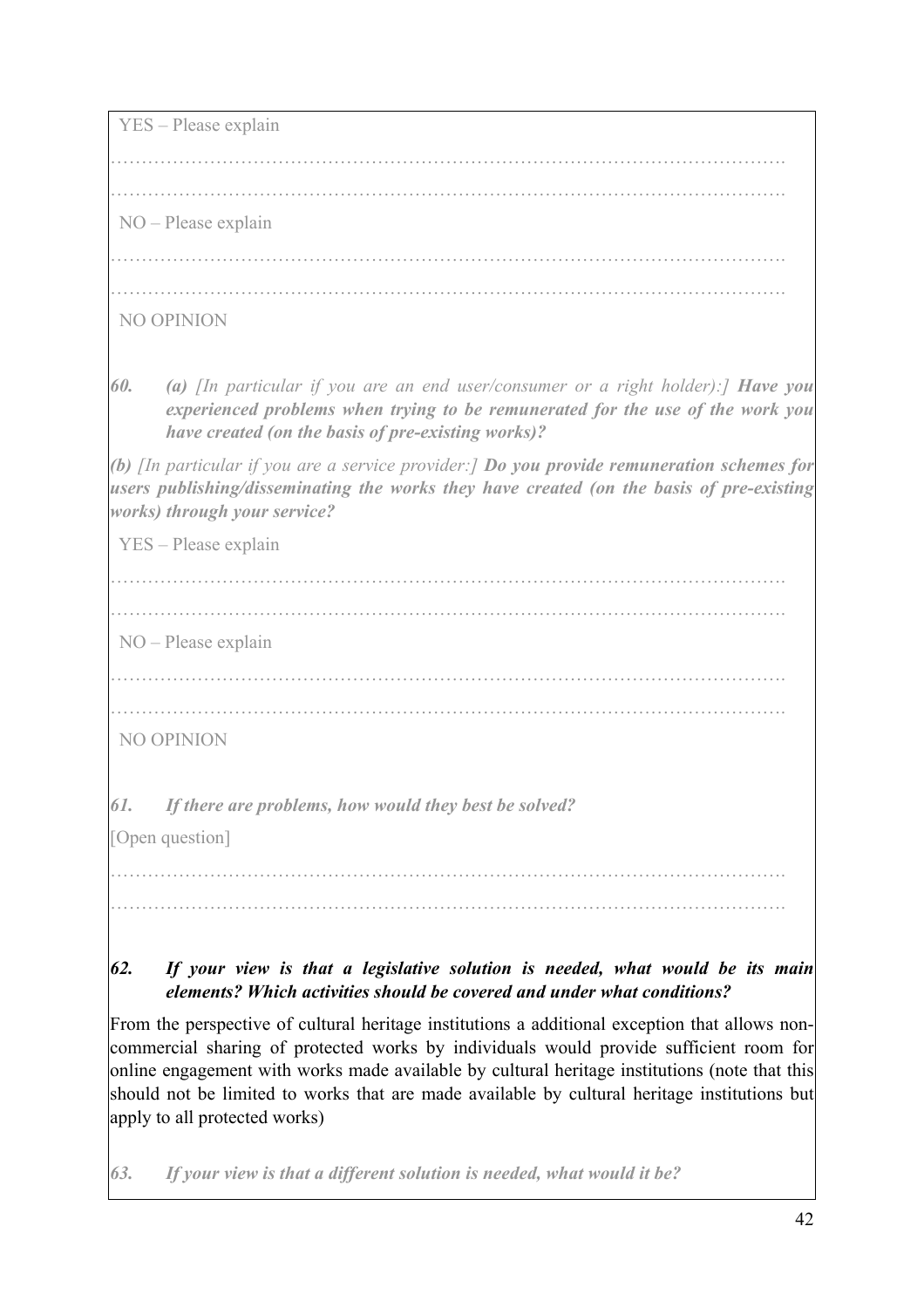YES – Please explain ………………………………………………………………………………………………. ………………………………………………………………………………………………. NO – Please explain ………………………………………………………………………………………………. ………………………………………………………………………………………………. NO OPINION *60. (a) [In particular if you are an end user/consumer or a right holder):] Have you experienced problems when trying to be remunerated for the use of the work you have created (on the basis of pre-existing works)? (b) [In particular if you are a service provider:] Do you provide remuneration schemes for users publishing/disseminating the works they have created (on the basis of pre-existing works) through your service?*  YES – Please explain ………………………………………………………………………………………………. ………………………………………………………………………………………………. NO – Please explain ………………………………………………………………………………………………. ………………………………………………………………………………………………. NO OPINION *61. If there are problems, how would they best be solved?*  [Open question] ………………………………………………………………………………………………. ………………………………………………………………………………………………. *62. If your view is that a legislative solution is needed, what would be its main elements? Which activities should be covered and under what conditions?*

From the perspective of cultural heritage institutions a additional exception that allows noncommercial sharing of protected works by individuals would provide sufficient room for online engagement with works made available by cultural heritage institutions (note that this should not be limited to works that are made available by cultural heritage institutions but apply to all protected works)

*63. If your view is that a different solution is needed, what would it be?*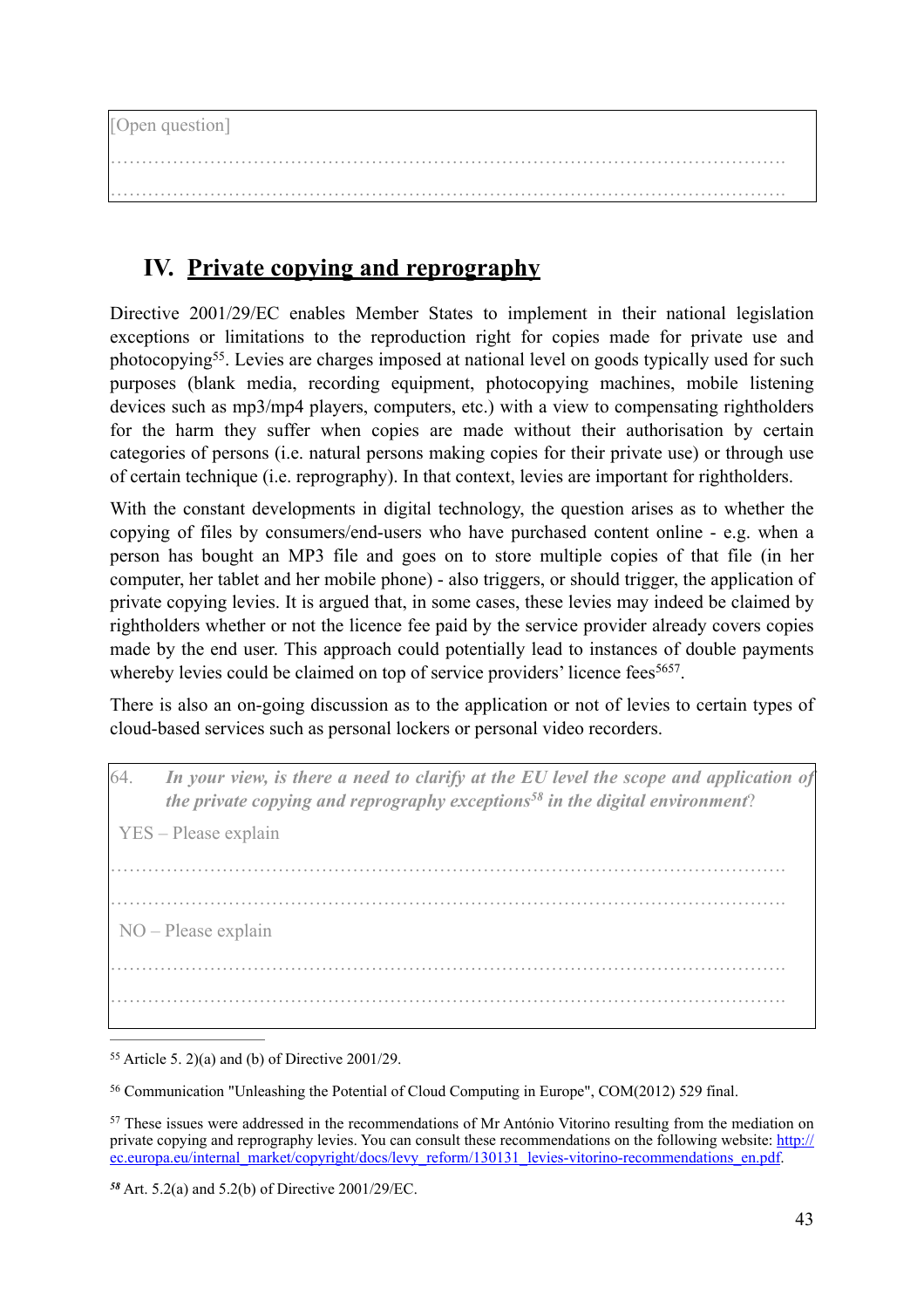[Open question] ………………………………………………………………………………………………. ……………………………………………………………………………………………….

# **IV. Private copying and reprography**

Directive 2001/29/EC enables Member States to implement in their national legislation exceptions or limitations to the reproduction right for copies made for private use and photocopying<sup>55</sup>. Levies are charges imposed at national level on goods typically used for such purposes (blank media, recording equipment, photocopying machines, mobile listening devices such as mp3/mp4 players, computers, etc.) with a view to compensating rightholders for the harm they suffer when copies are made without their authorisation by certain categories of persons (i.e. natural persons making copies for their private use) or through use of certain technique (i.e. reprography). In that context, levies are important for rightholders.

With the constant developments in digital technology, the question arises as to whether the copying of files by consumers/end-users who have purchased content online - e.g. when a person has bought an MP3 file and goes on to store multiple copies of that file (in her computer, her tablet and her mobile phone) - also triggers, or should trigger, the application of private copying levies. It is argued that, in some cases, these levies may indeed be claimed by rightholders whether or not the licence fee paid by the service provider already covers copies made by the end user. This approach could potentially lead to instances of double payments whereby levies could be claimed on top of service providers' licence fees<sup> $5657$ </sup>.

There is also an on-going discussion as to the application or not of levies to certain types of cloud-based services such as personal lockers or personal video recorders.

| 64. | In your view, is there a need to clarify at the EU level the scope and application of<br>the private copying and reprography exceptions <sup>58</sup> in the digital environment? |
|-----|-----------------------------------------------------------------------------------------------------------------------------------------------------------------------------------|
|     | YES - Please explain                                                                                                                                                              |
|     |                                                                                                                                                                                   |
|     | $NO - Please explain$                                                                                                                                                             |
|     |                                                                                                                                                                                   |

 $55$  Article 5. 2)(a) and (b) of Directive 2001/29.

<sup>56</sup> Communication "Unleashing the Potential of Cloud Computing in Europe", COM(2012) 529 final.

<sup>&</sup>lt;sup>57</sup> These issues were addressed in the recommendations of Mr António Vitorino resulting from the mediation on private copying and reprography levies. You can consult these recommendations on the following website: http:// ec.europa.eu/internal\_market/copyright/docs/levy\_reform/130131\_levies-vitorino-recommendations\_en.pdf.

Art. 5.2(a) and 5.2(b) of Directive 2001/29/EC. *<sup>58</sup>*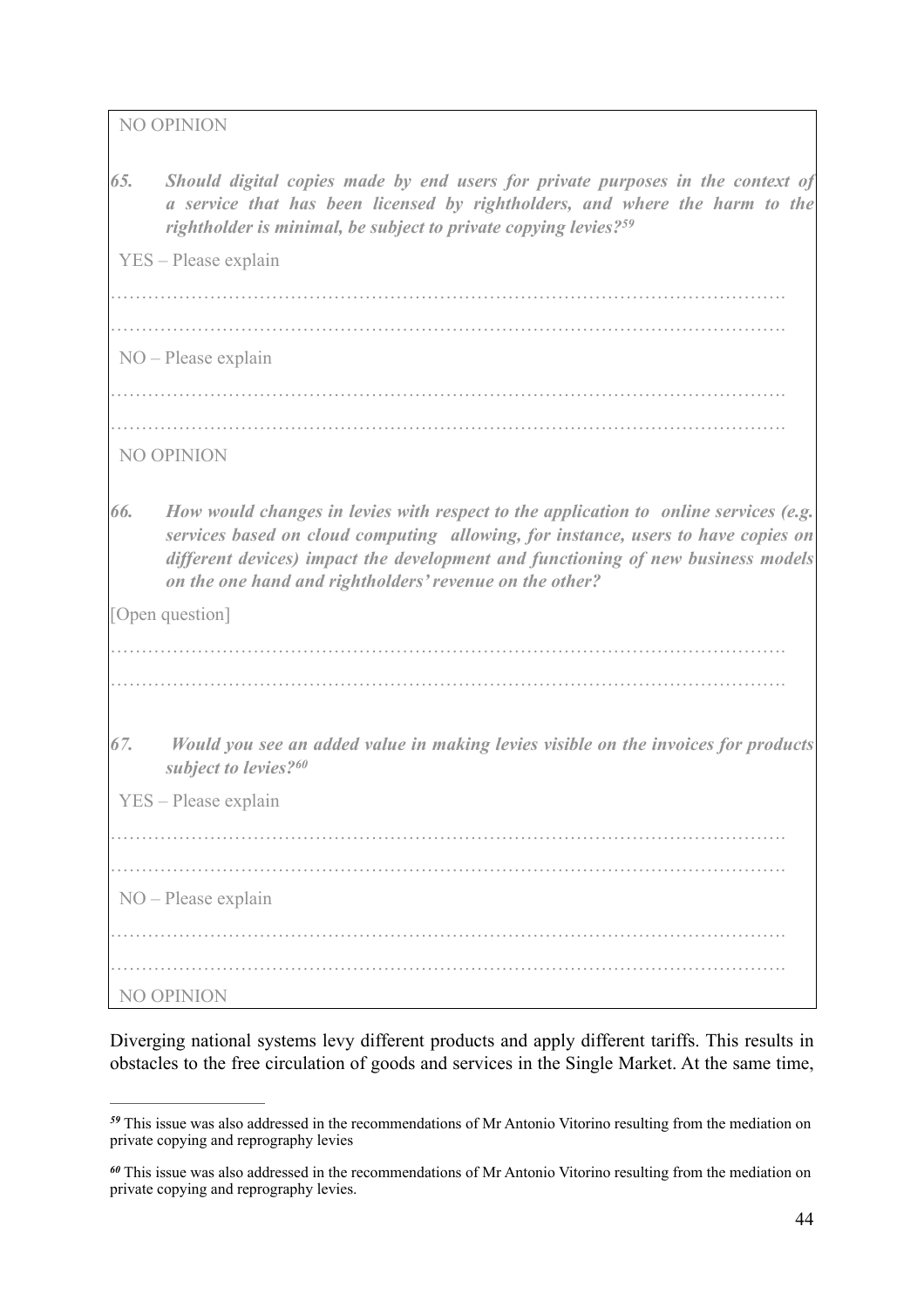NO OPINION

*65. Should digital copies made by end users for private purposes in the context of a service that has been licensed by rightholders, and where the harm to the rightholder is minimal, be subject to private copying levies?59* YES – Please explain ………………………………………………………………………………………………. ………………………………………………………………………………………………. NO – Please explain ………………………………………………………………………………………………. ………………………………………………………………………………………………. NO OPINION *66. How would changes in levies with respect to the application to online services (e.g. services based on cloud computing allowing, for instance, users to have copies on different devices) impact the development and functioning of new business models on the one hand and rightholders' revenue on the other?*  [Open question] ………………………………………………………………………………………………. ………………………………………………………………………………………………. *67. Would you see an added value in making levies visible on the invoices for products subject to levies?60* YES – Please explain ………………………………………………………………………………………………. ………………………………………………………………………………………………. NO – Please explain ………………………………………………………………………………………………. ………………………………………………………………………………………………. NO OPINION

Diverging national systems levy different products and apply different tariffs. This results in obstacles to the free circulation of goods and services in the Single Market. At the same time,

This issue was also addressed in the recommendations of Mr Antonio Vitorino resulting from the mediation on *<sup>59</sup>* private copying and reprography levies

This issue was also addressed in the recommendations of Mr Antonio Vitorino resulting from the mediation on *<sup>60</sup>* private copying and reprography levies.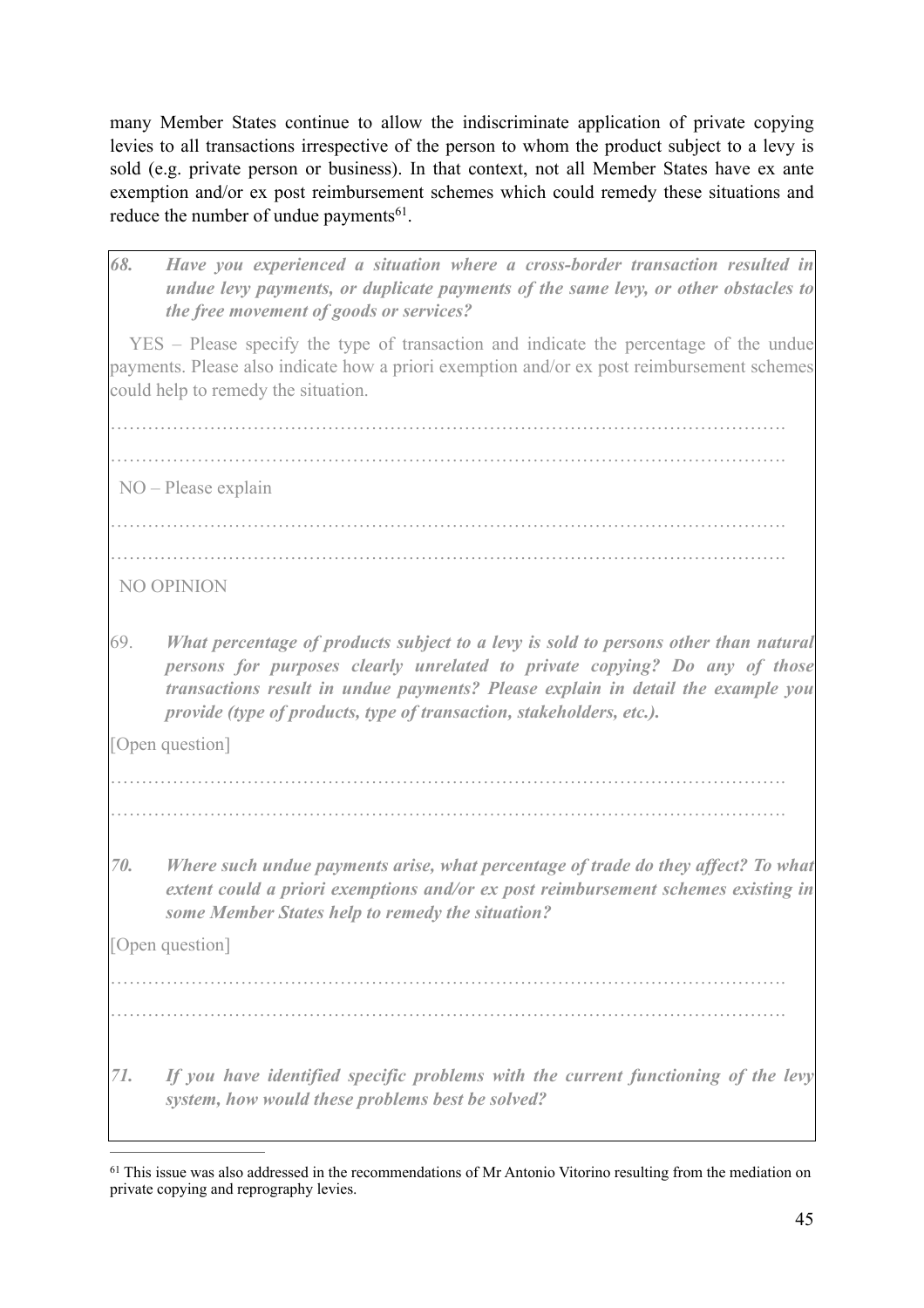many Member States continue to allow the indiscriminate application of private copying levies to all transactions irrespective of the person to whom the product subject to a levy is sold (e.g. private person or business). In that context, not all Member States have ex ante exemption and/or ex post reimbursement schemes which could remedy these situations and reduce the number of undue payments<sup>61</sup>.

| 68. | Have you experienced a situation where a cross-border transaction resulted in<br>undue levy payments, or duplicate payments of the same levy, or other obstacles to<br>the free movement of goods or services?                                                                                                               |
|-----|------------------------------------------------------------------------------------------------------------------------------------------------------------------------------------------------------------------------------------------------------------------------------------------------------------------------------|
|     | YES – Please specify the type of transaction and indicate the percentage of the undue<br>payments. Please also indicate how a priori exemption and/or ex post reimbursement schemes<br>could help to remedy the situation.                                                                                                   |
|     |                                                                                                                                                                                                                                                                                                                              |
|     | $NO - Please explain$                                                                                                                                                                                                                                                                                                        |
|     | <b>NO OPINION</b>                                                                                                                                                                                                                                                                                                            |
| 69. | What percentage of products subject to a levy is sold to persons other than natural<br>persons for purposes clearly unrelated to private copying? Do any of those<br>transactions result in undue payments? Please explain in detail the example you<br>provide (type of products, type of transaction, stakeholders, etc.). |
|     | [Open question]                                                                                                                                                                                                                                                                                                              |
| 70. | Where such undue payments arise, what percentage of trade do they affect? To what<br>extent could a priori exemptions and/or ex post reimbursement schemes existing in<br>some Member States help to remedy the situation?                                                                                                   |
|     | [Open question]                                                                                                                                                                                                                                                                                                              |
|     |                                                                                                                                                                                                                                                                                                                              |
| 71. | If you have identified specific problems with the current functioning of the levy<br>system, how would these problems best be solved?                                                                                                                                                                                        |

<sup>&</sup>lt;sup>61</sup> This issue was also addressed in the recommendations of Mr Antonio Vitorino resulting from the mediation on private copying and reprography levies.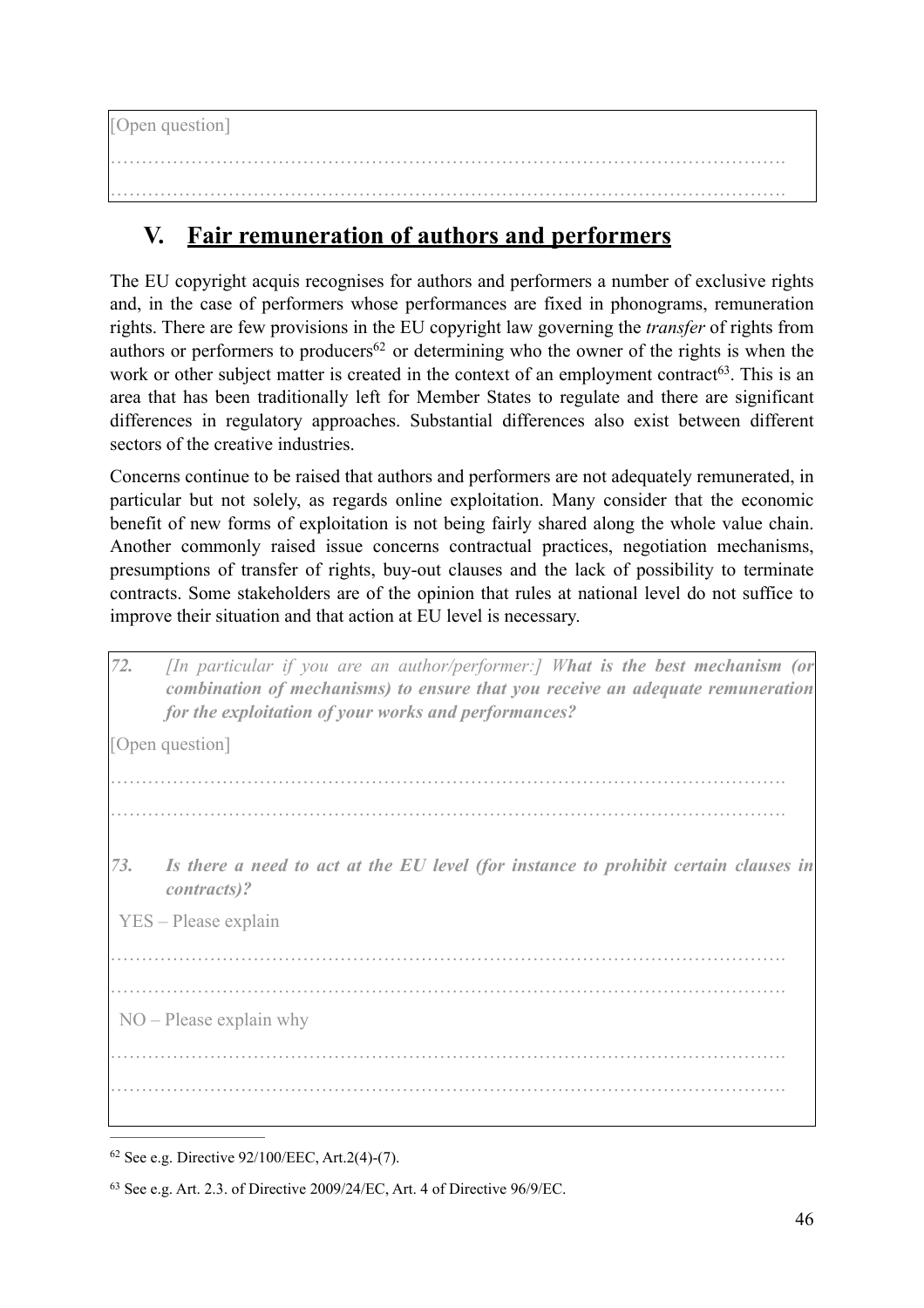[Open question] ………………………………………………………………………………………………. ……………………………………………………………………………………………….

# **V. Fair remuneration of authors and performers**

The EU copyright acquis recognises for authors and performers a number of exclusive rights and, in the case of performers whose performances are fixed in phonograms, remuneration rights. There are few provisions in the EU copyright law governing the *transfer* of rights from authors or performers to producers<sup>62</sup> or determining who the owner of the rights is when the work or other subject matter is created in the context of an employment contract<sup>63</sup>. This is an area that has been traditionally left for Member States to regulate and there are significant differences in regulatory approaches. Substantial differences also exist between different sectors of the creative industries.

Concerns continue to be raised that authors and performers are not adequately remunerated, in particular but not solely, as regards online exploitation. Many consider that the economic benefit of new forms of exploitation is not being fairly shared along the whole value chain. Another commonly raised issue concerns contractual practices, negotiation mechanisms, presumptions of transfer of rights, buy-out clauses and the lack of possibility to terminate contracts. Some stakeholders are of the opinion that rules at national level do not suffice to improve their situation and that action at EU level is necessary.

| 72. | [In particular if you are an author/performer:] What is the best mechanism (or<br>combination of mechanisms) to ensure that you receive an adequate remuneration<br>for the exploitation of your works and performances? |
|-----|--------------------------------------------------------------------------------------------------------------------------------------------------------------------------------------------------------------------------|
|     | [Open question]                                                                                                                                                                                                          |
| 73. | Is there a need to act at the EU level (for instance to prohibit certain clauses in<br>contracts)?<br>YES – Please explain                                                                                               |
|     | $NO - Please$ explain why                                                                                                                                                                                                |
|     |                                                                                                                                                                                                                          |

 $62$  See e.g. Directive 92/100/EEC, Art. 2(4)-(7).

 $63$  See e.g. Art. 2.3. of Directive 2009/24/EC, Art. 4 of Directive 96/9/EC.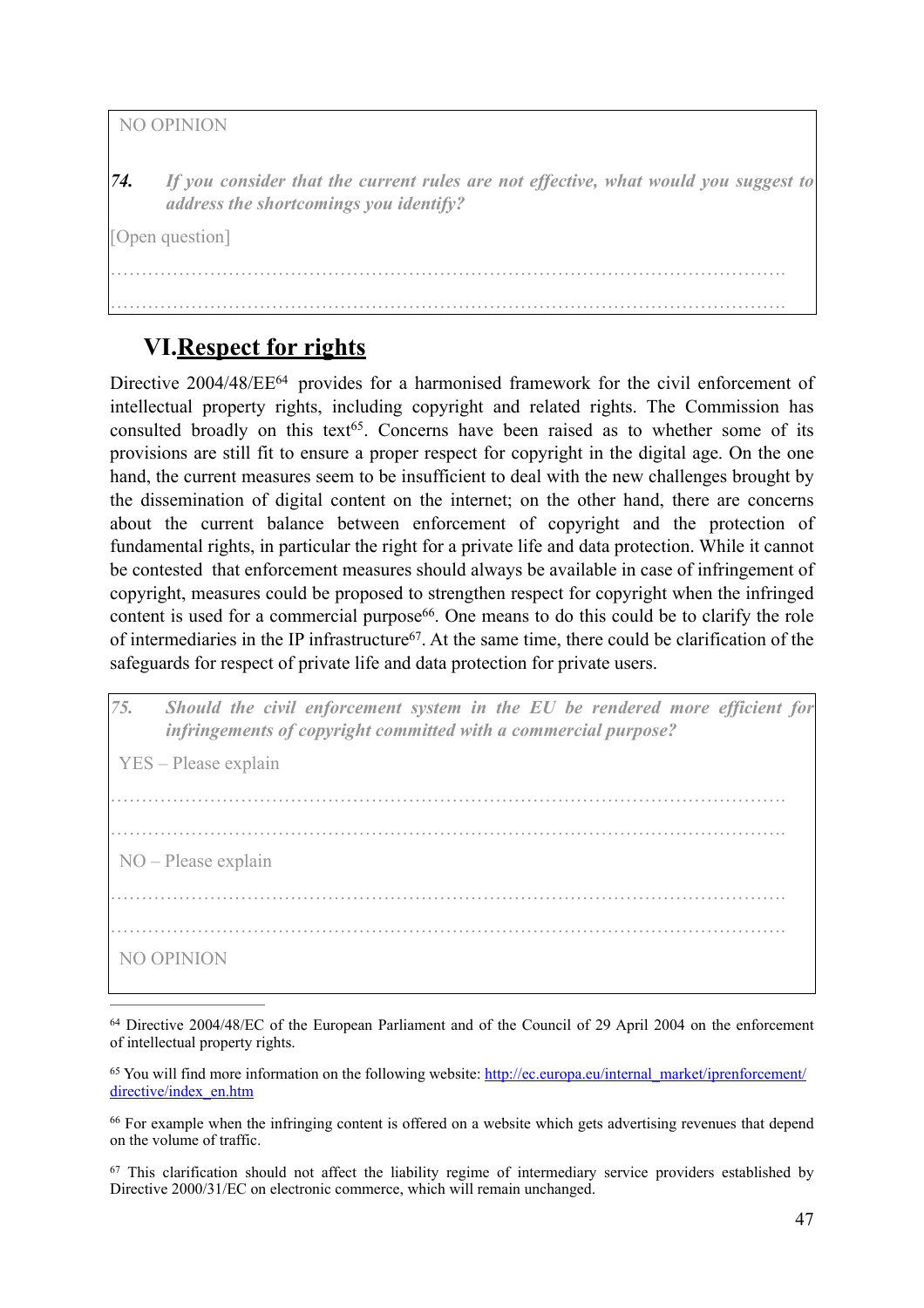NO OPINION

*74. If you consider that the current rules are not effective, what would you suggest to address the shortcomings you identify?* 

[Open question]

………………………………………………………………………………………………. ……………………………………………………………………………………………….

# **VI.Respect for rights**

Directive  $2004/48/EE^{64}$  provides for a harmonised framework for the civil enforcement of intellectual property rights, including copyright and related rights. The Commission has consulted broadly on this text<sup> $65$ </sup>. Concerns have been raised as to whether some of its provisions are still fit to ensure a proper respect for copyright in the digital age. On the one hand, the current measures seem to be insufficient to deal with the new challenges brought by the dissemination of digital content on the internet; on the other hand, there are concerns about the current balance between enforcement of copyright and the protection of fundamental rights, in particular the right for a private life and data protection. While it cannot be contested that enforcement measures should always be available in case of infringement of copyright, measures could be proposed to strengthen respect for copyright when the infringed content is used for a commercial purpose<sup> $66$ </sup>. One means to do this could be to clarify the role of intermediaries in the IP infrastructure<sup>67</sup>. At the same time, there could be clarification of the safeguards for respect of private life and data protection for private users.

| 75. | Should the civil enforcement system in the EU be rendered more efficient for<br>infringements of copyright committed with a commercial purpose? |
|-----|-------------------------------------------------------------------------------------------------------------------------------------------------|
|     | YES – Please explain                                                                                                                            |
|     |                                                                                                                                                 |
|     | $NO - Please explain$                                                                                                                           |
|     |                                                                                                                                                 |
|     | NO OPINION                                                                                                                                      |

<sup>&</sup>lt;sup>64</sup> Directive 2004/48/EC of the European Parliament and of the Council of 29 April 2004 on the enforcement of intellectual property rights.

<sup>65</sup> You will find more information on the following website: http://ec.europa.eu/internal\_market/iprenforcement/ directive/index\_en.htm

<sup>&</sup>lt;sup>66</sup> For example when the infringing content is offered on a website which gets advertising revenues that depend on the volume of traffic.

 $67$  This clarification should not affect the liability regime of intermediary service providers established by Directive 2000/31/EC on electronic commerce, which will remain unchanged.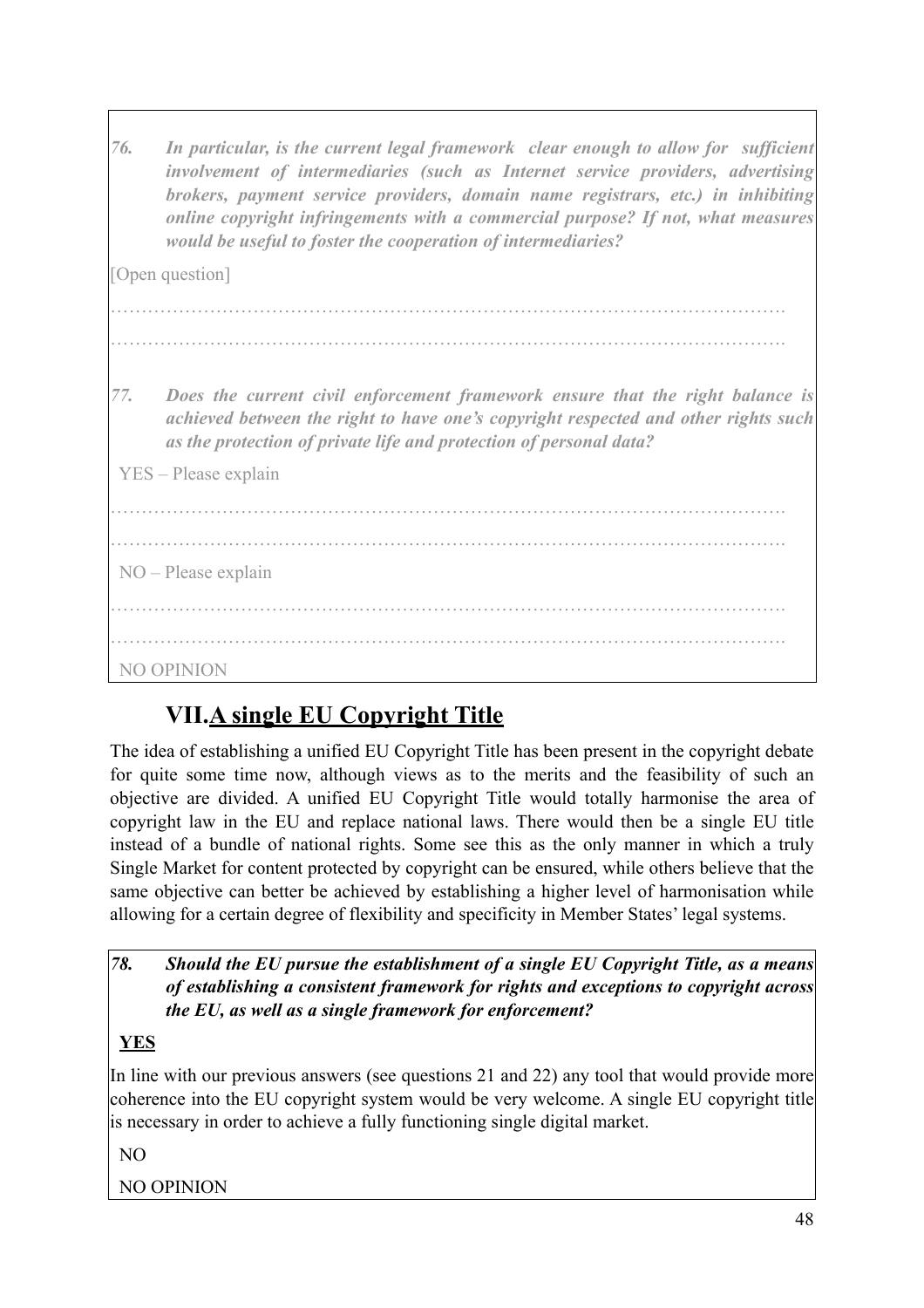| 76. | In particular, is the current legal framework clear enough to allow for sufficient<br>involvement of intermediaries (such as Internet service providers, advertising<br>brokers, payment service providers, domain name registrars, etc.) in inhibiting<br>online copyright infringements with a commercial purpose? If not, what measures<br>would be useful to foster the cooperation of intermediaries? |
|-----|------------------------------------------------------------------------------------------------------------------------------------------------------------------------------------------------------------------------------------------------------------------------------------------------------------------------------------------------------------------------------------------------------------|
|     | [Open question]                                                                                                                                                                                                                                                                                                                                                                                            |
|     |                                                                                                                                                                                                                                                                                                                                                                                                            |
|     |                                                                                                                                                                                                                                                                                                                                                                                                            |
| 77. | Does the current civil enforcement framework ensure that the right balance is<br>achieved between the right to have one's copyright respected and other rights such<br>as the protection of private life and protection of personal data?                                                                                                                                                                  |
|     | YES - Please explain                                                                                                                                                                                                                                                                                                                                                                                       |
|     |                                                                                                                                                                                                                                                                                                                                                                                                            |
|     |                                                                                                                                                                                                                                                                                                                                                                                                            |
|     | $NO - Please explain$                                                                                                                                                                                                                                                                                                                                                                                      |
|     |                                                                                                                                                                                                                                                                                                                                                                                                            |
|     | NO OPINION                                                                                                                                                                                                                                                                                                                                                                                                 |

# **VII.A single EU Copyright Title**

The idea of establishing a unified EU Copyright Title has been present in the copyright debate for quite some time now, although views as to the merits and the feasibility of such an objective are divided. A unified EU Copyright Title would totally harmonise the area of copyright law in the EU and replace national laws. There would then be a single EU title instead of a bundle of national rights. Some see this as the only manner in which a truly Single Market for content protected by copyright can be ensured, while others believe that the same objective can better be achieved by establishing a higher level of harmonisation while allowing for a certain degree of flexibility and specificity in Member States' legal systems.

#### *78. Should the EU pursue the establishment of a single EU Copyright Title, as a means of establishing a consistent framework for rights and exceptions to copyright across the EU, as well as a single framework for enforcement?*

#### **YES**

In line with our previous answers (see questions 21 and 22) any tool that would provide more coherence into the EU copyright system would be very welcome. A single EU copyright title is necessary in order to achieve a fully functioning single digital market.

NO

#### NO OPINION